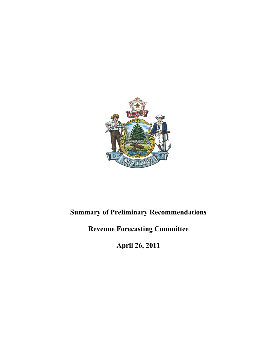

# **Summary of Preliminary Recommendations**

# **Revenue Forecasting Committee**

**April 26, 2011**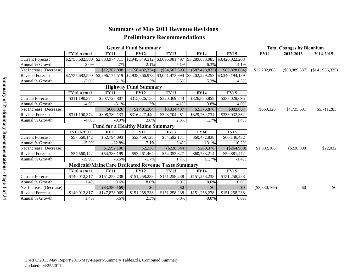## **Summary of May 2011 Revenue Revisions Preliminary Recommendations**

| <b>General Fund Summary</b> |                    |                                                                                 |                                 |                  |                   |                  |                 | <b>Total Changes by Biennium</b> |                                    |
|-----------------------------|--------------------|---------------------------------------------------------------------------------|---------------------------------|------------------|-------------------|------------------|-----------------|----------------------------------|------------------------------------|
|                             | <b>FY10 Actual</b> | <b>FY11</b>                                                                     | <b>FY12</b>                     | <b>FY13</b>      | <b>FY14</b>       | <b>FY15</b>      | <b>FY11</b>     | 2012-2013                        | 2014-2015                          |
| <b>Current Forecast</b>     | \$2,755,682,500    | \$2,883,974,711                                                                 | \$2,945,349,312 \$3,095,981,497 |                  | \$3,289,658,085   | \$3,426,022,203  |                 |                                  |                                    |
| Annual % Growth             | $-2.0%$            | 4.7%                                                                            | 2.1%                            | 5.1%             | 6.3%              | 4.1%             |                 |                                  |                                    |
| Net Increase (Decrease)     |                    | \$12,202,808                                                                    | ( \$6,482,334)                  | $(\$54,507,503)$ | $($ \$87,428,832) | $(\$85,828,064)$ | \$12,202,808    |                                  | $(\$60,989,837)$ $(\$141,936,335)$ |
| <b>Revised Forecast</b>     | \$2,755,682,500    | $\vert$ \$2,896,177,519 $\vert$ \$2,938,866,978 $\vert$ \$3,041,473,994 $\vert$ |                                 |                  | \$3,202,229,253   | \$3,340,194,139  |                 |                                  |                                    |
| Annual % Growth             | $-2.0%$            | 5.1%                                                                            | 1.5%                            | 3.5%             | 5.3%              | 4.3%             |                 |                                  |                                    |
|                             |                    |                                                                                 | <b>Highway Fund Summary</b>     |                  |                   |                  |                 |                                  |                                    |
|                             | <b>FY10 Actual</b> | <b>FY11</b>                                                                     | <b>FY12</b>                     | <b>FY13</b>      | <b>FY14</b>       | <b>FY15</b>      |                 |                                  |                                    |
| <b>Current Forecast</b>     | \$311,190,374      | \$307,728,807                                                                   | \$315,026,156                   | \$320,369,844    | \$326,885,858     | \$333,029,695    |                 |                                  |                                    |
| Annual % Growth             | $-4.0%$            | $-5.1\%$                                                                        | 1.2%                            | 4.1%             | 3.8%              | 4.0%             |                 |                                  |                                    |
| Net Increase (Decrease)     |                    | \$660,326                                                                       | \$1,401,284                     | \$3,334,407      | \$2,376,876       | \$902,667        | \$660,326       | \$4,735,691                      | \$5,711,283                        |
| <b>Revised Forecast</b>     | \$311,190,374      | \$308,389,133                                                                   | \$316,427,440                   | \$323,704,251    | \$329,262,734     | \$333,932,362    |                 |                                  |                                    |
| Annual % Growth             | $-4.0%$            | $-0.9\%$                                                                        | 2.6%                            | 2.3%             | 1.7%              | 1.4%             |                 |                                  |                                    |
|                             |                    | <b>Fund for a Healthy Maine Summary</b>                                         |                                 |                  |                   |                  |                 |                                  |                                    |
|                             | FY10 Actual        | <b>FY11</b>                                                                     | <b>FY12</b>                     | <b>FY13</b>      | <b>FY14</b>       | <b>FY15</b>      |                 |                                  |                                    |
| <b>Current Forecast</b>     | \$57,560,142       | \$52,794,093                                                                    | \$53,459,128                    | \$54,592,171     | \$60,472,838      | \$60,146,432     |                 |                                  |                                    |
| Annual % Growth             | $-15.9%$           | $-22.8%$                                                                        | $-7.1%$                         | 3.4%             | 13.1%             | 10.2%            |                 |                                  |                                    |
| Net Increase (Decrease)     |                    | \$1,592,106                                                                     | \$2,336                         | $(\$238,344)$    | \$260,376         | $(\$264,960)$    | \$1,592,106     | $(\$236,008)$                    | \$22,032                           |
| <b>Revised Forecast</b>     | \$57,560,142       | \$54,386,199                                                                    | \$53,461,464                    | \$54,353,827     | \$60,733,214      | \$59,881,472     |                 |                                  |                                    |
| Annual % Growth             | $-15.9%$           | $-5.5%$                                                                         | $-1.7\%$                        | 1.7%             | 11.7%             | $-1.4%$          |                 |                                  |                                    |
|                             |                    | <b>Medicaid/MaineCare Dedicated Revenue Taxes Summary</b>                       |                                 |                  |                   |                  |                 |                                  |                                    |
|                             | FY10 Actual        | <b>FY11</b>                                                                     | <b>FY12</b>                     | <b>FY13</b>      | <b>FY14</b>       | <b>FY15</b>      |                 |                                  |                                    |
| <b>Current Forecast</b>     | \$140,012,817      | \$151,258,238                                                                   | \$151,258,238                   | \$151,258,238    | \$151,258,238     | \$151,258,238    |                 |                                  |                                    |
| Annual % Growth             | 1.4%               | 9.6%                                                                            | 8.0%                            | 0.0%             | 0.0%              | 0.0%             |                 |                                  |                                    |
| Net Increase (Decrease)     |                    | $(\$3,380,169)$                                                                 | \$0                             | \$0              | \$0               | \$0              | $(\$3,380,169)$ | \$0                              | \$0                                |
| <b>Revised Forecast</b>     | \$140,012,817      | \$147,878,069                                                                   | \$151,258,238                   | \$151,258,238    | \$151,258,238     | \$151,258,238    |                 |                                  |                                    |
| Annual % Growth             | 1.4%               | 5.6%                                                                            | 2.3%                            | $0.0\%$          | $0.0\%$           | $0.0\%$          |                 |                                  |                                    |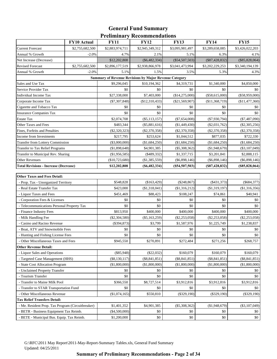## **Preliminary Recommendations General Fund Summary**

| \$2,755,682,500<br>\$2,883,974,711<br>\$2,945,349,312<br>\$3,095,981,497<br>\$3,289,658,085<br>\$3,426,022,203<br><b>Current Forecast</b><br>Annual % Growth<br>$-2.0%$<br>4.7%<br>2.1%<br>5.1%<br>6.3%<br>4.1%<br>\$12,202,808<br>$(\$6,482,334)$<br>$(\$54,507,503)$<br>$(\$87,428,832)$<br>$(\$85,828,064)$<br>Net Increase (Decrease)<br><b>Revised Forecast</b><br>\$2,755,682,500<br>\$2,896,177,519<br>\$2,938,866,978<br>\$3,041,473,994<br>\$3,202,229,253<br>\$3,340,194,139<br>Annual % Growth<br>$-2.0%$<br>5.1%<br>1.5%<br>3.5%<br>5.3%<br>4.3%<br><b>Summary of Revenue Revisions by Major Revenue Category</b><br>\$9,296,045<br>\$10,194,362<br>\$4,319,731<br>\$1,340,000<br>\$4,850,000<br>Sales and Use Tax<br>\$0<br>Service Provider Tax<br>\$0<br>\$0<br>\$0<br>\$0<br>\$27,338,000<br>\$7,403,000<br>$(\$14,275,000)$<br>$(\$58,615,000)$<br>$(\$58,959,000)$<br>Individual Income Tax<br>Corporate Income Tax<br>$(\$7,307,848)$<br>$(\$12,310,433)$<br>$(\$21,569,907)$<br>(\$11,368,719)<br>(\$11,477,360)<br>Cigarette and Tobacco Tax<br>\$0<br>\$0<br>\$0<br>\$0<br>\$0<br><b>Insurance Companies Tax</b><br>\$0<br>\$0<br>\$0<br>\$0<br>\$0<br><b>Estate Tax</b><br>\$2,074,708<br>$(\$5,113,157)$<br>$(\$7,654,008)$<br>$(\$7,930,794)$<br>$(*7,487,090)$<br>Other Taxes and Fees<br>\$483,344<br>$(\$5,881,616)$<br>(\$1,449,430)<br>$(\$2,031,762)$<br>$(\$2,305,256)$<br>Fines, Forfeits and Penalties<br>$(\$2,320,323)$<br>$(\$2,370,358)$<br>$(\$2,370,358)$<br>$(\$2,370,358)$<br>$(\$2,370,358)$<br>\$217,795<br>\$253,624<br>\$877,035<br>Income from Investments<br>\$1,044,512<br>\$722,330<br>Transfer from Lottery Commission<br>$(\$3,000,000)$<br>(\$1,684,250)<br>(\$1,684,250)<br>(\$1,684,250)<br>(\$1,684,250)<br>Transfer to Tax Relief Programs<br>(\$1,898,648)<br>\$4,901,385<br>$(\$5,308,362)$<br>(\$1,948,679)<br>$(\$3,107,049)$<br>\$2,888,115<br>Transfer to Municipal Rev. Sharing<br>(\$1,956,585)<br>(\$489,332)<br>\$1,337,715<br>\$3,201,841<br>(\$10,723,680)<br>(\$1,385,559)<br>$(\$6,898,146)$<br><b>Other Revenues</b><br>( \$6,898,146)<br>$(\$6,898,146)$<br><b>Total Revisions - Increase (Decrease)</b><br>\$12,202,808<br>(S6, 482, 334)<br>(S54, 507, 503)<br>(S87, 428, 832)<br>(\$85,828,064)<br><b>Other Taxes and Fees Detail:</b><br>\$548,828<br>(\$163,429)<br>$(\$248,867)$<br>$(\$431,373)$<br>- Prop. Tax - Unorganized Territory<br>$(\$684,377)$<br>- Real Estate Transfer Tax<br>\$423,000<br>(\$1,318,041)<br>(\$1,316,212)<br>(\$1,319,197)<br>(\$1,316,356)<br>- Liquor Taxes and Fees<br>\$40,941<br>\$451,469<br>\$88,423<br>\$108,247<br>\$74,861<br>- Corporation Fees & Licenses<br>\$0<br>\$0<br>\$0<br>\$0<br>\$0<br>\$0<br>- Telecommunications Personal Property Tax<br>\$0<br>\$0<br>\$0<br>\$0<br>\$813,950<br>\$400,000<br>\$400,000<br>\$400,000<br>\$400,000<br>- Finance Industry Fees<br>- Milk Handling Fee<br>$(\$2,304,580)$<br>$(\$5,163,259)$<br>$(\$2,253,058)$<br>$(\$2,253,058)$<br>$(\$2,253,058)$<br>- Casino and Racino Revenue<br>$(\$394,873)$<br>\$3,799<br>\$1,587,976<br>\$1,225,749<br>\$1,238,837<br>- Boat, ATV and Snowmobile Fees<br>\$0<br>\$0<br>\$0<br>\$0<br>$\$0$<br>\$0<br>\$0<br>- Hunting and Fishing License Fees<br>\$0<br>\$0<br>\$0<br>\$272,484<br>\$945,550<br>\$270,891<br>\$271,256<br>\$268,757<br>- Other Miscellaneous Taxes and Fees<br><b>Other Revenue Detail:</b><br>- Liquor Sales and Operations<br>$(\$85,948)$<br>$(\$22,032)$<br>\$160,079<br>\$160,079<br>\$160,079<br>- Targeted Case Management (HHS)<br>$(\$8,130,117)$<br>$(\$8,841,851)$<br>$(\$8,841,851)$<br>$(\$8,841,851)$<br>$(\$8,841,851)$<br>- State Cost Allocation Program<br>(\$1,800,000)<br>(\$1,800,000)<br>(\$1,800,000)<br>(\$1,800,000)<br>(\$1,800,000)<br>- Unclaimed Property Transfer<br>\$0<br>\$0<br>\$0<br>\$0<br>\$0<br>- Tourism Transfer<br>\$0<br>\$0<br>\$0<br>\$0<br>\$0<br>- Transfer to Maine Milk Pool<br>\$366,550<br>\$8,727,514<br>\$3,912,816<br>\$3,912,816<br>\$3,912,816<br>- Transfer to STAR Transportation Fund<br>\$0<br>\$0<br>\$0<br>\$0<br>\$0<br>\$550,810<br>(\$1,074,165)<br>$(\$329,190)$<br>$(\$329,190)$<br>$(\$329,190)$<br>- Other Miscellaneous Revenue<br><b>Tax Relief Transfers Detail:</b><br>- Me. Resident Prop. Tax Program (Circuitbreaker)<br>\$4,901,385<br>$(\$5,308,362)$<br>(\$1,948,679)<br>$(\$3,107,049)$<br>\$1,401,352<br>- BETR - Business Equipment Tax Reimb.<br>$(\$4,500,000)$<br>\$0<br>\$0<br>\$0<br>\$0<br>- BETE - Municipal Bus. Equip. Tax Reimb. | FY10 Actual | <b>FY11</b> | <b>FY12</b> | <b>FY13</b> | <b>FY14</b> | <b>FY15</b> |
|-----------------------------------------------------------------------------------------------------------------------------------------------------------------------------------------------------------------------------------------------------------------------------------------------------------------------------------------------------------------------------------------------------------------------------------------------------------------------------------------------------------------------------------------------------------------------------------------------------------------------------------------------------------------------------------------------------------------------------------------------------------------------------------------------------------------------------------------------------------------------------------------------------------------------------------------------------------------------------------------------------------------------------------------------------------------------------------------------------------------------------------------------------------------------------------------------------------------------------------------------------------------------------------------------------------------------------------------------------------------------------------------------------------------------------------------------------------------------------------------------------------------------------------------------------------------------------------------------------------------------------------------------------------------------------------------------------------------------------------------------------------------------------------------------------------------------------------------------------------------------------------------------------------------------------------------------------------------------------------------------------------------------------------------------------------------------------------------------------------------------------------------------------------------------------------------------------------------------------------------------------------------------------------------------------------------------------------------------------------------------------------------------------------------------------------------------------------------------------------------------------------------------------------------------------------------------------------------------------------------------------------------------------------------------------------------------------------------------------------------------------------------------------------------------------------------------------------------------------------------------------------------------------------------------------------------------------------------------------------------------------------------------------------------------------------------------------------------------------------------------------------------------------------------------------------------------------------------------------------------------------------------------------------------------------------------------------------------------------------------------------------------------------------------------------------------------------------------------------------------------------------------------------------------------------------------------------------------------------------------------------------------------------------------------------------------------------------------------------------------------------------------------------------------------------------------------------------------------------------------------------------------------------------------------------------------------------------------------------------------------------------------------------------------------------------------------------------------------------------------------------------------------------------------------------------------------------------------------------------------------------------------------------------------------------------------------------------------------------------------------------------------------------------------------------------------------------------------------------------------------------------------------------------------------------------|-------------|-------------|-------------|-------------|-------------|-------------|
|                                                                                                                                                                                                                                                                                                                                                                                                                                                                                                                                                                                                                                                                                                                                                                                                                                                                                                                                                                                                                                                                                                                                                                                                                                                                                                                                                                                                                                                                                                                                                                                                                                                                                                                                                                                                                                                                                                                                                                                                                                                                                                                                                                                                                                                                                                                                                                                                                                                                                                                                                                                                                                                                                                                                                                                                                                                                                                                                                                                                                                                                                                                                                                                                                                                                                                                                                                                                                                                                                                                                                                                                                                                                                                                                                                                                                                                                                                                                                                                                                                                                                                                                                                                                                                                                                                                                                                                                                                                                                                                                                           |             |             |             |             |             |             |
|                                                                                                                                                                                                                                                                                                                                                                                                                                                                                                                                                                                                                                                                                                                                                                                                                                                                                                                                                                                                                                                                                                                                                                                                                                                                                                                                                                                                                                                                                                                                                                                                                                                                                                                                                                                                                                                                                                                                                                                                                                                                                                                                                                                                                                                                                                                                                                                                                                                                                                                                                                                                                                                                                                                                                                                                                                                                                                                                                                                                                                                                                                                                                                                                                                                                                                                                                                                                                                                                                                                                                                                                                                                                                                                                                                                                                                                                                                                                                                                                                                                                                                                                                                                                                                                                                                                                                                                                                                                                                                                                                           |             |             |             |             |             |             |
|                                                                                                                                                                                                                                                                                                                                                                                                                                                                                                                                                                                                                                                                                                                                                                                                                                                                                                                                                                                                                                                                                                                                                                                                                                                                                                                                                                                                                                                                                                                                                                                                                                                                                                                                                                                                                                                                                                                                                                                                                                                                                                                                                                                                                                                                                                                                                                                                                                                                                                                                                                                                                                                                                                                                                                                                                                                                                                                                                                                                                                                                                                                                                                                                                                                                                                                                                                                                                                                                                                                                                                                                                                                                                                                                                                                                                                                                                                                                                                                                                                                                                                                                                                                                                                                                                                                                                                                                                                                                                                                                                           |             |             |             |             |             |             |
|                                                                                                                                                                                                                                                                                                                                                                                                                                                                                                                                                                                                                                                                                                                                                                                                                                                                                                                                                                                                                                                                                                                                                                                                                                                                                                                                                                                                                                                                                                                                                                                                                                                                                                                                                                                                                                                                                                                                                                                                                                                                                                                                                                                                                                                                                                                                                                                                                                                                                                                                                                                                                                                                                                                                                                                                                                                                                                                                                                                                                                                                                                                                                                                                                                                                                                                                                                                                                                                                                                                                                                                                                                                                                                                                                                                                                                                                                                                                                                                                                                                                                                                                                                                                                                                                                                                                                                                                                                                                                                                                                           |             |             |             |             |             |             |
|                                                                                                                                                                                                                                                                                                                                                                                                                                                                                                                                                                                                                                                                                                                                                                                                                                                                                                                                                                                                                                                                                                                                                                                                                                                                                                                                                                                                                                                                                                                                                                                                                                                                                                                                                                                                                                                                                                                                                                                                                                                                                                                                                                                                                                                                                                                                                                                                                                                                                                                                                                                                                                                                                                                                                                                                                                                                                                                                                                                                                                                                                                                                                                                                                                                                                                                                                                                                                                                                                                                                                                                                                                                                                                                                                                                                                                                                                                                                                                                                                                                                                                                                                                                                                                                                                                                                                                                                                                                                                                                                                           |             |             |             |             |             |             |
|                                                                                                                                                                                                                                                                                                                                                                                                                                                                                                                                                                                                                                                                                                                                                                                                                                                                                                                                                                                                                                                                                                                                                                                                                                                                                                                                                                                                                                                                                                                                                                                                                                                                                                                                                                                                                                                                                                                                                                                                                                                                                                                                                                                                                                                                                                                                                                                                                                                                                                                                                                                                                                                                                                                                                                                                                                                                                                                                                                                                                                                                                                                                                                                                                                                                                                                                                                                                                                                                                                                                                                                                                                                                                                                                                                                                                                                                                                                                                                                                                                                                                                                                                                                                                                                                                                                                                                                                                                                                                                                                                           |             |             |             |             |             |             |
|                                                                                                                                                                                                                                                                                                                                                                                                                                                                                                                                                                                                                                                                                                                                                                                                                                                                                                                                                                                                                                                                                                                                                                                                                                                                                                                                                                                                                                                                                                                                                                                                                                                                                                                                                                                                                                                                                                                                                                                                                                                                                                                                                                                                                                                                                                                                                                                                                                                                                                                                                                                                                                                                                                                                                                                                                                                                                                                                                                                                                                                                                                                                                                                                                                                                                                                                                                                                                                                                                                                                                                                                                                                                                                                                                                                                                                                                                                                                                                                                                                                                                                                                                                                                                                                                                                                                                                                                                                                                                                                                                           |             |             |             |             |             |             |
|                                                                                                                                                                                                                                                                                                                                                                                                                                                                                                                                                                                                                                                                                                                                                                                                                                                                                                                                                                                                                                                                                                                                                                                                                                                                                                                                                                                                                                                                                                                                                                                                                                                                                                                                                                                                                                                                                                                                                                                                                                                                                                                                                                                                                                                                                                                                                                                                                                                                                                                                                                                                                                                                                                                                                                                                                                                                                                                                                                                                                                                                                                                                                                                                                                                                                                                                                                                                                                                                                                                                                                                                                                                                                                                                                                                                                                                                                                                                                                                                                                                                                                                                                                                                                                                                                                                                                                                                                                                                                                                                                           |             |             |             |             |             |             |
|                                                                                                                                                                                                                                                                                                                                                                                                                                                                                                                                                                                                                                                                                                                                                                                                                                                                                                                                                                                                                                                                                                                                                                                                                                                                                                                                                                                                                                                                                                                                                                                                                                                                                                                                                                                                                                                                                                                                                                                                                                                                                                                                                                                                                                                                                                                                                                                                                                                                                                                                                                                                                                                                                                                                                                                                                                                                                                                                                                                                                                                                                                                                                                                                                                                                                                                                                                                                                                                                                                                                                                                                                                                                                                                                                                                                                                                                                                                                                                                                                                                                                                                                                                                                                                                                                                                                                                                                                                                                                                                                                           |             |             |             |             |             |             |
|                                                                                                                                                                                                                                                                                                                                                                                                                                                                                                                                                                                                                                                                                                                                                                                                                                                                                                                                                                                                                                                                                                                                                                                                                                                                                                                                                                                                                                                                                                                                                                                                                                                                                                                                                                                                                                                                                                                                                                                                                                                                                                                                                                                                                                                                                                                                                                                                                                                                                                                                                                                                                                                                                                                                                                                                                                                                                                                                                                                                                                                                                                                                                                                                                                                                                                                                                                                                                                                                                                                                                                                                                                                                                                                                                                                                                                                                                                                                                                                                                                                                                                                                                                                                                                                                                                                                                                                                                                                                                                                                                           |             |             |             |             |             |             |
|                                                                                                                                                                                                                                                                                                                                                                                                                                                                                                                                                                                                                                                                                                                                                                                                                                                                                                                                                                                                                                                                                                                                                                                                                                                                                                                                                                                                                                                                                                                                                                                                                                                                                                                                                                                                                                                                                                                                                                                                                                                                                                                                                                                                                                                                                                                                                                                                                                                                                                                                                                                                                                                                                                                                                                                                                                                                                                                                                                                                                                                                                                                                                                                                                                                                                                                                                                                                                                                                                                                                                                                                                                                                                                                                                                                                                                                                                                                                                                                                                                                                                                                                                                                                                                                                                                                                                                                                                                                                                                                                                           |             |             |             |             |             |             |
|                                                                                                                                                                                                                                                                                                                                                                                                                                                                                                                                                                                                                                                                                                                                                                                                                                                                                                                                                                                                                                                                                                                                                                                                                                                                                                                                                                                                                                                                                                                                                                                                                                                                                                                                                                                                                                                                                                                                                                                                                                                                                                                                                                                                                                                                                                                                                                                                                                                                                                                                                                                                                                                                                                                                                                                                                                                                                                                                                                                                                                                                                                                                                                                                                                                                                                                                                                                                                                                                                                                                                                                                                                                                                                                                                                                                                                                                                                                                                                                                                                                                                                                                                                                                                                                                                                                                                                                                                                                                                                                                                           |             |             |             |             |             |             |
|                                                                                                                                                                                                                                                                                                                                                                                                                                                                                                                                                                                                                                                                                                                                                                                                                                                                                                                                                                                                                                                                                                                                                                                                                                                                                                                                                                                                                                                                                                                                                                                                                                                                                                                                                                                                                                                                                                                                                                                                                                                                                                                                                                                                                                                                                                                                                                                                                                                                                                                                                                                                                                                                                                                                                                                                                                                                                                                                                                                                                                                                                                                                                                                                                                                                                                                                                                                                                                                                                                                                                                                                                                                                                                                                                                                                                                                                                                                                                                                                                                                                                                                                                                                                                                                                                                                                                                                                                                                                                                                                                           |             |             |             |             |             |             |
|                                                                                                                                                                                                                                                                                                                                                                                                                                                                                                                                                                                                                                                                                                                                                                                                                                                                                                                                                                                                                                                                                                                                                                                                                                                                                                                                                                                                                                                                                                                                                                                                                                                                                                                                                                                                                                                                                                                                                                                                                                                                                                                                                                                                                                                                                                                                                                                                                                                                                                                                                                                                                                                                                                                                                                                                                                                                                                                                                                                                                                                                                                                                                                                                                                                                                                                                                                                                                                                                                                                                                                                                                                                                                                                                                                                                                                                                                                                                                                                                                                                                                                                                                                                                                                                                                                                                                                                                                                                                                                                                                           |             |             |             |             |             |             |
|                                                                                                                                                                                                                                                                                                                                                                                                                                                                                                                                                                                                                                                                                                                                                                                                                                                                                                                                                                                                                                                                                                                                                                                                                                                                                                                                                                                                                                                                                                                                                                                                                                                                                                                                                                                                                                                                                                                                                                                                                                                                                                                                                                                                                                                                                                                                                                                                                                                                                                                                                                                                                                                                                                                                                                                                                                                                                                                                                                                                                                                                                                                                                                                                                                                                                                                                                                                                                                                                                                                                                                                                                                                                                                                                                                                                                                                                                                                                                                                                                                                                                                                                                                                                                                                                                                                                                                                                                                                                                                                                                           |             |             |             |             |             |             |
|                                                                                                                                                                                                                                                                                                                                                                                                                                                                                                                                                                                                                                                                                                                                                                                                                                                                                                                                                                                                                                                                                                                                                                                                                                                                                                                                                                                                                                                                                                                                                                                                                                                                                                                                                                                                                                                                                                                                                                                                                                                                                                                                                                                                                                                                                                                                                                                                                                                                                                                                                                                                                                                                                                                                                                                                                                                                                                                                                                                                                                                                                                                                                                                                                                                                                                                                                                                                                                                                                                                                                                                                                                                                                                                                                                                                                                                                                                                                                                                                                                                                                                                                                                                                                                                                                                                                                                                                                                                                                                                                                           |             |             |             |             |             |             |
|                                                                                                                                                                                                                                                                                                                                                                                                                                                                                                                                                                                                                                                                                                                                                                                                                                                                                                                                                                                                                                                                                                                                                                                                                                                                                                                                                                                                                                                                                                                                                                                                                                                                                                                                                                                                                                                                                                                                                                                                                                                                                                                                                                                                                                                                                                                                                                                                                                                                                                                                                                                                                                                                                                                                                                                                                                                                                                                                                                                                                                                                                                                                                                                                                                                                                                                                                                                                                                                                                                                                                                                                                                                                                                                                                                                                                                                                                                                                                                                                                                                                                                                                                                                                                                                                                                                                                                                                                                                                                                                                                           |             |             |             |             |             |             |
|                                                                                                                                                                                                                                                                                                                                                                                                                                                                                                                                                                                                                                                                                                                                                                                                                                                                                                                                                                                                                                                                                                                                                                                                                                                                                                                                                                                                                                                                                                                                                                                                                                                                                                                                                                                                                                                                                                                                                                                                                                                                                                                                                                                                                                                                                                                                                                                                                                                                                                                                                                                                                                                                                                                                                                                                                                                                                                                                                                                                                                                                                                                                                                                                                                                                                                                                                                                                                                                                                                                                                                                                                                                                                                                                                                                                                                                                                                                                                                                                                                                                                                                                                                                                                                                                                                                                                                                                                                                                                                                                                           |             |             |             |             |             |             |
|                                                                                                                                                                                                                                                                                                                                                                                                                                                                                                                                                                                                                                                                                                                                                                                                                                                                                                                                                                                                                                                                                                                                                                                                                                                                                                                                                                                                                                                                                                                                                                                                                                                                                                                                                                                                                                                                                                                                                                                                                                                                                                                                                                                                                                                                                                                                                                                                                                                                                                                                                                                                                                                                                                                                                                                                                                                                                                                                                                                                                                                                                                                                                                                                                                                                                                                                                                                                                                                                                                                                                                                                                                                                                                                                                                                                                                                                                                                                                                                                                                                                                                                                                                                                                                                                                                                                                                                                                                                                                                                                                           |             |             |             |             |             |             |
|                                                                                                                                                                                                                                                                                                                                                                                                                                                                                                                                                                                                                                                                                                                                                                                                                                                                                                                                                                                                                                                                                                                                                                                                                                                                                                                                                                                                                                                                                                                                                                                                                                                                                                                                                                                                                                                                                                                                                                                                                                                                                                                                                                                                                                                                                                                                                                                                                                                                                                                                                                                                                                                                                                                                                                                                                                                                                                                                                                                                                                                                                                                                                                                                                                                                                                                                                                                                                                                                                                                                                                                                                                                                                                                                                                                                                                                                                                                                                                                                                                                                                                                                                                                                                                                                                                                                                                                                                                                                                                                                                           |             |             |             |             |             |             |
|                                                                                                                                                                                                                                                                                                                                                                                                                                                                                                                                                                                                                                                                                                                                                                                                                                                                                                                                                                                                                                                                                                                                                                                                                                                                                                                                                                                                                                                                                                                                                                                                                                                                                                                                                                                                                                                                                                                                                                                                                                                                                                                                                                                                                                                                                                                                                                                                                                                                                                                                                                                                                                                                                                                                                                                                                                                                                                                                                                                                                                                                                                                                                                                                                                                                                                                                                                                                                                                                                                                                                                                                                                                                                                                                                                                                                                                                                                                                                                                                                                                                                                                                                                                                                                                                                                                                                                                                                                                                                                                                                           |             |             |             |             |             |             |
|                                                                                                                                                                                                                                                                                                                                                                                                                                                                                                                                                                                                                                                                                                                                                                                                                                                                                                                                                                                                                                                                                                                                                                                                                                                                                                                                                                                                                                                                                                                                                                                                                                                                                                                                                                                                                                                                                                                                                                                                                                                                                                                                                                                                                                                                                                                                                                                                                                                                                                                                                                                                                                                                                                                                                                                                                                                                                                                                                                                                                                                                                                                                                                                                                                                                                                                                                                                                                                                                                                                                                                                                                                                                                                                                                                                                                                                                                                                                                                                                                                                                                                                                                                                                                                                                                                                                                                                                                                                                                                                                                           |             |             |             |             |             |             |
|                                                                                                                                                                                                                                                                                                                                                                                                                                                                                                                                                                                                                                                                                                                                                                                                                                                                                                                                                                                                                                                                                                                                                                                                                                                                                                                                                                                                                                                                                                                                                                                                                                                                                                                                                                                                                                                                                                                                                                                                                                                                                                                                                                                                                                                                                                                                                                                                                                                                                                                                                                                                                                                                                                                                                                                                                                                                                                                                                                                                                                                                                                                                                                                                                                                                                                                                                                                                                                                                                                                                                                                                                                                                                                                                                                                                                                                                                                                                                                                                                                                                                                                                                                                                                                                                                                                                                                                                                                                                                                                                                           |             |             |             |             |             |             |
|                                                                                                                                                                                                                                                                                                                                                                                                                                                                                                                                                                                                                                                                                                                                                                                                                                                                                                                                                                                                                                                                                                                                                                                                                                                                                                                                                                                                                                                                                                                                                                                                                                                                                                                                                                                                                                                                                                                                                                                                                                                                                                                                                                                                                                                                                                                                                                                                                                                                                                                                                                                                                                                                                                                                                                                                                                                                                                                                                                                                                                                                                                                                                                                                                                                                                                                                                                                                                                                                                                                                                                                                                                                                                                                                                                                                                                                                                                                                                                                                                                                                                                                                                                                                                                                                                                                                                                                                                                                                                                                                                           |             |             |             |             |             |             |
|                                                                                                                                                                                                                                                                                                                                                                                                                                                                                                                                                                                                                                                                                                                                                                                                                                                                                                                                                                                                                                                                                                                                                                                                                                                                                                                                                                                                                                                                                                                                                                                                                                                                                                                                                                                                                                                                                                                                                                                                                                                                                                                                                                                                                                                                                                                                                                                                                                                                                                                                                                                                                                                                                                                                                                                                                                                                                                                                                                                                                                                                                                                                                                                                                                                                                                                                                                                                                                                                                                                                                                                                                                                                                                                                                                                                                                                                                                                                                                                                                                                                                                                                                                                                                                                                                                                                                                                                                                                                                                                                                           |             |             |             |             |             |             |
|                                                                                                                                                                                                                                                                                                                                                                                                                                                                                                                                                                                                                                                                                                                                                                                                                                                                                                                                                                                                                                                                                                                                                                                                                                                                                                                                                                                                                                                                                                                                                                                                                                                                                                                                                                                                                                                                                                                                                                                                                                                                                                                                                                                                                                                                                                                                                                                                                                                                                                                                                                                                                                                                                                                                                                                                                                                                                                                                                                                                                                                                                                                                                                                                                                                                                                                                                                                                                                                                                                                                                                                                                                                                                                                                                                                                                                                                                                                                                                                                                                                                                                                                                                                                                                                                                                                                                                                                                                                                                                                                                           |             |             |             |             |             |             |
|                                                                                                                                                                                                                                                                                                                                                                                                                                                                                                                                                                                                                                                                                                                                                                                                                                                                                                                                                                                                                                                                                                                                                                                                                                                                                                                                                                                                                                                                                                                                                                                                                                                                                                                                                                                                                                                                                                                                                                                                                                                                                                                                                                                                                                                                                                                                                                                                                                                                                                                                                                                                                                                                                                                                                                                                                                                                                                                                                                                                                                                                                                                                                                                                                                                                                                                                                                                                                                                                                                                                                                                                                                                                                                                                                                                                                                                                                                                                                                                                                                                                                                                                                                                                                                                                                                                                                                                                                                                                                                                                                           |             |             |             |             |             |             |
|                                                                                                                                                                                                                                                                                                                                                                                                                                                                                                                                                                                                                                                                                                                                                                                                                                                                                                                                                                                                                                                                                                                                                                                                                                                                                                                                                                                                                                                                                                                                                                                                                                                                                                                                                                                                                                                                                                                                                                                                                                                                                                                                                                                                                                                                                                                                                                                                                                                                                                                                                                                                                                                                                                                                                                                                                                                                                                                                                                                                                                                                                                                                                                                                                                                                                                                                                                                                                                                                                                                                                                                                                                                                                                                                                                                                                                                                                                                                                                                                                                                                                                                                                                                                                                                                                                                                                                                                                                                                                                                                                           |             |             |             |             |             |             |
|                                                                                                                                                                                                                                                                                                                                                                                                                                                                                                                                                                                                                                                                                                                                                                                                                                                                                                                                                                                                                                                                                                                                                                                                                                                                                                                                                                                                                                                                                                                                                                                                                                                                                                                                                                                                                                                                                                                                                                                                                                                                                                                                                                                                                                                                                                                                                                                                                                                                                                                                                                                                                                                                                                                                                                                                                                                                                                                                                                                                                                                                                                                                                                                                                                                                                                                                                                                                                                                                                                                                                                                                                                                                                                                                                                                                                                                                                                                                                                                                                                                                                                                                                                                                                                                                                                                                                                                                                                                                                                                                                           |             |             |             |             |             |             |
|                                                                                                                                                                                                                                                                                                                                                                                                                                                                                                                                                                                                                                                                                                                                                                                                                                                                                                                                                                                                                                                                                                                                                                                                                                                                                                                                                                                                                                                                                                                                                                                                                                                                                                                                                                                                                                                                                                                                                                                                                                                                                                                                                                                                                                                                                                                                                                                                                                                                                                                                                                                                                                                                                                                                                                                                                                                                                                                                                                                                                                                                                                                                                                                                                                                                                                                                                                                                                                                                                                                                                                                                                                                                                                                                                                                                                                                                                                                                                                                                                                                                                                                                                                                                                                                                                                                                                                                                                                                                                                                                                           |             |             |             |             |             |             |
|                                                                                                                                                                                                                                                                                                                                                                                                                                                                                                                                                                                                                                                                                                                                                                                                                                                                                                                                                                                                                                                                                                                                                                                                                                                                                                                                                                                                                                                                                                                                                                                                                                                                                                                                                                                                                                                                                                                                                                                                                                                                                                                                                                                                                                                                                                                                                                                                                                                                                                                                                                                                                                                                                                                                                                                                                                                                                                                                                                                                                                                                                                                                                                                                                                                                                                                                                                                                                                                                                                                                                                                                                                                                                                                                                                                                                                                                                                                                                                                                                                                                                                                                                                                                                                                                                                                                                                                                                                                                                                                                                           |             |             |             |             |             |             |
|                                                                                                                                                                                                                                                                                                                                                                                                                                                                                                                                                                                                                                                                                                                                                                                                                                                                                                                                                                                                                                                                                                                                                                                                                                                                                                                                                                                                                                                                                                                                                                                                                                                                                                                                                                                                                                                                                                                                                                                                                                                                                                                                                                                                                                                                                                                                                                                                                                                                                                                                                                                                                                                                                                                                                                                                                                                                                                                                                                                                                                                                                                                                                                                                                                                                                                                                                                                                                                                                                                                                                                                                                                                                                                                                                                                                                                                                                                                                                                                                                                                                                                                                                                                                                                                                                                                                                                                                                                                                                                                                                           |             |             |             |             |             |             |
|                                                                                                                                                                                                                                                                                                                                                                                                                                                                                                                                                                                                                                                                                                                                                                                                                                                                                                                                                                                                                                                                                                                                                                                                                                                                                                                                                                                                                                                                                                                                                                                                                                                                                                                                                                                                                                                                                                                                                                                                                                                                                                                                                                                                                                                                                                                                                                                                                                                                                                                                                                                                                                                                                                                                                                                                                                                                                                                                                                                                                                                                                                                                                                                                                                                                                                                                                                                                                                                                                                                                                                                                                                                                                                                                                                                                                                                                                                                                                                                                                                                                                                                                                                                                                                                                                                                                                                                                                                                                                                                                                           |             |             |             |             |             |             |
|                                                                                                                                                                                                                                                                                                                                                                                                                                                                                                                                                                                                                                                                                                                                                                                                                                                                                                                                                                                                                                                                                                                                                                                                                                                                                                                                                                                                                                                                                                                                                                                                                                                                                                                                                                                                                                                                                                                                                                                                                                                                                                                                                                                                                                                                                                                                                                                                                                                                                                                                                                                                                                                                                                                                                                                                                                                                                                                                                                                                                                                                                                                                                                                                                                                                                                                                                                                                                                                                                                                                                                                                                                                                                                                                                                                                                                                                                                                                                                                                                                                                                                                                                                                                                                                                                                                                                                                                                                                                                                                                                           |             |             |             |             |             |             |
|                                                                                                                                                                                                                                                                                                                                                                                                                                                                                                                                                                                                                                                                                                                                                                                                                                                                                                                                                                                                                                                                                                                                                                                                                                                                                                                                                                                                                                                                                                                                                                                                                                                                                                                                                                                                                                                                                                                                                                                                                                                                                                                                                                                                                                                                                                                                                                                                                                                                                                                                                                                                                                                                                                                                                                                                                                                                                                                                                                                                                                                                                                                                                                                                                                                                                                                                                                                                                                                                                                                                                                                                                                                                                                                                                                                                                                                                                                                                                                                                                                                                                                                                                                                                                                                                                                                                                                                                                                                                                                                                                           |             |             |             |             |             |             |
|                                                                                                                                                                                                                                                                                                                                                                                                                                                                                                                                                                                                                                                                                                                                                                                                                                                                                                                                                                                                                                                                                                                                                                                                                                                                                                                                                                                                                                                                                                                                                                                                                                                                                                                                                                                                                                                                                                                                                                                                                                                                                                                                                                                                                                                                                                                                                                                                                                                                                                                                                                                                                                                                                                                                                                                                                                                                                                                                                                                                                                                                                                                                                                                                                                                                                                                                                                                                                                                                                                                                                                                                                                                                                                                                                                                                                                                                                                                                                                                                                                                                                                                                                                                                                                                                                                                                                                                                                                                                                                                                                           |             |             |             |             |             |             |
|                                                                                                                                                                                                                                                                                                                                                                                                                                                                                                                                                                                                                                                                                                                                                                                                                                                                                                                                                                                                                                                                                                                                                                                                                                                                                                                                                                                                                                                                                                                                                                                                                                                                                                                                                                                                                                                                                                                                                                                                                                                                                                                                                                                                                                                                                                                                                                                                                                                                                                                                                                                                                                                                                                                                                                                                                                                                                                                                                                                                                                                                                                                                                                                                                                                                                                                                                                                                                                                                                                                                                                                                                                                                                                                                                                                                                                                                                                                                                                                                                                                                                                                                                                                                                                                                                                                                                                                                                                                                                                                                                           |             |             |             |             |             |             |
|                                                                                                                                                                                                                                                                                                                                                                                                                                                                                                                                                                                                                                                                                                                                                                                                                                                                                                                                                                                                                                                                                                                                                                                                                                                                                                                                                                                                                                                                                                                                                                                                                                                                                                                                                                                                                                                                                                                                                                                                                                                                                                                                                                                                                                                                                                                                                                                                                                                                                                                                                                                                                                                                                                                                                                                                                                                                                                                                                                                                                                                                                                                                                                                                                                                                                                                                                                                                                                                                                                                                                                                                                                                                                                                                                                                                                                                                                                                                                                                                                                                                                                                                                                                                                                                                                                                                                                                                                                                                                                                                                           |             |             |             |             |             |             |
|                                                                                                                                                                                                                                                                                                                                                                                                                                                                                                                                                                                                                                                                                                                                                                                                                                                                                                                                                                                                                                                                                                                                                                                                                                                                                                                                                                                                                                                                                                                                                                                                                                                                                                                                                                                                                                                                                                                                                                                                                                                                                                                                                                                                                                                                                                                                                                                                                                                                                                                                                                                                                                                                                                                                                                                                                                                                                                                                                                                                                                                                                                                                                                                                                                                                                                                                                                                                                                                                                                                                                                                                                                                                                                                                                                                                                                                                                                                                                                                                                                                                                                                                                                                                                                                                                                                                                                                                                                                                                                                                                           |             |             |             |             |             |             |
|                                                                                                                                                                                                                                                                                                                                                                                                                                                                                                                                                                                                                                                                                                                                                                                                                                                                                                                                                                                                                                                                                                                                                                                                                                                                                                                                                                                                                                                                                                                                                                                                                                                                                                                                                                                                                                                                                                                                                                                                                                                                                                                                                                                                                                                                                                                                                                                                                                                                                                                                                                                                                                                                                                                                                                                                                                                                                                                                                                                                                                                                                                                                                                                                                                                                                                                                                                                                                                                                                                                                                                                                                                                                                                                                                                                                                                                                                                                                                                                                                                                                                                                                                                                                                                                                                                                                                                                                                                                                                                                                                           |             |             |             |             |             |             |
|                                                                                                                                                                                                                                                                                                                                                                                                                                                                                                                                                                                                                                                                                                                                                                                                                                                                                                                                                                                                                                                                                                                                                                                                                                                                                                                                                                                                                                                                                                                                                                                                                                                                                                                                                                                                                                                                                                                                                                                                                                                                                                                                                                                                                                                                                                                                                                                                                                                                                                                                                                                                                                                                                                                                                                                                                                                                                                                                                                                                                                                                                                                                                                                                                                                                                                                                                                                                                                                                                                                                                                                                                                                                                                                                                                                                                                                                                                                                                                                                                                                                                                                                                                                                                                                                                                                                                                                                                                                                                                                                                           |             |             |             |             |             |             |
|                                                                                                                                                                                                                                                                                                                                                                                                                                                                                                                                                                                                                                                                                                                                                                                                                                                                                                                                                                                                                                                                                                                                                                                                                                                                                                                                                                                                                                                                                                                                                                                                                                                                                                                                                                                                                                                                                                                                                                                                                                                                                                                                                                                                                                                                                                                                                                                                                                                                                                                                                                                                                                                                                                                                                                                                                                                                                                                                                                                                                                                                                                                                                                                                                                                                                                                                                                                                                                                                                                                                                                                                                                                                                                                                                                                                                                                                                                                                                                                                                                                                                                                                                                                                                                                                                                                                                                                                                                                                                                                                                           |             |             |             |             |             |             |
|                                                                                                                                                                                                                                                                                                                                                                                                                                                                                                                                                                                                                                                                                                                                                                                                                                                                                                                                                                                                                                                                                                                                                                                                                                                                                                                                                                                                                                                                                                                                                                                                                                                                                                                                                                                                                                                                                                                                                                                                                                                                                                                                                                                                                                                                                                                                                                                                                                                                                                                                                                                                                                                                                                                                                                                                                                                                                                                                                                                                                                                                                                                                                                                                                                                                                                                                                                                                                                                                                                                                                                                                                                                                                                                                                                                                                                                                                                                                                                                                                                                                                                                                                                                                                                                                                                                                                                                                                                                                                                                                                           |             |             |             |             |             |             |
|                                                                                                                                                                                                                                                                                                                                                                                                                                                                                                                                                                                                                                                                                                                                                                                                                                                                                                                                                                                                                                                                                                                                                                                                                                                                                                                                                                                                                                                                                                                                                                                                                                                                                                                                                                                                                                                                                                                                                                                                                                                                                                                                                                                                                                                                                                                                                                                                                                                                                                                                                                                                                                                                                                                                                                                                                                                                                                                                                                                                                                                                                                                                                                                                                                                                                                                                                                                                                                                                                                                                                                                                                                                                                                                                                                                                                                                                                                                                                                                                                                                                                                                                                                                                                                                                                                                                                                                                                                                                                                                                                           |             |             |             |             |             |             |
|                                                                                                                                                                                                                                                                                                                                                                                                                                                                                                                                                                                                                                                                                                                                                                                                                                                                                                                                                                                                                                                                                                                                                                                                                                                                                                                                                                                                                                                                                                                                                                                                                                                                                                                                                                                                                                                                                                                                                                                                                                                                                                                                                                                                                                                                                                                                                                                                                                                                                                                                                                                                                                                                                                                                                                                                                                                                                                                                                                                                                                                                                                                                                                                                                                                                                                                                                                                                                                                                                                                                                                                                                                                                                                                                                                                                                                                                                                                                                                                                                                                                                                                                                                                                                                                                                                                                                                                                                                                                                                                                                           |             |             |             |             |             |             |
|                                                                                                                                                                                                                                                                                                                                                                                                                                                                                                                                                                                                                                                                                                                                                                                                                                                                                                                                                                                                                                                                                                                                                                                                                                                                                                                                                                                                                                                                                                                                                                                                                                                                                                                                                                                                                                                                                                                                                                                                                                                                                                                                                                                                                                                                                                                                                                                                                                                                                                                                                                                                                                                                                                                                                                                                                                                                                                                                                                                                                                                                                                                                                                                                                                                                                                                                                                                                                                                                                                                                                                                                                                                                                                                                                                                                                                                                                                                                                                                                                                                                                                                                                                                                                                                                                                                                                                                                                                                                                                                                                           |             | \$1,200,000 | \$0         | $\$0$       | \$0         | $\$0$       |

G:\RFC\2011 May Report\2011-May-Report-Summary Tables.xls, General Fund Summary Updated: 04/25/2011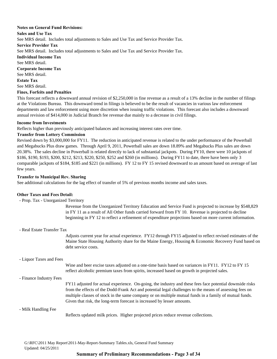### **Notes on General Fund Revisions:**

#### **Sales and Use Tax**

See MRS detail. Includes total adjustments to Sales and Use Tax and Service Provider Tax.

**Service Provider Tax**

See MRS detail. Includes total adjustments to Sales and Use Tax and Service Provider Tax.

**Individual Income Tax**

See MRS detail.

**Corporate Income Tax Estate Tax** See MRS detail. See MRS detail.

### **Fines, Forfeits and Penalties**

This forecast reflects a downward annual revision of \$2,250,000 in fine revenue as a result of a 13% decline in the number of filings at the Violations Bureau. This downward trend in filings is believed to be the result of vacancies in various law enforcement departments and law enforcement using more discretion when issuing traffic violations. This forecast also includes a downward annual revision of \$414,000 in Judicial Branch fee revenue due mainly to a decrease in civil filings.

### **Income from Investments**

Reflects higher than previously anticipated balances and increasing interest rates over time.

### **Transfer from Lottery Commission**

Revised down by \$3,000,000 for FY11. The reduction in anticipated revenue is related to the under performance of the Powerball and Megabucks Plus draw games. Through April 9, 2011, Powerball sales are down 18.89% and Megabucks Plus sales are down 20.38%. The sales decline in Powerball is related directly to lack of substantial jackpots. During FY10, there were 10 jackpots of \$186, \$190, \$193, \$200, \$212, \$213, \$220, \$250, \$252 and \$260 (in millions). During FY11 to date, there have been only 3 comparable jackpots of \$184, \$185 and \$221 (in millions). FY 12 to FY 15 revised downward to an amount based on average of last few years.

### **Transfer to Municipal Rev. Sharing**

See additional calculations for the lag effect of transfer of 5% of previous months income and sales taxes.

### **Other Taxes and Fees Detail:**

- Prop. Tax - Unorganized Territory

Revenue from the Unorganized Territory Education and Service Fund is projected to increase by \$548,829 in FY 11 as a result of All Other funds carried forward from FY 10. Revenue is projected to decline beginning in FY 12 to reflect a refinement of expenditure projections based on more current information.

- Real Estate Transfer Tax

Adjusts current year for actual experience. FY12 through FY15 adjusted to reflect revised estimates of the Maine State Housing Authority share for the Maine Energy, Housing & Economic Recovery Fund based on debt service costs.

### - Liquor Taxes and Fees

Wine and beer excise taxes adjusted on a one-time basis based on variances in FY11. FY12 to FY 15 reflect alcoholic premium taxes from spirits, increased based on growth in projected sales.

- Finance Industry Fees

FY11 adjusted for actual experience. On-going, the industry and these fees face potential downside risks from the effects of the Dodd-Frank Act and potential legal challenges to the means of assessing fees on multiple classes of stock in the same company or on multiple mutual funds in a family of mutual funds. Given that risk, the long-term forecast is increased by lesser amounts.

### - Milk Handling Fee

Reflects updated milk prices. Higher projected prices reduce revenue collections.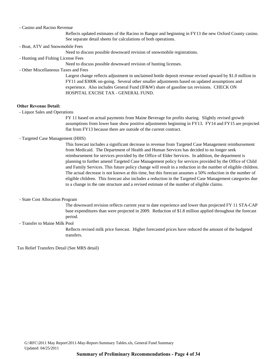#### - Casino and Racino Revenue

Reflects updated estimates of the Racino in Bangor and beginning in FY13 the new Oxford County casino. See separate detail sheets for calculations of both operations.

- Boat, ATV and Snowmobile Fees

Need to discuss possible downward revision of snowmobile registrations.

- Hunting and Fishing License Fees

Need to discuss possible downward revision of hunting licenses.

- Other Miscellaneous Taxes and Fees

Largest change reflects adjustment in unclaimed bottle deposit revenue revised upward by \$1.0 million in FY11 and \$300K on-going. Several other smaller adjustments based on updated assumptions and experience. Also includes General Fund (IF&W) share of gasoline tax revisions. CHECK ON HOSPITAL EXCISE TAX - GENERAL FUND.

#### **Other Revenue Detail:**

- Liquor Sales and Operations

FY 11 based on actual payments from Maine Beverage for profits sharing. Slightly revised growth assumptions from lower base show positive adjustments beginning in FY13. FY14 and FY15 are projected flat from FY13 because there are outside of the current contract.

#### - Targeted Case Management (HHS)

This forecast includes a significant decrease in revenue from Targeted Case Management reimbursement from Medicaid. The Department of Health and Human Services has decided to no longer seek reimbursement for services provided by the Office of Elder Services. In addition, the department is planning to further amend Targeted Case Management policy for services provided by the Office of Child and Family Services. This future policy change will result in a reduction in the number of eligible children. The actual decrease is not known at this time, but this forecast assumes a 50% reduction in the number of eligible children. This forecast also includes a reduction in the Targeted Case Management categories due to a change in the rate structure and a revised estimate of the number of eligible claims.

#### - State Cost Allocation Program

The downward revision reflects current year to date experience and lower than projected FY 11 STA-CAP base expenditures than were projected in 2009. Reduction of \$1.8 million applied throughout the forecast period.

- Transfer to Maine Milk Pool

Reflects revised milk price forecast. Higher forecasted prices have reduced the amount of the budgeted transfers.

Tax Relief Transfers Detail (See MRS detail)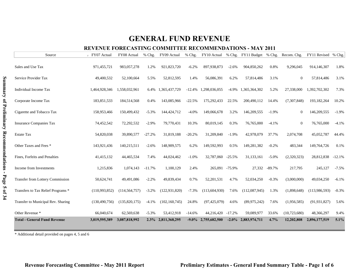### **REVENUE FORECASTING COMMITTEE RECOMMENDATIONS - MAY 2011**

| Source                                  | FY07 Actual     | FY08 Actual     | % Chg.   | FY09 Actual     | % Chg.   |                 |          | FY10 Actual % Chg. FY11 Budget % Chg. |          | Recom. Chg.    | FY11 Revised % Chg. |          |
|-----------------------------------------|-----------------|-----------------|----------|-----------------|----------|-----------------|----------|---------------------------------------|----------|----------------|---------------------|----------|
| Sales and Use Tax                       | 971,455,721     | 983,057,278     | 1.2%     | 921,823,720     | $-6.2%$  | 897,938,873     | $-2.6%$  | 904,850,262                           | 0.8%     | 9,296,045      | 914,146,307         | 1.8%     |
| Service Provider Tax                    | 49,400,532      | 52,100,664      | 5.5%     | 52,812,595      | 1.4%     | 56,086,391      | 6.2%     | 57,814,486                            | 3.1%     | $\overline{0}$ | 57,814,486          | 3.1%     |
| Individual Income Tax                   | 1,464,928,346   | 1,558,032,961   | 6.4%     | 1,365,437,729   | $-12.4%$ | 1,298,036,055   | $-4.9\%$ | 1,365,364,302                         | 5.2%     | 27,338,000     | 1,392,702,302       | 7.3%     |
| Corporate Income Tax                    | 183,851,533     | 184,514,568     | 0.4%     | 143,085,966     | $-22.5%$ | 175,292,433     | 22.5%    | 200,490,112                           | 14.4%    | (7,307,848)    | 193,182,264         | 10.2%    |
| Cigarette and Tobacco Tax               | 158,953,466     | 150,499,432     | $-5.3%$  | 144,424,712     | $-4.0%$  | 149,066,678     | 3.2%     | 146,209,555                           | $-1.9%$  | $\mathbf{0}$   | 146,209,555         | $-1.9%$  |
| <b>Insurance Companies Tax</b>          | 74,452,542      | 72,292,532      | $-2.9%$  | 79,770,431      | 10.3%    | 80,019,145      | 0.3%     | 76,765,000                            | $-4.1%$  | $\mathbf{0}$   | 76,765,000          | $-4.1%$  |
| <b>Estate Tax</b>                       | 54,820,038      | 39,890,577      | $-27.2%$ | 31,819,188      | $-20.2%$ | 31,209,840      | $-1.9%$  | 42,978,079                            | 37.7%    | 2,074,708      | 45,052,787          | 44.4%    |
| Other Taxes and Fees *                  | 143,921,436     | 140,215,511     | $-2.6%$  | 148,909,575     | 6.2%     | 149,592,993     | 0.5%     | 149,281,382                           | $-0.2%$  | 483,344        | 149,764,726         | 0.1%     |
| Fines, Forfeits and Penalties           | 41,415,132      | 44,465,534      | 7.4%     | 44,024,462      | $-1.0%$  | 32,787,060      | $-25.5%$ | 31,133,161                            | $-5.0%$  | (2,320,323)    | 28,812,838          | $-12.1%$ |
| Income from Investments                 | 1,215,836       | 1,074,143       | $-11.7%$ | 1,100,129       | 2.4%     | 265,091 -75.9%  |          | 27,332                                | $-89.7%$ | 217,795        | 245,127             | $-7.5%$  |
| <b>Transfer from Lottery Commission</b> | 50,624,741      | 49,491,086      | $-2.2%$  | 49,839,434      | 0.7%     | 52,201,531      | 4.7%     | 52,034,250                            | $-0.3%$  | (3,000,000)    | 49,034,250          | $-6.1%$  |
| Transfers to Tax Relief Programs *      | (110,993,852)   | (114, 564, 757) | $-3.2%$  | (122, 931, 820) | $-7.3%$  | (113, 604, 930) | 7.6%     | (112,087,945)                         | 1.3%     | (1,898,648)    | (113,986,593)       | $-0.3%$  |
| Transfer to Municipal Rev. Sharing      | (130, 490, 756) | (135,820,175)   | $-4.1%$  | (102, 160, 745) | 24.8%    | (97, 425, 079)  | 4.6%     | (89, 975, 242)                        | 7.6%     | (1,956,585)    | (91, 931, 827)      | 5.6%     |
| Other Revenue *                         | 66,040,674      | 62,569,638      | $-5.3%$  | 53,412,918      | $-14.6%$ | 44,216,420      | $-17.2%$ | 59,089,977                            | 33.6%    | (10,723,680)   | 48,366,297          | 9.4%     |
| <b>Total - General Fund Revenue</b>     | 3,019,595,389   | 3,087,818,992   | $2.3\%$  | 2,811,368,295   | $-9.0\%$ | 2,755,682,500   | $-2.0\%$ | 2,883,974,711                         | 4.7%     | 12,202,808     | 2,896,177,519       | 5.1%     |

\* Additional detail provided on pages 4, 5 and 6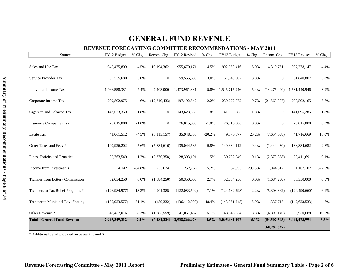### **REVENUE FORECASTING COMMITTEE RECOMMENDATIONS - MAY 2011**

| Source                                  | FY12 Budget     | % Chg.   | Recom. Chg.      | FY12 Revised    | % Chg.   | FY13 Budget     | % Chg.   | Recom. Chg.    | FY13 Revised    | % Chg.   |
|-----------------------------------------|-----------------|----------|------------------|-----------------|----------|-----------------|----------|----------------|-----------------|----------|
| Sales and Use Tax                       | 945,475,809     | 4.5%     | 10,194,362       | 955,670,171     | 4.5%     | 992,958,416     | 5.0%     | 4,319,731      | 997,278,147     | 4.4%     |
| Service Provider Tax                    | 59,555,680      | 3.0%     | $\boldsymbol{0}$ | 59,555,680      | 3.0%     | 61,840,807      | 3.8%     | $\overline{0}$ | 61,840,807      | 3.8%     |
| Individual Income Tax                   | 1,466,558,381   | 7.4%     | 7,403,000        | 1,473,961,381   | 5.8%     | 1,545,715,946   | 5.4%     | (14,275,000)   | 1,531,440,946   | 3.9%     |
| Corporate Income Tax                    | 209,802,975     | 4.6%     | (12,310,433)     | 197,492,542     | 2.2%     | 230,072,072     | 9.7%     | (21, 569, 907) | 208,502,165     | 5.6%     |
| Cigarette and Tobacco Tax               | 143,623,350     | $-1.8%$  | $\boldsymbol{0}$ | 143,623,350     | $-1.8%$  | 141,095,285     | $-1.8%$  | $\overline{0}$ | 141,095,285     | $-1.8%$  |
| <b>Insurance Companies Tax</b>          | 76,015,000      | $-1.0%$  | $\boldsymbol{0}$ | 76,015,000      | $-1.0%$  | 76,015,000      | 0.0%     | $\overline{0}$ | 76,015,000      | 0.0%     |
| <b>Estate Tax</b>                       | 41,061,512      | $-4.5%$  | (5, 113, 157)    | 35,948,355      | $-20.2%$ | 49,370,677      | 20.2%    | (7,654,008)    | 41,716,669      | 16.0%    |
| Other Taxes and Fees *                  | 140,926,202     | $-5.6%$  | (5,881,616)      | 135,044,586     | $-9.8%$  | 140,334,112     | $-0.4%$  | (1,449,430)    | 138,884,682     | 2.8%     |
| Fines, Forfeits and Penalties           | 30,763,549      | $-1.2%$  | (2,370,358)      | 28,393,191      | $-1.5%$  | 30,782,049      | 0.1%     | (2,370,358)    | 28,411,691      | 0.1%     |
| Income from Investments                 | 4,142           | $-84.8%$ | 253,624          | 257,766         | 5.2%     | 57,595          | 1290.5%  | 1,044,512      | 1,102,107       | 327.6%   |
| <b>Transfer from Lottery Commission</b> | 52,034,250      | 0.0%     | (1,684,250)      | 50,350,000      | 2.7%     | 52,034,250      | 0.0%     | (1,684,250)    | 50,350,000      | 0.0%     |
| Transfers to Tax Relief Programs *      | (126, 984, 977) | $-13.3%$ | 4,901,385        | (122,083,592)   | $-7.1%$  | (124, 182, 298) | 2.2%     | (5,308,362)    | (129, 490, 660) | $-6.1%$  |
| Transfer to Municipal Rev. Sharing      | (135, 923, 577) | $-51.1%$ | (489, 332)       | (136, 412, 909) | $-48.4%$ | (143, 961, 248) | $-5.9\%$ | 1,337,715      | (142, 623, 533) | $-4.6%$  |
| Other Revenue *                         | 42,437,016      | $-28.2%$ | (1,385,559)      | 41,051,457      | $-15.1%$ | 43,848,834      | 3.3%     | (6,898,146)    | 36,950,688      | $-10.0%$ |
| <b>Total - General Fund Revenue</b>     | 2,945,349,312   | 2.1%     | (6,482,334)      | 2,938,866,978   | 1.5%     | 3,095,981,497   | 5.1%     | (54,507,503)   | 3,041,473,994   | 3.5%     |
|                                         |                 |          |                  |                 |          |                 |          | (60,989,837)   |                 |          |

\* Additional detail provided on pages 4, 5 and 6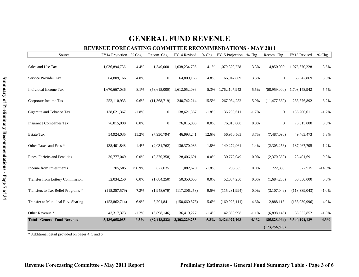### **REVENUE FORECASTING COMMITTEE RECOMMENDATIONS - MAY 2011**

| Source                              | FY14 Projection % Chg. |          | Recom. Chg.      | FY14 Revised    |         | % Chg. FY15 Projection | % Chg.  | Recom. Chg.     | FY15 Revised  | % Chg.   |
|-------------------------------------|------------------------|----------|------------------|-----------------|---------|------------------------|---------|-----------------|---------------|----------|
| Sales and Use Tax                   | 1,036,894,736          | 4.4%     | 1,340,000        | 1,038,234,736   | 4.1%    | 1,070,820,228          | 3.3%    | 4,850,000       | 1,075,670,228 | 3.6%     |
| Service Provider Tax                | 64,809,166             | 4.8%     | $\boldsymbol{0}$ | 64,809,166      | 4.8%    | 66,947,869             | 3.3%    | $\overline{0}$  | 66,947,869    | 3.3%     |
| Individual Income Tax               | 1,670,667,036          | 8.1%     | (58,615,000)     | 1,612,052,036   | 5.3%    | 1,762,107,942          | 5.5%    | (58,959,000)    | 1,703,148,942 | 5.7%     |
| Corporate Income Tax                | 252,110,933            | 9.6%     | (11, 368, 719)   | 240,742,214     | 15.5%   | 267,054,252            | 5.9%    | (11, 477, 360)  | 255,576,892   | 6.2%     |
| Cigarette and Tobacco Tax           | 138,621,367            | $-1.8%$  | $\boldsymbol{0}$ | 138,621,367     | $-1.8%$ | 136,200,611            | $-1.7%$ | $\mathbf{0}$    | 136,200,611   | $-1.7%$  |
| <b>Insurance Companies Tax</b>      | 76,015,000             | $0.0\%$  | $\mathbf{0}$     | 76,015,000      | 0.0%    | 76,015,000             | 0.0%    | $\overline{0}$  | 76,015,000    | 0.0%     |
| <b>Estate Tax</b>                   | 54,924,035             | 11.2%    | (7,930,794)      | 46,993,241      | 12.6%   | 56,950,563             | 3.7%    | (7,487,090)     | 49,463,473    | 5.3%     |
| Other Taxes and Fees *              | 138,401,848            | $-1.4%$  | (2,031,762)      | 136,370,086     | $-1.8%$ | 140,272,961            | 1.4%    | (2,305,256)     | 137,967,705   | 1.2%     |
| Fines, Forfeits and Penalties       | 30,777,049             | 0.0%     | (2,370,358)      | 28,406,691      | 0.0%    | 30,772,049             | 0.0%    | (2,370,358)     | 28,401,691    | 0.0%     |
| Income from Investments             | 205,585                | 256.9%   | 877,035          | 1,082,620       | $-1.8%$ | 205,585                | 0.0%    | 722,330         | 927,915       | $-14.3%$ |
| Transfer from Lottery Commission    | 52,034,250             | 0.0%     | (1,684,250)      | 50,350,000      | 0.0%    | 52,034,250             | 0.0%    | (1,684,250)     | 50,350,000    | 0.0%     |
| Transfers to Tax Relief Programs *  | (115, 257, 579)        | 7.2%     | (1,948,679)      | (117, 206, 258) | 9.5%    | (115, 281, 994)        | 0.0%    | (3,107,049)     | (118,389,043) | $-1.0%$  |
| Transfer to Municipal Rev. Sharing  | (153, 862, 714)        | $-6.9\%$ | 3,201,841        | (150, 660, 873) | $-5.6%$ | (160, 928, 111)        | $-4.6%$ | 2,888,115       | (158,039,996) | $-4.9%$  |
| Other Revenue *                     | 43, 317, 373           | $-1.2%$  | (6,898,146)      | 36,419,227      | $-1.4%$ | 42,850,998             | $-1.1%$ | (6,898,146)     | 35,952,852    | $-1.3%$  |
| <b>Total - General Fund Revenue</b> | 3,289,658,085          | 6.3%     | (87, 428, 832)   | 3,202,229,253   | 5.3%    | 3,426,022,203          | 4.1%    | (85,828,064)    | 3,340,194,139 | 4.3%     |
|                                     |                        |          |                  |                 |         |                        |         | (173, 256, 896) |               |          |

\* Additional detail provided on pages 4, 5 and 6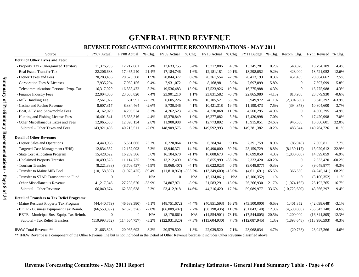### **REVENUE FORECASTING COMMITTEE RECOMMENDATIONS - MAY 2011**

| Source                                             | FY07 Actual    | FY08 Actual      | % Chg.   | FY09 Actual     | % Chg.    | FY10 Actual           |           | % Chg. FY11 Budget % Chg. Recom. Chg. |          |                | FY11 Revised % Chg. |          |
|----------------------------------------------------|----------------|------------------|----------|-----------------|-----------|-----------------------|-----------|---------------------------------------|----------|----------------|---------------------|----------|
| <b>Detail of Other Taxes and Fees:</b>             |                |                  |          |                 |           |                       |           |                                       |          |                |                     |          |
| - Property Tax - Unorganized Territory             | 11,376,293     | 12,217,081       | 7.4%     | 12,633,755      | 3.4%      | 13,217,886            | 4.6%      | 13,245,281                            | 0.2%     | 548,828        | 13,794,109          | 4.4%     |
| - Real Estate Transfer Tax                         | 22,206,638     | 17,465,240       | $-21.4%$ | 17,184,746      | $-1.6%$   | 12,181,181            | $-29.1%$  | 13,298,052                            | 9.2%     | 423,000        | 13,721,052          | 12.6%    |
| - Liquor Taxes and Fees                            | 20,283,406     | 20,673,308       | 1.9%     | 20,844,377      | 0.8%      | 20,361,554            | $-2.3%$   | 20,413,193                            | 0.3%     | 451,469        | 20,864,662          | 2.5%     |
| - Corporation Fees & Licenses                      | 7,935,294      | 7,969,156        | 0.4%     | 7,931,072       | $-0.5%$   | 8,168,981             | 3.0%      | 7,697,099                             | $-5.8%$  | $\overline{0}$ | 7,697,099           | $-5.8%$  |
| - Telecommunications Personal Prop. Tax            | 16,317,029     | 16,858,472       | 3.3%     | 19,536,483      | 15.9%     | 17,523,926            | $-10.3%$  | 16,775,988                            | $-4.3%$  | $\mathbf{0}$   | 16,775,988          | $-4.3%$  |
| - Finance Industry Fees                            | 22,004,030     | 23,638,820       | 7.4%     | 23,901,210      | 1.1%      | 23,831,582            | $-0.3%$   | 22,865,980                            | $-4.1%$  | 813,950        | 23,679,930          | $-0.6%$  |
| - Milk Handling Fee                                | 2,561,972      | 631,997          | $-75.3%$ | 6,605,226       | 945.1%    | 10,105,521            | 53.0%     | 5,949,972                             | $-41.1%$ | (2,304,580)    | 3,645,392           | $-63.9%$ |
| - Casino and Racino Revenue                        | 8,607,317      | 8,384,464        | $-2.6%$  | 8,730,346       | 4.1%      | 10,421,318            | 19.4%     | 11,199,473                            | 7.5%     | (394, 873)     | 10,804,600          | 3.7%     |
| - Boat, ATV and Snowmobile Fees                    | 4,162,079      | 4,295,524        | 3.2%     | 4,262,523       | $-0.8%$   | 4,730,068             | 11.0%     | 4,500,295                             | $-4.9%$  | $\Omega$       | 4,500,295           | $-4.9%$  |
| - Hunting and Fishing License Fees                 | 16,401,841     | 15,683,316       | $-4.4%$  | 15,378,849      | $-1.9%$   | 16,277,082            | 5.8%      | 17,420,998                            | 7.0%     | $\theta$       | 17,420,998          | 7.0%     |
| - Other Miscellaneous Taxes and Fees               | 12,065,538     | 12,398,134       | 2.8%     | 11,900,988      | $-4.0%$   | 12,773,892            | 7.3%      | 15,915,051                            | 24.6%    | 945,550        | 16,860,601          | 32.0%    |
| Subtotal - Other Taxes and Fees                    | 143,921,436    | 140,215,511      | $-2.6%$  | 148,909,575     | 6.2%      | 149,592,993           | 0.5%      | 149,281,382                           | $-0.2%$  | 483,344        | 149,764,726         | 0.1%     |
| <b>Detail of Other Revenue:</b>                    |                |                  |          |                 |           |                       |           |                                       |          |                |                     |          |
| - Liquor Sales and Operations                      | 4,440,935      | 5,561,666        | 25.2%    | 6,220,864       | 11.9%     | 6,784,941             | 9.1%      | 7,391,759                             | 8.9%     | (85,948)       | 7,305,811           | 7.7%     |
| - Targeted Case Management (HHS)                   | 12,834,382     | 12,157,093       | $-5.3%$  | 13,946,371      | 14.7%     | 19,490,000            | 39.7%     | 23,159,729                            | 18.8%    | (8, 130, 117)  | 15,029,612          | $-22.9%$ |
| - State Cost Allocation Program                    | 15,428,622     | 16,289,386       | 5.6%     | 16,104,670      | $-1.1%$   | 16,008,673            | $-0.6%$   | 16,699,059                            | 4.3%     | (1,800,000)    | 14,899,059          | $-6.9%$  |
| - Unclaimed Property Transfer                      | 10,499,528     | 11,114,735       | 5.9%     | 13,212,409      | 18.9%     | 5,855,999             | $-55.7%$  | 2,333,420                             | $-60.2%$ | $\Omega$       | 2,333,420           | $-60.2%$ |
| - Tourism Transfer                                 | (8,221,338)    | (8,708,437)      | $-5.9%$  | (9,068,407)     | $-4.1%$   | (9,022,023)           | 0.5%      | (9,048,877)                           | $-0.3%$  | $\overline{0}$ | (9,048,877)         | $-0.3%$  |
| - Transfer to Maine Milk Pool                      | (10, 158, 802) | (1,078,425)      | 89.4%    | (11,810,960)    | $-995.2%$ | $(13,349,600)$ -13.0% |           | (4,611,691)                           | 65.5%    | 366,550        | (4,245,141)         | 68.2%    |
| - Transfer to STAR Transportation Fund             | $\mathbf{0}$   | $\Omega$         | N/A      | $\theta$        | N/A       | (3,134,861)           | N/A       | (3,100,352)                           | 1.1%     | $\mathbf{0}$   | (3,100,352)         | 1.1%     |
| - Other Miscellaneous Revenue                      | 41,217,346     | 27,233,620       | $-33.9%$ | 24,807,971      | $-8.9%$   | 21,583,291            | $-13.0\%$ | 26,266,930                            | 21.7%    | (1,074,165)    | 25,192,765          | 16.7%    |
| Subtotal - Other Revenue                           | 66,040,674     | 62,569,638       | $-5.3%$  | 53,412,918      | $-14.6%$  | 44,216,420            | $-17.2%$  | 59,089,977                            | 33.6%    | (10, 723, 680) | 48,366,297          | 9.4%     |
| <b>Detail of Transfers to Tax Relief Programs:</b> |                |                  |          |                 |           |                       |           |                                       |          |                |                     |          |
| - Maine Resident Property Tax Program              | (44, 440, 759) | (46,689,380)     | $-5.1%$  | (48, 751, 672)  | $-4.4%$   | (40, 851, 593)        | 16.2%     | (43,500,000)                          | $-6.5\%$ | 1,401,352      | (42,098,648)        | $-3.1%$  |
| - BETR - Business Equipment Tax Reimb.             | (66, 553, 092) | (67, 875, 376)   | $-2.0%$  | (66,009,487)    | 2.7%      | (58, 198, 436)        | 11.8%     | (51,043,140)                          | 12.3%    | (4,500,000)    | (55,543,140)        | 4.6%     |
| - BETE - Municipal Bus. Equip. Tax Reimb.          | $\mathbf{0}$   | $\boldsymbol{0}$ | N/A      | (8,170,661)     | N/A       | $(14,554,901)$ -78.1% |           | (17,544,805)                          | $-20.5%$ | 1,200,000      | (16,344,805)        | $-12.3%$ |
| Subtotal - Tax Relief Transfers                    | (110,993,852)  | (114, 564, 757)  | $-3.2%$  | (122, 931, 820) | $-7.3%$   | (113, 604, 930)       | 7.6%      | (112,087,945)                         | 1.3%     | (1,898,648)    | (113,986,593)       | $-0.3%$  |
| IF&W Total Revenue **                              | 21,663,828     | 20,965,692       | $-3.2%$  | 20,579,500      | $-1.8%$   | 22,039,520            | 7.1%      | 23,068,034                            | 4.7%     | (20,768)       | 23,047,266          | 4.6%     |

of the Other Revenue line but is not included in the Detail of Other Revenue because it includes Other Revenue classified above.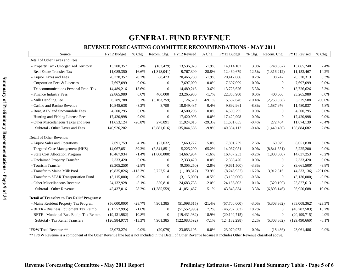### **REVENUE FORECASTING COMMITTEE RECOMMENDATIONS - MAY 2011**

| Source                                             | FY12 Budget     | % Chg.    | Recom. Chg.      | FY12 Revised   | % Chg.   | FY13 Budget     | % Chg.   | Recom. Chg.      | FY13 Revised    | % Chg.    |
|----------------------------------------------------|-----------------|-----------|------------------|----------------|----------|-----------------|----------|------------------|-----------------|-----------|
| Detail of Other Taxes and Fees:                    |                 |           |                  |                |          |                 |          |                  |                 |           |
| - Property Tax - Unorganized Territory             | 13,700,357      | 3.4%      | (163, 429)       | 13,536,928     | $-1.9%$  | 14,114,107      | 3.0%     | (248, 867)       | 13,865,240      | 2.4%      |
| - Real Estate Transfer Tax                         | 11,085,350      | $-16.6%$  | (1,318,041)      | 9,767,309      | $-28.8%$ | 12,469,679      | 12.5%    | (1,316,212)      | 11,153,467      | 14.2%     |
| - Liquor Taxes and Fees                            | 20,378,357      | $-0.2%$   | 88,423           | 20,466,780     | $-1.9%$  | 20,412,066      | 0.2%     | 108,247          | 20,520,313      | 0.3%      |
| - Corporation Fees & Licenses                      | 7,697,099       | 0.0%      | $\mathbf{0}$     | 7,697,099      | 0.0%     | 7,697,099       | 0.0%     | $\Omega$         | 7,697,099       | 0.0%      |
| - Telecommunications Personal Prop. Tax            | 14,489,216      | $-13.6%$  | $\overline{0}$   | 14,489,216     | $-13.6%$ | 13,726,626      | $-5.3%$  | $\overline{0}$   | 13,726,626      | $-5.3%$   |
| - Finance Industry Fees                            | 22,865,980      | 0.0%      | 400,000          | 23,265,980     | $-1.7%$  | 22,865,980      | 0.0%     | 400,000          | 23,265,980      | 0.0%      |
| - Milk Handling Fee                                | 6,289,788       | 5.7%      | (5,163,259)      | 1,126,529      | $-69.1%$ | 5,632,646       | $-10.4%$ | (2,253,058)      | 3,379,588       | 200.0%    |
| - Casino and Racino Revenue                        | 10,845,638      | $-3.2%$   | 3,799            | 10,849,437     | 0.4%     | 9,892,961       | $-8.8%$  | 1,587,976        | 11,480,937      | 5.8%      |
| - Boat, ATV and Snowmobile Fees                    | 4,500,295       | 0.0%      | $\overline{0}$   | 4,500,295      | 0.0%     | 4,500,295       | 0.0%     | $\overline{0}$   | 4,500,295       | 0.0%      |
| - Hunting and Fishing License Fees                 | 17,420,998      | 0.0%      | $\boldsymbol{0}$ | 17,420,998     | 0.0%     | 17,420,998      | 0.0%     | $\overline{0}$   | 17,420,998      | 0.0%      |
| - Other Miscellaneous Taxes and Fees               | 11,653,124      | $-26.8%$  | 270,891          | 11,924,015     | $-29.3%$ | 11,601,655      | $-0.4%$  | 272,484          | 11,874,139      | $-0.4%$   |
| Subtotal - Other Taxes and Fees                    | 140,926,202     |           | (5,881,616)      | 135,044,586    | $-9.8%$  | 140,334,112     | $-0.4%$  | (1,449,430)      | 138,884,682     | 2.8%      |
| Detail of Other Revenue:                           |                 |           |                  |                |          |                 |          |                  |                 |           |
| - Liquor Sales and Operations                      | 7,691,759       | 4.1%      | (22,032)         | 7,669,727      | 5.0%     | 7,891,759       | 2.6%     | 160,079          | 8,051,838       | 5.0%      |
| - Targeted Case Management (HHS)                   | 14,067,051      | $-39.3%$  | (8,841,851)      | 5,225,200      | $-65.2%$ | 14,067,051      | 0.0%     | (8,841,851)      | 5,225,200       | 0.0%      |
| - State Cost Allocation Program                    | 16,467,934      | $-1.4%$   | (1,800,000)      | 14,667,934     | $-1.6%$  | 16,437,253      | $-0.2%$  | (1,800,000)      | 14,637,253      | $-0.2%$   |
| - Unclaimed Property Transfer                      | 2,333,420       | 0.0%      | $\boldsymbol{0}$ | 2,333,420      | 0.0%     | 2,333,420       | 0.0%     | $\overline{0}$   | 2,333,420       | 0.0%      |
| - Tourism Transfer                                 | (9,305,250)     | $-2.8%$   | $\boldsymbol{0}$ | (9,305,250)    | $-2.8%$  | (9,661,500)     | $-3.8%$  | $\overline{0}$   | (9,661,500)     | $-3.8%$   |
| - Transfer to Maine Milk Pool                      | (9,835,826)     | $-113.3%$ | 8,727,514        | (1,108,312)    | 73.9%    | (8,245,952)     | 16.2%    | 3,912,816        | (4,333,136)     | $-291.0%$ |
| - Transfer to STAR Transportation Fund             | (3,115,000)     | $-0.5%$   | $\boldsymbol{0}$ | (3,115,000)    | $-0.5%$  | (3,130,000)     | $-0.5%$  | $\mathbf{0}$     | (3,130,000)     | $-0.5%$   |
| - Other Miscellaneous Revenue                      | 24,132,928      | $-8.1%$   | 550,810          | 24,683,738     | $-2.0%$  | 24,156,803      | 0.1%     | (329, 190)       | 23,827,613      | $-3.5%$   |
| Subtotal - Other Revenue                           | 42,437,016      | $-28.2%$  | (1,385,559)      | 41,051,457     | $-15.1%$ | 43,848,834      | 3.3%     | (6,898,146)      | 36,950,688      | $-10.0%$  |
| <b>Detail of Transfers to Tax Relief Programs:</b> |                 |           |                  |                |          |                 |          |                  |                 |           |
| - Maine Resident Property Tax Program              | (56,000,000)    | $-28.7%$  | 4,901,385        | (51,098,615)   | $-21.4%$ | (57,700,000)    | $-3.0%$  | (5,308,362)      | (63,008,362)    | $-23.3%$  |
| - BETR - Business Equipment Tax Reimb.             | (51, 552, 995)  | $-1.0%$   | $\boldsymbol{0}$ | (51, 552, 995) | 7.2%     | (46, 282, 583)  | 10.2%    | $\mathbf{0}$     | (46, 282, 583)  | 10.2%     |
| - BETE - Municipal Bus. Equip. Tax Reimb.          | (19, 431, 982)  | $-10.8%$  | $\boldsymbol{0}$ | (19, 431, 982) | $-18.9%$ | (20, 199, 715)  | $-4.0%$  | $\boldsymbol{0}$ | (20, 199, 715)  | $-4.0%$   |
| Subtotal - Tax Relief Transfers                    | (126, 984, 977) | $-13.3%$  | 4,901,385        | (122,083,592)  | $-7.1%$  | (124, 182, 298) | 2.2%     | (5,308,362)      | (129, 490, 660) | $-6.1%$   |
| IF&W Total Revenue **                              | 23,073,274      | 0.0%      | (20,079)         | 23,053,195     | 0.0%     | 23,079,972      | 0.0%     | (18, 486)        | 23,061,486      | 0.0%      |

\*\* IF&W Revenue is a component of the Other Revenue line but is not included in the Detail of Other Revenue because it includes Other Revenue classified above.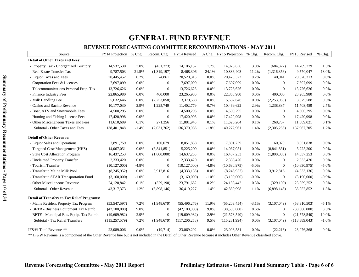### **REVENUE FORECASTING COMMITTEE RECOMMENDATIONS - MAY 2011**

| Source                                             | FY14 Projection % Chg. |          | Recom. Chg.      | FY14 Revised   |          | % Chg. FY15 Projection | $%$ Chg.  | Recom. Chg.    | FY15 Revised  | % Chg.   |
|----------------------------------------------------|------------------------|----------|------------------|----------------|----------|------------------------|-----------|----------------|---------------|----------|
| <b>Detail of Other Taxes and Fees:</b>             |                        |          |                  |                |          |                        |           |                |               |          |
| - Property Tax - Unorganized Territory             | 14,537,530             | 3.0%     | (431,373)        | 14,106,157     | 1.7%     | 14,973,656             | 3.0%      | (684, 377)     | 14,289,279    | 1.3%     |
| - Real Estate Transfer Tax                         | 9,787,503              | $-21.5%$ | (1,319,197)      | 8,468,306      | $-24.1%$ | 10,886,403             | 11.2%     | (1,316,356)    | 9,570,047     | 13.0%    |
| - Liquor Taxes and Fees                            | 20,445,452             | 0.2%     | 74,861           | 20,520,313     | 0.0%     | 20,479,372             | 0.2%      | 40,941         | 20,520,313    | 0.0%     |
| - Corporation Fees & Licenses                      | 7,697,099              | 0.0%     | $\theta$         | 7,697,099      | 0.0%     | 7,697,099              | 0.0%      | $\theta$       | 7,697,099     | 0.0%     |
| - Telecommunications Personal Prop. Tax            | 13,726,626             | 0.0%     | $\mathbf{0}$     | 13,726,626     | 0.0%     | 13,726,626             | 0.0%      | $\mathbf{0}$   | 13,726,626    | 0.0%     |
| - Finance Industry Fees                            | 22,865,980             | 0.0%     | 400,000          | 23,265,980     | 0.0%     | 22,865,980             | 0.0%      | 400,000        | 23,265,980    | 0.0%     |
| - Milk Handling Fee                                | 5,632,646              | 0.0%     | (2,253,058)      | 3,379,588      | 0.0%     | 5,632,646              | 0.0%      | (2,253,058)    | 3,379,588     | 0.0%     |
| - Casino and Racino Revenue                        | 10,177,030             | 2.9%     | 1,225,749        | 11,402,779     | $-0.7%$  | 10,469,622             | 2.9%      | 1,238,837      | 11,708,459    | 2.7%     |
| - Boat, ATV and Snowmobile Fees                    | 4,500,295              | 0.0%     | $\mathbf{0}$     | 4,500,295      | 0.0%     | 4,500,295              | 0.0%      | $\overline{0}$ | 4,500,295     | 0.0%     |
| - Hunting and Fishing License Fees                 | 17,420,998             | 0.0%     | $\mathbf{0}$     | 17,420,998     | 0.0%     | 17,420,998             | 0.0%      | $\mathbf{0}$   | 17,420,998    | 0.0%     |
| - Other Miscellaneous Taxes and Fees               | 11,610,689             | 0.1%     | 271,256          | 11,881,945     | 0.1%     | 11,620,264             | 0.1%      | 268,757        | 11,889,021    | 0.1%     |
| Subtotal - Other Taxes and Fees                    | 138,401,848            | $-1.4%$  | (2,031,762)      | 136,370,086    | $-1.8%$  | 140,272,961            | 1.4%      | (2,305,256)    | 137,967,705   | 1.2%     |
| <b>Detail of Other Revenue:</b>                    |                        |          |                  |                |          |                        |           |                |               |          |
| - Liquor Sales and Operations                      | 7,891,759              | 0.0%     | 160,079          | 8,051,838      | 0.0%     | 7,891,759              | 0.0%      | 160,079        | 8,051,838     | 0.0%     |
| - Targeted Case Management (HHS)                   | 14,067,051             | 0.0%     | (8,841,851)      | 5,225,200      | 0.0%     | 14,067,051             | 0.0%      | (8,841,851)    | 5,225,200     | 0.0%     |
| - State Cost Allocation Program                    | 16,437,253             | 0.0%     | (1,800,000)      | 14,637,253     | 0.0%     | 16,437,253             | 0.0%      | (1,800,000)    | 14,637,253    | 0.0%     |
| - Unclaimed Property Transfer                      | 2,333,420              | 0.0%     | $\mathbf{0}$     | 2,333,420      | 0.0%     | 2,333,420              | 0.0%      | $\overline{0}$ | 2,333,420     | 0.0%     |
| - Tourism Transfer                                 | (10, 127, 000)         | $-4.8%$  | $\boldsymbol{0}$ | (10, 127, 000) | $-4.8%$  | (10,630,975)           | $-5.0\%$  | $\mathbf{0}$   | (10,630,975)  | $-5.0%$  |
| - Transfer to Maine Milk Pool                      | (8,245,952)            | 0.0%     | 3,912,816        | (4,333,136)    | 0.0%     | (8,245,952)            | 0.0%      | 3,912,816      | (4,333,136)   | 0.0%     |
| - Transfer to STAR Transportation Fund             | (3,160,000)            | $-1.0%$  | $\boldsymbol{0}$ | (3,160,000)    | $-1.0%$  | (3,190,000)            | $-0.9%$   | $\mathbf{0}$   | (3,190,000)   | $-0.9%$  |
| - Other Miscellaneous Revenue                      | 24,120,842             | $-0.1%$  | (329, 190)       | 23,791,652     | $-0.2%$  | 24,188,442             | 0.3%      | (329,190)      | 23,859,252    | 0.3%     |
| Subtotal - Other Revenue                           | 43, 317, 373           | $-1.2%$  | (6,898,146)      | 36,419,227     | $-1.4%$  | 42,850,998             | $-1.1%$   | (6,898,146)    | 35,952,852    | $-1.3%$  |
| <b>Detail of Transfers to Tax Relief Programs:</b> |                        |          |                  |                |          |                        |           |                |               |          |
| - Maine Resident Property Tax Program              | (53, 547, 597)         | 7.2%     | (1,948,679)      | (55, 496, 276) | 11.9%    | (55,203,454)           | $-3.1%$   | (3,107,049)    | (58,310,503)  | $-5.1%$  |
| - BETR - Business Equipment Tax Reimb.             | (42,100,000)           | 9.0%     | $\mathbf{0}$     | (42,100,000)   | 9.0%     | (38,500,000)           | 8.6%      | $\overline{0}$ | (38,500,000)  | 8.6%     |
| - BETE - Municipal Bus. Equip. Tax Reimb.          | (19,609,982)           | 2.9%     | $\boldsymbol{0}$ | (19,609,982)   | 2.9%     | (21,578,540)           | $-10.0\%$ | $\mathbf{0}$   | (21,578,540)  | $-10.0%$ |
| Subtotal - Tax Relief Transfers                    | (115, 257, 579)        | 7.2%     | (1,948,679)      | (117,206,258)  | 9.5%     | (115, 281, 994)        | 0.0%      | (3,107,049)    | (118,389,043) | $-1.0%$  |
| IF&W Total Revenue **                              | 23,089,006             | 0.0%     | (19,714)         | 23,069,292     | 0.0%     | 23,098,581             | 0.0%      | (22, 213)      | 23,076,368    | 0.0%     |

\*\* IF&W Revenue is a component of the Other Revenue line but is not included in the Detail of Other Revenue because it includes Other Revenue classified above.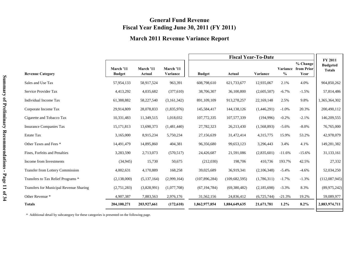## **General Fund Revenue Fiscal Year Ending June 30, 2011 (FY 2011)**

### **March 2011 Revenue Variance Report**

|                                         |                            |                     |                       | <b>Fiscal Year-To-Date</b> |                 |             |               |                                         | FY 2011                          |
|-----------------------------------------|----------------------------|---------------------|-----------------------|----------------------------|-----------------|-------------|---------------|-----------------------------------------|----------------------------------|
| <b>Revenue Category</b>                 | March '11<br><b>Budget</b> | March '11<br>Actual | March '11<br>Variance | <b>Budget</b>              | Actual          | Variance    | $\frac{6}{6}$ | % Change<br>Variance from Prior<br>Year | <b>Budgeted</b><br><b>Totals</b> |
| Sales and Use Tax                       | 57,954,133                 | 58,917,524          | 963,391               | 608,798,610                | 621,733,677     | 12,935,067  | 2.1%          | 4.0%                                    | 904,850,262                      |
| Service Provider Tax                    | 4,413,292                  | 4,035,682           | (377,610)             | 38,706,307                 | 36,100,800      | (2,605,507) | $-6.7\%$      | $-1.5%$                                 | 57,814,486                       |
| Individual Income Tax                   | 61,388,882                 | 58,227,540          | (3,161,342)           | 891,109,109                | 913,278,257     | 22,169,148  | 2.5%          | 9.8%                                    | 1,365,364,302                    |
| Corporate Income Tax                    | 29,914,809                 | 28,078,833          | (1,835,976)           | 145,584,417                | 144, 138, 126   | (1,446,291) | $-1.0%$       | 20.3%                                   | 200,490,112                      |
| Cigarette and Tobacco Tax               | 10,331,483                 | 11,349,515          | 1,018,032             | 107,772,335                | 107,577,339     | (194,996)   | $-0.2%$       | $-2.1%$                                 | 146,209,555                      |
| <b>Insurance Companies Tax</b>          | 15, 171, 813               | 13,690,373          | (1,481,440)           | 27,782,323                 | 26,213,430      | (1,568,893) | $-5.6%$       | $-8.0\%$                                | 76,765,000                       |
| <b>Estate Tax</b>                       | 3,165,000                  | 8,915,234           | 5,750,234             | 27,156,639                 | 31,472,414      | 4,315,775   | 15.9%         | 53.2%                                   | 42,978,079                       |
| Other Taxes and Fees *                  | 14,491,479                 | 14,895,860          | 404,381               | 96,356,680                 | 99,653,123      | 3,296,443   | 3.4%          | 4.1%                                    | 149,281,382                      |
| Fines, Forfeits and Penalties           | 3,283,590                  | 2,713,073           | (570, 517)            | 24,426,687                 | 21,591,086      | (2,835,601) | $-11.6%$      | $-15.6%$                                | 31,133,161                       |
| Income from Investments                 | (34, 945)                  | 15,730              | 50,675                | (212,030)                  | 198,706         | 410,736     | 193.7%        | 42.5%                                   | 27,332                           |
| Transfer from Lottery Commission        | 4,002,631                  | 4,170,889           | 168,258               | 39,025,689                 | 36,919,341      | (2,106,348) | $-5.4%$       | $-4.6%$                                 | 52,034,250                       |
| Transfers to Tax Relief Programs *      | (2,138,000)                | (5,137,164)         | (2,999,164)           | (107, 896, 284)            | (109, 682, 595) | (1,786,311) | $-1.7%$       | $-1.3%$                                 | (112,087,945)                    |
| Transfers for Municipal Revenue Sharing | (2,751,283)                | (3,828,991)         | (1,077,708)           | (67, 194, 784)             | (69,380,482)    | (2,185,698) | $-3.3%$       | 8.3%                                    | (89, 975, 242)                   |
| Other Revenue *                         | 4,907,387                  | 7,883,563           | 2,976,176             | 31,562,156                 | 24,836,412      | (6,725,744) | $-21.3%$      | 19.2%                                   | 59,089,977                       |
| <b>Totals</b>                           | 204,100,271                | 203,927,661         | (172,610)             | 1,862,977,854              | 1,884,649,635   | 21,671,781  | $1.2\%$       | 8.2%                                    | 2,883,974,711                    |

\* Additional detail by subcategory for these categories is presented on the following page.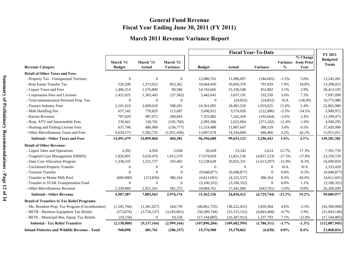## **General Fund Revenue Fiscal Year Ending June 30, 2011 (FY 2011)**

## **March 2011 Revenue Variance Report**

|                                                      |                            |                            |                       | <b>Fiscal Year-To-Date</b> |                 |                  |               |                                                |                                                    |
|------------------------------------------------------|----------------------------|----------------------------|-----------------------|----------------------------|-----------------|------------------|---------------|------------------------------------------------|----------------------------------------------------|
| <b>Revenue Category</b>                              | March '11<br><b>Budget</b> | March '11<br><b>Actual</b> | March '11<br>Variance | <b>Budget</b>              | Actual          | Variance         | $\frac{0}{0}$ | % Change<br><b>Variance from Prior</b><br>Year | <b>FY 2011</b><br><b>Budgeted</b><br><b>Totals</b> |
| <b>Detail of Other Taxes and Fees:</b>               |                            |                            |                       |                            |                 |                  |               |                                                |                                                    |
| - Property Tax - Unorganized Territory               | $\theta$                   | $\mathbf{0}$               | $\mathbf{0}$          | 12,080,762                 | 11,896,097      | (184, 665)       | $-1.5%$       | 5.0%                                           | 13,245,281                                         |
| - Real Estate Transfer Tax                           | 520,290                    | 1,373,652                  | 853,362               | 10,064,450                 | 10,856,379      | 791,929          | 7.9%          | 18.8%                                          | 13,298,052                                         |
| - Liquor Taxes and Fees                              | 1,496,214                  | 1,576,800                  | 80,586                | 14,743,666                 | 15,196,548      | 452,882          | 3.1%          | 2.9%                                           | 20,413,193                                         |
| - Corporation Fees and Licenses                      | 1,421,025                  | 1,383,443                  | (37, 582)             | 3,443,641                  | 3,637,191       | 193,550          | 5.6%          | 7.3%                                           | 7,697,099                                          |
| - Telecommunication Personal Prop. Tax               | $\mathbf{0}$               | $\mathbf{0}$               | $\theta$              | $\overline{0}$             | (24, 852)       | (24, 852)        | N/A           | $-136.8%$                                      | 16,775,988                                         |
| - Finance Industry Fees                              | 2,101,419                  | 2,609,620                  | 508,201               | 16,561,695                 | 18,481,520      | 1,919,825        | 11.6%         | 5.4%                                           | 22,865,980                                         |
| - Milk Handling Fee                                  | 657,142                    | 770,829                    | 113,687               | 3,696,912                  | 3,574,026       | (122, 886)       | $-3.3%$       | $-54.5%$                                       | 5,949,972                                          |
| - Racino Revenue                                     | 787,029                    | 987,072                    | 200,043               | 7,355,082                  | 7,162,418       | (192, 664)       | $-2.6%$       | 2.4%                                           | 11,199,473                                         |
| - Boat, ATV and Snowmobile Fees                      | 236,441                    | 130,741                    | (105,700)             | 2,993,306                  | 2,622,064       | (371, 242)       | $-12.4%$      | $-1.0%$                                        | 4,500,295                                          |
| - Hunting and Fishing License Fees                   | 637,746                    | 480,969                    | (156,777)             | 11,519,488                 | 11,907,647      | 388,159          | 3.4%          | 0.5%                                           | 17,420,998                                         |
| - Other Miscellaneous Taxes and Fees                 | 6,634,173                  | 5,582,735                  | (1,051,438)           | 13,897,678                 | 14,344,084      | 446,406          | 3.2%          | 42.2%                                          | 15,915,051                                         |
| <b>Subtotal - Other Taxes and Fees</b>               | 14,491,479                 | 14,895,860                 | 404,381               | 96,356,680                 | 99,653,123      | 3,296,443        | 3.4%          | 4.1%                                           | 149,281,382                                        |
| <b>Detail of Other Revenue:</b>                      |                            |                            |                       |                            |                 |                  |               |                                                |                                                    |
| - Liquor Sales and Operations                        | 2,292                      | 4,950                      | 2,658                 | 20,628                     | 23,242          | 2,614            | 12.7%         | 17.3%                                          | 7,391,759                                          |
| - Targeted Case Management (DHHS)                    | 1,826,891                  | 3,639,470                  | 1,812,579             | 17,679,059                 | 12,821,536      | (4,857,523)      | $-27.5%$      | $-17.8%$                                       | 23,159,729                                         |
| - State Cost Allocation Program                      | 1,338,335                  | 1,531,737                  | 193,402               | 12,538,628                 | 10,925,331      | (1,613,297)      | $-12.9%$      | $-8.3%$                                        | 16,699,059                                         |
| - Unclaimed Property Transfer                        | $\boldsymbol{0}$           | $\mathbf{0}$               | $\boldsymbol{0}$      | $\overline{0}$             | $\mathbf{0}$    | $\boldsymbol{0}$ | N/A           | N/A                                            | 2,333,420                                          |
| - Toursim Transfer                                   | $\Omega$                   | $\overline{0}$             | $\theta$              | (9,048,877)                | (9,048,877)     | $\overline{0}$   | 0.0%          | $-0.3%$                                        | (9,048,877)                                        |
| - Transfer to Maine Milk Pool                        | (600,000)                  | (213, 836)                 | 386,164               | (4,611,691)                | (4,225,527)     | 386,164          | 8.4%          | 60.6%                                          | (4,611,691)                                        |
| - Transfer to STAR Transportation Fund               | $\mathbf{0}$               | $\mathbf{0}$               | $\theta$              | (3,100,352)                | (3,100,352)     | $\mathbf{0}$     | 0.0%          | 1.1%                                           | (3,100,352)                                        |
| - Other Miscellaneous Revenue                        | 2,339,869                  | 2,921,241                  | 581,372               | 18,084,761                 | 17,441,060      | (643,701)        | $-3.6%$       | 8.0%                                           | 26,266,930                                         |
| <b>Subtotal - Other Revenue</b>                      | 4,907,387                  | 7,883,563                  | 2,976,176             | 31,562,156                 | 24,836,412      | (6,725,744)      | $-21.3%$      | 19.2%                                          | 59,089,977                                         |
| <b>Detail of Transfers to Tax Relief Programs:</b>   |                            |                            |                       |                            |                 |                  |               |                                                |                                                    |
| - Me. Resident Prop. Tax Program (Circuitbreaker)    | (1,545,766)                | (1,381,027)                | 164,739               | (40,061,735)               | (38, 222, 431)  | 1,839,304        | 4.6%          | $-3.3%$                                        | (43,500,000)                                       |
| - BETR - Business Equipment Tax Reimb.               | (573,076)                  | (3,756,137)                | (3,183,061)           | (50, 289, 744)             | (55, 153, 152)  | (4,863,408)      | $-9.7%$       | 2.9%                                           | (51,043,140)                                       |
| - BETE - Municipal Bus. Equip. Tax Reimb.            | (19, 158)                  | $\overline{0}$             | 19,158                | (17,544,805)               | (16,307,012)    | 1,237,793        | 7.1%          | $-12.8%$                                       | (17,544,805)                                       |
| <b>Subtotal - Tax Relief Transfers</b>               | (2, 138, 000)              | (5, 137, 164)              | (2,999,164)           | (107, 896, 284)            | (109, 682, 595) | (1,786,311)      | $-1.7%$       | $-1.3%$                                        | (112,087,945)                                      |
| <b>Inland Fisheries and Wildlife Revenue - Total</b> | 968,098                    | 681,761                    | (286, 337)            | 15,376,900                 | 15,370,862      | (6,038)          | $0.0\%$       | $0.4\%$                                        | 23,068,034                                         |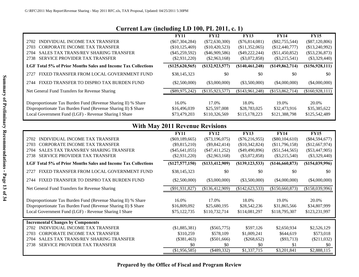## **Current Law (including LD 100, PL 2011, c. 1)**

|                                                                | ັ                |                  |                  |                  |                    |
|----------------------------------------------------------------|------------------|------------------|------------------|------------------|--------------------|
|                                                                | <b>FY11</b>      | <b>FY12</b>      | <b>FY13</b>      | <b>FY14</b>      | <b>FY15</b>        |
| INDIVIDUAL INCOME TAX TRANSFER<br>2702                         | $(\$67,304,284)$ | $(\$72,630,300)$ | $(\$76,814,081)$ | $(\$82,755,544)$ | $(\$87,120,806)$   |
| CORPORATE INCOME TAX TRANSFER<br>2703                          | (\$10,125,469)   | (\$10,420,523)   | (\$11,352,065)   | (\$12,440,777)   | (\$13,240,992)     |
| <b>SALES TAX TRANS/REV SHARING TRANSFER</b><br>2704            | $(\$45,259,592)$ | $(\$46,909,586)$ | $(\$49,222,244)$ | $(\$51,450,852)$ | $(\$53,236,873)$   |
| <b>SERVICE PROVIDER TAX TRANSFER</b><br>2738                   | $(\$2,931,220)$  | $(\$2,963,168)$  | $(\$3,072,858)$  | $(\$3,215,541)$  | $(\$3,329,440)$    |
| LGF Total 5% of Prior Months Sales and Income Tax Collections  | (\$125,620,565)  | (S132, 923, 577) | (\$140,461,248)  | (\$149,862,714)  | $($ \$156,928,111) |
| FIXED TRANSFER FROM LOCAL GOVERNMENT FUND<br>2727              | \$38,145,323     | \$0              | \$0              | \$0              | \$0                |
| FIXED TRANSFER TO DISPRO TAX BURDEN FUND<br>2744               | $(\$2,500,000)$  | $(\$3,000,000)$  | $(\$3,500,000)$  | $(\$4,000,000)$  | $(\$4,000,000)$    |
| Net General Fund Transfers for Revenue Sharing                 | $(\$89,975,242)$ | (\$135,923,577)  | (\$143,961,248)  | (\$153,862,714)  | (\$160,928,111)    |
|                                                                |                  |                  |                  |                  |                    |
| Disproportionate Tax Burden Fund (Revenue Sharing II) % Share  | 16.0%            | 17.0%            | 18.0%            | 19.0%            | 20.0%              |
| Disproportionate Tax Burden Fund (Revenue Sharing II) \$ Share | \$16,496,039     | \$25,597,008     | \$28,783,025     | \$32,473,916     | \$35,385,622       |
| Local Government Fund (LGF) - Revenue Sharing I Share          | \$73,479,203     | \$110,326,569    | \$115,178,223    | \$121,388,798    | \$125,542,489      |
|                                                                |                  |                  |                  |                  |                    |

## **With May 2011 Revenue Revisions**

|                                                                | <b>FY11</b>      | <b>FY12</b>      | <b>FY13</b>      | <b>FY14</b>      | <b>FY15</b>        |
|----------------------------------------------------------------|------------------|------------------|------------------|------------------|--------------------|
| INDIVIDUAL INCOME TAX TRANSFER<br>2702                         | $(\$69,189,665)$ | $(\$73,196,075)$ | $(\$76,216,955)$ | $(\$80,104,610)$ | $(\$84,594,677)$   |
| <b>CORPORATE INCOME TAX TRANSFER</b><br>2703                   | $(\$9,815,210)$  | $(\$9,842,414)$  | $(\$10,342,824)$ | (\$11,796,158)   | (\$12,667,974)     |
| <b>SALES TAX TRANS/REV SHARING TRANSFER</b><br>2704            | $(\$45,641,055)$ | $(\$47,411,252)$ | $(\$49,490,896)$ | $(\$51,544,565)$ | $(\$53,447,905)$   |
| <b>SERVICE PROVIDER TAX TRANSFER</b><br>2738                   | $(\$2,931,220)$  | $(\$2,963,168)$  | $(\$3,072,858)$  | $(\$3,215,540)$  | $(\$3,329,440)$    |
| LGF Total 5% of Prior Months Sales and Income Tax Collections  | (S127, 577, 150) | (S133, 412, 909) | (S139, 123, 533) | (S146, 660, 873) | $($ \$154,039,996) |
| FIXED TRANSFER FROM LOCAL GOVERNMENT FUND<br>2727              | \$38,145,323     | \$0              | \$0              | \$0              | \$0                |
| FIXED TRANSFER TO DISPRO TAX BURDEN FUND<br>2744               | $(\$2,500,000)$  | $(\$3,000,000)$  | $(\$3,500,000)$  | $(\$4,000,000)$  | $(\$4,000,000)$    |
| Net General Fund Transfers for Revenue Sharing                 | $(\$91,931,827)$ | (\$136,412,909)  | (\$142,623,533)  | (\$150,660,873)  | (\$158,039,996)    |
|                                                                |                  |                  |                  |                  |                    |
| Disproportionate Tax Burden Fund (Revenue Sharing II) % Share  | 16.0%            | 17.0%            | 18.0%            | 19.0%            | 20.0%              |
| Disproportionate Tax Burden Fund (Revenue Sharing II) \$ Share | \$16,809,092     | \$25,680,195     | \$28,542,236     | \$31,865,566     | \$34,807,999       |
| Local Government Fund (LGF) - Revenue Sharing I Share          | \$75,122,735     | \$110,732,714    | \$114,081,297    | \$118,795,307    | \$123,231,997      |
| <b>Incremental Changes by Components</b>                       |                  |                  |                  |                  |                    |
| INDIVIDUAL INCOME TAX TRANSFER<br>2702                         | (\$1,885,381)    | $(\$565,775)$    | \$597,126        | \$2,650,934      | \$2,526,129        |
| <b>CORPORATE INCOME TAX TRANSFER</b><br>2703                   | \$310,259        | \$578,109        | \$1,009,241      | \$644,619        | \$573,018          |
| <b>SALES TAX TRANS/REV SHARING TRANSFER</b><br>2704            | $(\$381,463)$    | $(\$501,666)$    | $(\$268,652)$    | $(\$93,713)$     | $(\$211,032)$      |
| <b>SERVICE PROVIDER TAX TRANSFER</b><br>2738                   | \$0              | \$0              | \$0              | \$1              | \$0                |
|                                                                | (\$1,956,585)    | $(\$489,332)$    | \$1,337,715      | \$3,201,841      | \$2,888,115        |

**Prepared by the Office of Fiscal and Program Review**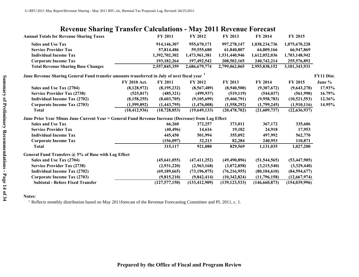|  |  | <b>Revenue Sharing Transfer Calculations - May 2011 Revenue Forecast</b> |
|--|--|--------------------------------------------------------------------------|
|  |  |                                                                          |

|                | <b>FY 2011</b>                                      | <b>FY 2012</b>  | <b>FY 2013</b>                                                                                        | <b>FY 2014</b>                                                                                     | <b>FY 2015</b>  |                                                           |
|----------------|-----------------------------------------------------|-----------------|-------------------------------------------------------------------------------------------------------|----------------------------------------------------------------------------------------------------|-----------------|-----------------------------------------------------------|
|                | 914,146,307                                         | 955,670,171     | 997,278,147                                                                                           | 1,038,234,736                                                                                      | 1,075,670,228   |                                                           |
|                | 57,814,486                                          | 59,555,680      | 61,840,807                                                                                            | 64,809,166                                                                                         | 66,947,869      |                                                           |
|                | 1,392,702,302                                       | 1,473,961,381   | 1,531,440,946                                                                                         | 1,612,052,036                                                                                      | 1,703,148,942   |                                                           |
|                | 193, 182, 264                                       | 197,492,542     | 208,502,165                                                                                           | 240,742,214                                                                                        | 255,576,892     |                                                           |
|                | 2,557,845,359                                       | 2,686,679,774   | 2,799,062,065                                                                                         | 2,955,838,152                                                                                      | 3,101,343,931   |                                                           |
|                |                                                     |                 |                                                                                                       |                                                                                                    |                 | FY11 Dist.                                                |
| FY 2010 Act.   | <b>FY 2011</b>                                      | <b>FY 2012</b>  | FY 2013                                                                                               | <b>FY 2014</b>                                                                                     | FY 2015         | June %                                                    |
| (8, 128, 972)  | (8, 195, 232)                                       | (8,567,489)     | (8,940,500)                                                                                           | (9,307,672)                                                                                        | (9,643,278)     | 17.93%                                                    |
| (525, 817)     | (485,321)                                           | (499, 937)      | (519, 119)                                                                                            | (544, 037)                                                                                         |                 | 16.79%                                                    |
| (8, 158, 255)  | (8,603,705)                                         | (9,105,699)     | (9,460,791)                                                                                           | (9,958,783)                                                                                        | (10,521,553)    | 12.36%                                                    |
| (1,599,892)    | (1,443,795)                                         | (1,476,008)     | (1,558,292)                                                                                           | (1,799,245)                                                                                        |                 | 14.95%                                                    |
| (18, 412, 936) | (18, 728, 053)                                      | (19,649,133)    | (20, 478, 702)                                                                                        | (21,609,737)                                                                                       | (22, 636, 937)  |                                                           |
|                |                                                     |                 |                                                                                                       |                                                                                                    |                 |                                                           |
|                | 66,260                                              | 372,257         | 373,011                                                                                               | 367,172                                                                                            | 335,606         |                                                           |
|                | (40, 496)                                           | 14,616          | 19,182                                                                                                | 24,918                                                                                             | 17,953          |                                                           |
|                | 445,450                                             | 501,994         | 355,092                                                                                               | 497,992                                                                                            | 562,770         |                                                           |
|                | (156,097)                                           | 32,213          | 82,284                                                                                                | 240,953                                                                                            | 110,871         |                                                           |
|                | 315,117                                             | 921,080         | 829,569                                                                                               | 1,131,035                                                                                          | 1,027,200       |                                                           |
|                |                                                     |                 |                                                                                                       |                                                                                                    |                 |                                                           |
|                | (45, 641, 055)                                      | (47, 411, 252)  | (49, 490, 896)                                                                                        | (51, 544, 565)                                                                                     |                 |                                                           |
|                | (2,931,220)                                         | (2,963,168)     | (3,072,858)                                                                                           | (3,215,540)                                                                                        |                 |                                                           |
|                | (69, 189, 665)                                      | (73, 196, 075)  | (76, 216, 955)                                                                                        | (80, 104, 610)                                                                                     | (84,594,677)    |                                                           |
|                | (9,815,210)                                         | (9,842,414)     | (10,342,824)                                                                                          | (11,796,158)                                                                                       | (12,667,974)    |                                                           |
|                | (127, 577, 150)                                     | (133, 412, 909) | (139, 123, 533)                                                                                       | (146, 660, 873)                                                                                    | (154, 039, 996) |                                                           |
|                | General Fund Transfers @ 5% of Base with Lag Effect |                 | June Revenue Sharing General Fund transfer amounts transferred in July of next fiscal year $^{\rm 1}$ | June Prior Year Minus June Current Year = General Fund Revenue Increase (Decrease) from Lag Effect |                 | (561,990)<br>(1,910,116)<br>(53, 447, 905)<br>(3,329,440) |

### **Notes:**

<sup>1</sup> Reflects monthly distribution based on May 2011forecast of the Revenue Forecasting Committee and PL 2011, c. 1.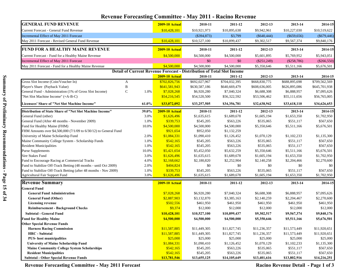| Revenue Forecasting Committee - May 2011 - Racino Revenue              |       |                       |                                                                        |               |               |               |               |
|------------------------------------------------------------------------|-------|-----------------------|------------------------------------------------------------------------|---------------|---------------|---------------|---------------|
| <b>GENERAL FUND REVENUE</b>                                            |       | <b>2009-10 Actual</b> | 2010-11                                                                | 2011-12       | 2012-13       | 2013-14       | 2014-15       |
| Current Forecast - General Fund Revenue                                |       | \$10,428,101          | \$10,921,973                                                           | \$10,895,638  | \$9,942,961   | \$10,227,030  | \$10,519,622  |
| Incremental Effect of May 2011 Forecast                                |       |                       | $(\$394,873)$                                                          | \$3,799       | $(\$640,444)$ | $(\$659,656)$ | $(\$679,446)$ |
| May 2011 Forecast - Revised General Fund Revenue                       |       | \$10,428,101          | \$10,527,100                                                           | \$10,899,437  | \$9,302,517   | \$9,567,374   | \$9,840,176   |
| <b>FUND FOR A HEALTHY MAINE REVENUE</b>                                |       | <b>2009-10 Actual</b> | 2010-11                                                                | 2011-12       | 2012-13       | 2013-14       | 2014-15       |
| Current Forecast - Fund for a Healthy Maine Revenue                    |       | \$4,500,000           | \$4,500,000                                                            | \$4,500,000   | \$5,601,895   | \$5,769,952   | \$5,943,051   |
| Incremental Effect of May 2011 Forecast                                |       |                       | \$0                                                                    | \$0           | $(\$251,249)$ | (\$258,786)   | $(\$266,550)$ |
| May 2011 Forecast - Fund for a Healthy Maine Revenue                   |       | \$4,500,000           | \$4,500,000                                                            | \$4,500,000   | \$5,350,646   | \$5,511,166   | \$5,676,501   |
|                                                                        |       |                       | Detail of Current Revenue Forecast - Distribution of Total Slot Income |               |               |               |               |
|                                                                        |       | <b>2009-10 Actual</b> | 2010-11                                                                | 2011-12       | 2012-13       | 2013-14       | 2014-15       |
| Gross Slot Income (Coin/Voucher In)<br>A                               |       | \$702,826,756         | \$692,027,967                                                          | \$704,032,395 | \$668,830,775 | \$688,895,698 | \$709,562,569 |
| $\, {\bf B}$<br>Player's Share (Payback Value)                         |       | \$641,581,943         | \$630,587,186                                                          | \$640,669,479 | \$608,636,005 | \$626,895,086 | \$645,701,938 |
| $\mathbf C$<br>General Fund - Administration (1% of Gross Slot Income) | 1.0%  | \$7,028,268           | \$6,920,280                                                            | \$7,040,324   | \$6,688,308   | \$6,888,957   | \$7,095,626   |
| "Net Slot Machine Income" (=A-B-C)                                     |       | \$54,216,545          | \$54,520,500                                                           | \$56,322,592  | \$53,506,462  | \$55,111,656  | \$56,765,005  |
| Licensees' Share of "Net Slot Machine Income"                          | 61.0% | \$33,072,092          | \$33,257,505                                                           | \$34,356,781  | \$32,638,942  | \$33,618,110  | \$34,626,653  |
| Distribution of State Share of "Net Slot Machine Income"               | 39.0% | <b>2009-10 Actual</b> | 2010-11                                                                | 2011-12       | 2012-13       | 2013-14       | 2014-15       |
| General Fund (other)                                                   | 3.0%  | \$1,626,496           | \$1,635,615                                                            | \$1,689,678   | \$1,605,194   | \$1,653,350   | \$1,702,950   |
| General Fund (After 48 months - November 2009)                         | 1.0%  | \$339,753             | \$545,205                                                              | \$563,226     | \$535,065     | \$551,117     | \$567,650     |
| Fund for Healthy Maine (FHM)                                           | 10.0% | \$4,500,000           | \$4,500,000                                                            | \$4,500,000   | \$5,350,646   | \$5,511,166   | \$5,676,501   |
| FHM Amounts over \$4,500,000 (7/1/09 to 6/30/12) to General Fund       |       | \$921,654             | \$952,050                                                              | \$1,132,259   |               |               |               |
| University of Maine Scholarship Fund                                   | 2.0%  | \$1,084,331           | \$1,090,410                                                            | \$1,126,452   | \$1,070,129   | \$1,102,233   | \$1,135,300   |
| Maine Community College System - Scholarship Funds                     | 1.0%  | \$542,165             | \$545,205                                                              | \$563,226     | \$535,065     | \$551,117     | \$567,650     |
| <b>Resident Municipalities</b>                                         | 1.0%  | \$542,165             | \$545,205                                                              | \$563,226     | \$535,065     | \$551,117     | \$567,650     |
| <b>Purse Supplements</b>                                               | 10.0% | \$5,421,654           | \$5,452,050                                                            | \$5,632,259   | \$5,350,646   | \$5,511,166   | \$5,676,501   |
| <b>Sire Stakes Fund</b>                                                | 3.0%  | \$1,626,496           | \$1,635,615                                                            | \$1,689,678   | \$1,605,194   | \$1,653,350   | \$1,702,950   |
| Fund to Encourage Racing at Commercial Tracks                          | 4.0%  | \$2,168,662           | \$2,180,820                                                            | \$2,252,904   | \$2,140,258   | \$2,204,466   | \$2,270,600   |
| Fund to Stabilize Off-Track Betting (48 months - until Oct 2009)       | 2.0%  | \$404,824             | \$0                                                                    | \$0           | \$0           | \$0           | \$0           |
| Fund to Stabilize Off-Track Betting (after 48 months - Nov 2009)       | 1.0%  | \$339,753             | \$545,205                                                              | \$563,226     | \$535,065     | \$551,117     | \$567,650     |
| Agricultural Fair Support Fund                                         | 3.0%  | \$1,626,496           | \$1,635,615                                                            | \$1,689,678   | \$1,605,194   | \$1,653,350   | \$1,702,950   |
| <b>Revenue Summary</b>                                                 |       | <b>2009-10 Actual</b> | 2010-11                                                                | 2011-12       | 2012-13       | 2013-14       | 2014-15       |
| <b>General Fund</b>                                                    |       |                       |                                                                        |               |               |               |               |
| <b>General Fund Administration</b>                                     |       | \$7,028,268           | \$6,920,280                                                            | \$7,040,324   | \$6,688,308   | \$6,888,957   | \$7,095,626   |
| <b>General Fund (Other)</b>                                            |       | \$2,887,903           | \$3,132,870                                                            | \$3,385,163   | \$2,140,259   | \$2,204,467   | \$2,270,600   |
| <b>Licensing revenue</b>                                               |       | \$502,556             | \$461,950                                                              | \$461,950     | \$461,950     | \$461,950     | \$461,950     |
| <b>Reimbursement - Background Checks</b>                               |       | \$9,374               | \$12,000                                                               | \$12,000      | \$12,000      | \$12,000      | \$12,000      |
| <b>Subtotal - General Fund</b>                                         |       | \$10,428,101          | \$10,527,100                                                           | \$10,899,437  | \$9,302,517   | \$9,567,374   | \$9,840,176   |
| <b>Fund for Healthy Maine</b>                                          |       | \$4,500,000           | \$4,500,000                                                            | \$4,500,000   | \$5,350,646   | \$5,511,166   | \$5,676,501   |
| <b>Other Special Revenue Funds</b>                                     |       |                       |                                                                        |               |               |               |               |
| <b>Harness Racing Commission</b>                                       |       | \$11,587,885          | \$11,449,305                                                           | \$11,827,745  | \$11,236,357  | \$11,573,449  | \$11,920,651  |
| <b>HRC</b> - Subtotal                                                  |       | \$11,587,885          | \$11,449,305                                                           | \$11,827,745  | \$11,236,357  | \$11,573,449  | \$11,920,651  |
| <b>PUS-</b> host municipalities                                        |       | \$25,000              | \$25,000                                                               | \$25,000      | \$25,000      | \$25,000      | \$25,000      |
| <b>University of Maine Scholarship Fund</b>                            |       | \$1,084,331           | \$1,090,410                                                            | \$1,126,452   | \$1,070,129   | \$1,102,233   | \$1,135,300   |
| <b>Maine Community College System Scholarships</b>                     |       | \$542,165             | \$545,205                                                              | \$563,226     | \$535,065     | \$551,117     | \$567,650     |
| <b>Resident Municipalities</b>                                         |       | \$542,165             | \$545,205                                                              | \$563,226     | \$535,065     | \$551,117     | \$567,650     |
| <b>Subtotal - Other Special Revenue Funds</b>                          |       | \$13,781,546          | \$13,655,125                                                           | \$14,105,649  | \$13,401,616  | \$13,802,916  | \$14,216,251  |

## **Revenue Forecasting Committee - May 2011 - Racino Revenue**

Revenue Forecasting Committee - May 2011 Forecast<br> **Racino Revenue Detail - Page 1 of 3**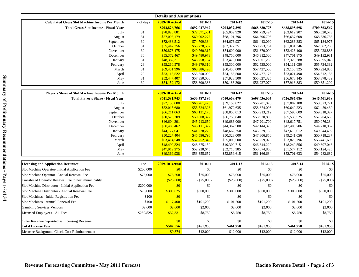| <b>Details and Assumptions</b>                        |            |                       |               |               |               |               |               |  |
|-------------------------------------------------------|------------|-----------------------|---------------|---------------|---------------|---------------|---------------|--|
| <b>Calculated Gross Slot Machine Income Per Month</b> | # of days  | <b>2009-10 Actual</b> | 2010-11       | 2011-12       | 2012-13       | 2013-14       | 2014-15       |  |
| <b>Total Gross Slot Income - Fiscal Year</b>          |            | \$702,826,756         | \$692,027,967 | \$704,032,395 | \$668,830,775 | \$688,895,698 | \$709,562,569 |  |
| July                                                  | 31         | \$78,820,881          | \$72,671,581  | \$65,009,920  | \$61,759,424  | \$63,612,207  | \$65,520,573  |  |
| August                                                | 31         | \$57,008,179          | \$60,902,277  | \$68,101,796  | \$64,696,706  | \$66,637,608  | \$68,636,736  |  |
| September                                             | $30\,$     | \$72,488,512          | \$74,709,334  | \$64,676,937  | \$61,443,090  | \$63,286,383  | \$65,184,975  |  |
| October                                               | 31         | \$55,447,256          | \$55,778,532  | \$62,372,351  | \$59,253,734  | \$61,031,346  | \$62,862,286  |  |
| November                                              | 30         | \$50,876,475          | \$49,760,317  | \$54,600,000  | \$51,870,000  | \$53,426,100  | \$55,028,883  |  |
| December                                              | 30         | \$55,372,467          | \$49,480,973  | \$48,750,000  | \$46,312,500  | \$47,701,875  | \$49,132,931  |  |
| January                                               | 31         | \$48,382,311          | \$45,758,764  | \$53,475,000  | \$50,801,250  | \$52,325,288  | \$53,895,046  |  |
| February                                              | $28\,$     | \$55,260,578          | \$49,979,310  | \$55,300,000  | \$52,535,000  | \$54,111,050  | \$55,734,382  |  |
| March                                                 | 31         | \$69,451,996          | \$63,386,493  | \$60,450,000  | \$57,427,500  | \$59,150,325  | \$60,924,835  |  |
| April                                                 | 29         | \$53,118,522          | \$53,650,000  | \$54,186,500  | \$51,477,175  | \$53,021,490  | \$54,612,135  |  |
| May                                                   | 31         | \$52,447,407          | \$57,350,000  | \$57,923,500  | \$55,027,325  | \$56,678,145  | \$58,378,489  |  |
| June                                                  | 30         | \$54,152,172          | \$58,600,386  | \$59,186,390  | \$56,227,070  | \$57,913,883  | \$59,651,299  |  |
| Player's Share of Slot Machine Income Per Month       |            | <b>2009-10 Actual</b> | 2010-11       | 2011-12       | 2012-13       | 2013-14       | 2014-15       |  |
| <b>Total Player's Share - Fiscal Year</b>             |            | \$641,581,943         | \$630,587,186 | \$640,669,479 | \$608,636,005 | \$626,895,086 | \$645,701,938 |  |
| July                                                  |            | \$72,130,008          | \$66,261,420  | \$59,159,027  | \$56,201,076  | \$57,887,108  | \$59,623,721  |  |
| August                                                |            | \$52,015,680          | \$55,524,326  | \$61,972,635  | \$58,874,003  | \$60,640,223  | \$62,459,430  |  |
| September                                             |            | \$66,211,063          | \$68,131,178  | \$58,856,013  | \$55,913,212  | \$57,590,609  | \$59,318,327  |  |
| October                                               |            | \$50,529,209          | \$50,808,377  | \$56,758,840  | \$53,920,898  | \$55,538,525  | \$57,204,680  |  |
| November                                              |            | \$46,604,391          | \$45,213,650  | \$49,686,000  | \$47,201,700  | \$48,617,751  | \$50,076,284  |  |
| December                                              |            | \$50,483,462          | \$45,111,372  | \$44,362,500  | \$42,144,375  | \$43,408,706  | \$44,710,967  |  |
| January                                               |            | \$44,177,641          | \$41,728,275  | \$48,662,250  | \$46,229,138  | \$47,616,012  | \$49,044,492  |  |
| February                                              |            | \$50,227,404          | \$45,596,796  | \$50,323,000  | \$47,806,850  | \$49,241,056  | \$50,718,287  |  |
| March                                                 |            | \$63,414,548          | \$57,752,346  | \$55,009,500  | \$52,259,025  | \$53,826,796  | \$55,441,600  |  |
| April                                                 |            | \$48,499,324          | \$48,875,150  | \$49,309,715  | \$46,844,229  | \$48,249,556  | \$49,697,043  |  |
| May                                                   |            | \$47,919,275          | \$52,228,645  | \$52,710,385  | \$50,074,866  | \$51,577,112  | \$53,124,425  |  |
| June                                                  |            | \$49,369,938          | \$53,355,652  | \$53,859,615  | \$51,166,634  | \$52,701,633  | \$54,282,682  |  |
| <b>Licensing and Application Revenues:</b>            | Fee        | <b>2009-10 Actual</b> | 2010-11       | 2011-12       | 2012-13       | 2013-14       | 2014-15       |  |
|                                                       |            |                       |               |               |               |               |               |  |
| Slot Machine Operator- Initial Application Fee        | \$200,000  | \$0                   | \$0           | \$0           | \$0           | \$0           | \$0           |  |
| Slot Machine Operator- Annual Renewal Fee             | \$75,000   | \$75,200              | \$75,000      | \$75,000      | \$75,000      | \$75,000      | \$75,000      |  |
| Transfer of Operator Renewal Fee to host municipality |            | $(\$25,000)$          | $(\$25,000)$  | $(\$25,000)$  | $(\$25,000)$  | $(\$25,000)$  | (\$25,000)    |  |
| Slot Machine Distributor - Initial Application Fee    | \$200,000  | \$0                   | $\$0$         | \$0           | \$0           | \$0           | \$0           |  |
| Slot Machine Distributor - Annual Renewal Fee         | \$75,000   | \$300,625             | \$300,000     | \$300,000     | \$300,000     | \$300,000     | \$300,000     |  |
| Slot Machines - Initial Registration Fee              | \$100      | \$0                   | \$0           | \$0           | \$0           | \$0           | \$0           |  |
| Slot Machines - Annual Renewal Fee                    | \$100      | \$117,400             | \$101,200     | \$101,200     | \$101,200     | \$101,200     | \$101,200     |  |
| <b>Gambling Services Vendors</b>                      | \$2,000    | \$2,000               | \$2,000       | \$2,000       | \$2,000       | \$2,000       | \$2,000       |  |
| Licensed Employees - All Fees                         | \$250/\$25 | \$32,331              | \$8,750       | \$8,750       | \$8,750       | \$8,750       | \$8,750       |  |
| Other Revenue deposited as Licensing Revenue          |            | \$0                   | \$0           | \$0           | \$0           | \$0           | \$0           |  |
| <b>Total License Fees</b>                             |            | \$502,556             | \$461,950     | \$461,950     | \$461,950     | \$461,950     | \$461,950     |  |
| Licensee Background Check Cost Reimbursement          |            | \$9,374               | \$12,000      | \$12,000      | \$12,000      | \$12,000      | \$12,000      |  |
|                                                       |            |                       |               |               |               |               |               |  |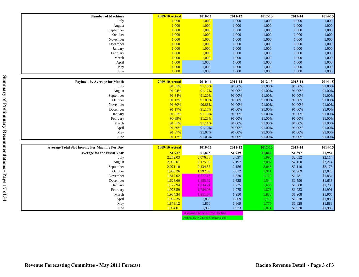| 1,000<br>1,000<br>1,000<br>1,000<br>1,000<br>1,000<br>July<br>1,000<br>1,000<br>1,000<br>1,000<br>1,000<br>1,000<br>August<br>1,000<br>1,000<br>1,000<br>1,000<br>1,000<br>1,000<br>September<br>1,000<br>October<br>1,000<br>1,000<br>1,000<br>1,000<br>1,000<br>1,000<br>November<br>1,000<br>1,000<br>1,000<br>1,000<br>1,000<br>1,000<br>1,000<br>1,000<br>1,000<br>December<br>1,000<br>1,000<br>1,000<br>1,000<br>1,000<br>1,000<br>1,000<br>1,000<br>January<br>1,000<br>1,000<br>1,000<br>1,000<br>1,000<br>1,000<br>February<br>1,000<br>1,000<br>1,000<br>1,000<br>1,000<br>March<br>1,000<br>1,000<br>1,000<br>1,000<br>1,000<br>1,000<br>1,000<br>April<br>1,000<br>1,000<br>1,000<br>1,000<br>1,000<br>1,000<br>May<br>1,000<br>1,000<br>1,000<br>1,000<br>1,000<br>1,000<br>June<br>2014-15<br>Payback % Average for Month<br><b>2009-10 Actual</b><br>2010-11<br>2011-12<br>2012-13<br>2013-14<br>91.51%<br>91.00%<br>91.18%<br>91.00%<br>91.00%<br>91.00%<br>July<br>91.24%<br>91.17%<br>91.00%<br>91.00%<br>91.00%<br>91.00%<br>August<br>91.00%<br>91.34%<br>91.20%<br>September<br>91.00%<br>91.00%<br>91.00%<br>91.09%<br>91.00%<br>91.00%<br>October<br>91.13%<br>91.00%<br>91.00%<br>91.00%<br>November<br>91.60%<br>90.86%<br>91.00%<br>91.00%<br>91.00%<br>91.00%<br>91.17%<br>91.17%<br>December<br>91.00%<br>91.00%<br>91.00%<br>91.31%<br>91.19%<br>91.00%<br>91.00%<br>91.00%<br>91.00%<br>January<br>91.00%<br>90.89%<br>91.23%<br>91.00%<br>91.00%<br>91.00%<br>February<br>91.31%<br>91.11%<br>91.00%<br>91.00%<br>91.00%<br>March<br>91.00%<br>91.30%<br>91.10%<br>91.00%<br>91.00%<br>91.00%<br>April<br>91.00%<br>91.07%<br>91.00%<br>91.37%<br>91.00%<br>91.00%<br>91.00%<br>May<br>91.17%<br>91.05%<br>91.00%<br>91.00%<br>91.00%<br>91.00%<br>June<br>Average Total Slot Income Per Machine Per Day<br>2010-11<br>2011-12<br>2013-14<br>2014-15<br><b>2009-10 Actual</b><br>2012-13<br>\$1,937<br>\$1,875<br>\$1,939<br>\$1,842<br>\$1,954<br>\$1,897<br><b>Average for the Fiscal Year</b><br>2,252.03<br>2,076.33<br>2,097<br>1,992<br>\$2,052<br>\$2,114<br>July<br>2,036.01<br>2,175.08<br>2,197<br>\$2,150<br>\$2,214<br>2,087<br>August<br>2,134.55<br>2,071.10<br>2,156<br>\$2,110<br>\$2,173<br>September<br>2,048<br>1,992.09<br>\$2,028<br>October<br>1,980.26<br>2,012<br>\$1,969<br>1,911<br>1,820<br>\$1,834<br>1,817.02<br>1,777.15<br>\$1,781<br>November<br>1,729<br>1,628.60<br>1,455.32<br>1,625<br>\$1,590<br>\$1,638<br>December<br>1,544<br>1,725<br>\$1,739<br>1,727.94<br>1,634.24<br>1,639<br>\$1,688<br>January<br>1,975<br>\$1,991<br>1,973.59<br>1,784.98<br>1,876<br>\$1,933<br>February<br>1,984.34<br>1,811.04<br>1,950<br>\$1,908<br>\$1,965<br>March<br>1,853<br>1,869<br>\$1,883<br>1,967.35<br>1,850<br>1,775<br>\$1,828<br>April<br>1,850<br>1,869<br>\$1,828<br>\$1,883<br>1,873.12<br>1,775<br>May | <b>Number of Machines</b> | <b>2009-10 Actual</b> | 2010-11 | 2011-12 | 2012-13 | 2013-14 | 2014-15 |
|------------------------------------------------------------------------------------------------------------------------------------------------------------------------------------------------------------------------------------------------------------------------------------------------------------------------------------------------------------------------------------------------------------------------------------------------------------------------------------------------------------------------------------------------------------------------------------------------------------------------------------------------------------------------------------------------------------------------------------------------------------------------------------------------------------------------------------------------------------------------------------------------------------------------------------------------------------------------------------------------------------------------------------------------------------------------------------------------------------------------------------------------------------------------------------------------------------------------------------------------------------------------------------------------------------------------------------------------------------------------------------------------------------------------------------------------------------------------------------------------------------------------------------------------------------------------------------------------------------------------------------------------------------------------------------------------------------------------------------------------------------------------------------------------------------------------------------------------------------------------------------------------------------------------------------------------------------------------------------------------------------------------------------------------------------------------------------------------------------------------------------------------------------------------------------------------------------------------------------------------------------------------------------------------------------------------------------------------------------------------------------------------------------------------------------------------------------------------------------------------------------------------------------------------------------------------------------------------------------------------------------------------------------------------------------------------------------------------------------------------------------------------------------------------------------------------------------------------------------------------------|---------------------------|-----------------------|---------|---------|---------|---------|---------|
|                                                                                                                                                                                                                                                                                                                                                                                                                                                                                                                                                                                                                                                                                                                                                                                                                                                                                                                                                                                                                                                                                                                                                                                                                                                                                                                                                                                                                                                                                                                                                                                                                                                                                                                                                                                                                                                                                                                                                                                                                                                                                                                                                                                                                                                                                                                                                                                                                                                                                                                                                                                                                                                                                                                                                                                                                                                                              |                           |                       |         |         |         |         |         |
|                                                                                                                                                                                                                                                                                                                                                                                                                                                                                                                                                                                                                                                                                                                                                                                                                                                                                                                                                                                                                                                                                                                                                                                                                                                                                                                                                                                                                                                                                                                                                                                                                                                                                                                                                                                                                                                                                                                                                                                                                                                                                                                                                                                                                                                                                                                                                                                                                                                                                                                                                                                                                                                                                                                                                                                                                                                                              |                           |                       |         |         |         |         |         |
|                                                                                                                                                                                                                                                                                                                                                                                                                                                                                                                                                                                                                                                                                                                                                                                                                                                                                                                                                                                                                                                                                                                                                                                                                                                                                                                                                                                                                                                                                                                                                                                                                                                                                                                                                                                                                                                                                                                                                                                                                                                                                                                                                                                                                                                                                                                                                                                                                                                                                                                                                                                                                                                                                                                                                                                                                                                                              |                           |                       |         |         |         |         |         |
|                                                                                                                                                                                                                                                                                                                                                                                                                                                                                                                                                                                                                                                                                                                                                                                                                                                                                                                                                                                                                                                                                                                                                                                                                                                                                                                                                                                                                                                                                                                                                                                                                                                                                                                                                                                                                                                                                                                                                                                                                                                                                                                                                                                                                                                                                                                                                                                                                                                                                                                                                                                                                                                                                                                                                                                                                                                                              |                           |                       |         |         |         |         |         |
|                                                                                                                                                                                                                                                                                                                                                                                                                                                                                                                                                                                                                                                                                                                                                                                                                                                                                                                                                                                                                                                                                                                                                                                                                                                                                                                                                                                                                                                                                                                                                                                                                                                                                                                                                                                                                                                                                                                                                                                                                                                                                                                                                                                                                                                                                                                                                                                                                                                                                                                                                                                                                                                                                                                                                                                                                                                                              |                           |                       |         |         |         |         |         |
|                                                                                                                                                                                                                                                                                                                                                                                                                                                                                                                                                                                                                                                                                                                                                                                                                                                                                                                                                                                                                                                                                                                                                                                                                                                                                                                                                                                                                                                                                                                                                                                                                                                                                                                                                                                                                                                                                                                                                                                                                                                                                                                                                                                                                                                                                                                                                                                                                                                                                                                                                                                                                                                                                                                                                                                                                                                                              |                           |                       |         |         |         |         |         |
|                                                                                                                                                                                                                                                                                                                                                                                                                                                                                                                                                                                                                                                                                                                                                                                                                                                                                                                                                                                                                                                                                                                                                                                                                                                                                                                                                                                                                                                                                                                                                                                                                                                                                                                                                                                                                                                                                                                                                                                                                                                                                                                                                                                                                                                                                                                                                                                                                                                                                                                                                                                                                                                                                                                                                                                                                                                                              |                           |                       |         |         |         |         |         |
|                                                                                                                                                                                                                                                                                                                                                                                                                                                                                                                                                                                                                                                                                                                                                                                                                                                                                                                                                                                                                                                                                                                                                                                                                                                                                                                                                                                                                                                                                                                                                                                                                                                                                                                                                                                                                                                                                                                                                                                                                                                                                                                                                                                                                                                                                                                                                                                                                                                                                                                                                                                                                                                                                                                                                                                                                                                                              |                           |                       |         |         |         |         |         |
|                                                                                                                                                                                                                                                                                                                                                                                                                                                                                                                                                                                                                                                                                                                                                                                                                                                                                                                                                                                                                                                                                                                                                                                                                                                                                                                                                                                                                                                                                                                                                                                                                                                                                                                                                                                                                                                                                                                                                                                                                                                                                                                                                                                                                                                                                                                                                                                                                                                                                                                                                                                                                                                                                                                                                                                                                                                                              |                           |                       |         |         |         |         |         |
|                                                                                                                                                                                                                                                                                                                                                                                                                                                                                                                                                                                                                                                                                                                                                                                                                                                                                                                                                                                                                                                                                                                                                                                                                                                                                                                                                                                                                                                                                                                                                                                                                                                                                                                                                                                                                                                                                                                                                                                                                                                                                                                                                                                                                                                                                                                                                                                                                                                                                                                                                                                                                                                                                                                                                                                                                                                                              |                           |                       |         |         |         |         |         |
|                                                                                                                                                                                                                                                                                                                                                                                                                                                                                                                                                                                                                                                                                                                                                                                                                                                                                                                                                                                                                                                                                                                                                                                                                                                                                                                                                                                                                                                                                                                                                                                                                                                                                                                                                                                                                                                                                                                                                                                                                                                                                                                                                                                                                                                                                                                                                                                                                                                                                                                                                                                                                                                                                                                                                                                                                                                                              |                           |                       |         |         |         |         |         |
|                                                                                                                                                                                                                                                                                                                                                                                                                                                                                                                                                                                                                                                                                                                                                                                                                                                                                                                                                                                                                                                                                                                                                                                                                                                                                                                                                                                                                                                                                                                                                                                                                                                                                                                                                                                                                                                                                                                                                                                                                                                                                                                                                                                                                                                                                                                                                                                                                                                                                                                                                                                                                                                                                                                                                                                                                                                                              |                           |                       |         |         |         |         |         |
|                                                                                                                                                                                                                                                                                                                                                                                                                                                                                                                                                                                                                                                                                                                                                                                                                                                                                                                                                                                                                                                                                                                                                                                                                                                                                                                                                                                                                                                                                                                                                                                                                                                                                                                                                                                                                                                                                                                                                                                                                                                                                                                                                                                                                                                                                                                                                                                                                                                                                                                                                                                                                                                                                                                                                                                                                                                                              |                           |                       |         |         |         |         |         |
|                                                                                                                                                                                                                                                                                                                                                                                                                                                                                                                                                                                                                                                                                                                                                                                                                                                                                                                                                                                                                                                                                                                                                                                                                                                                                                                                                                                                                                                                                                                                                                                                                                                                                                                                                                                                                                                                                                                                                                                                                                                                                                                                                                                                                                                                                                                                                                                                                                                                                                                                                                                                                                                                                                                                                                                                                                                                              |                           |                       |         |         |         |         |         |
|                                                                                                                                                                                                                                                                                                                                                                                                                                                                                                                                                                                                                                                                                                                                                                                                                                                                                                                                                                                                                                                                                                                                                                                                                                                                                                                                                                                                                                                                                                                                                                                                                                                                                                                                                                                                                                                                                                                                                                                                                                                                                                                                                                                                                                                                                                                                                                                                                                                                                                                                                                                                                                                                                                                                                                                                                                                                              |                           |                       |         |         |         |         |         |
|                                                                                                                                                                                                                                                                                                                                                                                                                                                                                                                                                                                                                                                                                                                                                                                                                                                                                                                                                                                                                                                                                                                                                                                                                                                                                                                                                                                                                                                                                                                                                                                                                                                                                                                                                                                                                                                                                                                                                                                                                                                                                                                                                                                                                                                                                                                                                                                                                                                                                                                                                                                                                                                                                                                                                                                                                                                                              |                           |                       |         |         |         |         |         |
|                                                                                                                                                                                                                                                                                                                                                                                                                                                                                                                                                                                                                                                                                                                                                                                                                                                                                                                                                                                                                                                                                                                                                                                                                                                                                                                                                                                                                                                                                                                                                                                                                                                                                                                                                                                                                                                                                                                                                                                                                                                                                                                                                                                                                                                                                                                                                                                                                                                                                                                                                                                                                                                                                                                                                                                                                                                                              |                           |                       |         |         |         |         |         |
|                                                                                                                                                                                                                                                                                                                                                                                                                                                                                                                                                                                                                                                                                                                                                                                                                                                                                                                                                                                                                                                                                                                                                                                                                                                                                                                                                                                                                                                                                                                                                                                                                                                                                                                                                                                                                                                                                                                                                                                                                                                                                                                                                                                                                                                                                                                                                                                                                                                                                                                                                                                                                                                                                                                                                                                                                                                                              |                           |                       |         |         |         |         |         |
|                                                                                                                                                                                                                                                                                                                                                                                                                                                                                                                                                                                                                                                                                                                                                                                                                                                                                                                                                                                                                                                                                                                                                                                                                                                                                                                                                                                                                                                                                                                                                                                                                                                                                                                                                                                                                                                                                                                                                                                                                                                                                                                                                                                                                                                                                                                                                                                                                                                                                                                                                                                                                                                                                                                                                                                                                                                                              |                           |                       |         |         |         |         |         |
|                                                                                                                                                                                                                                                                                                                                                                                                                                                                                                                                                                                                                                                                                                                                                                                                                                                                                                                                                                                                                                                                                                                                                                                                                                                                                                                                                                                                                                                                                                                                                                                                                                                                                                                                                                                                                                                                                                                                                                                                                                                                                                                                                                                                                                                                                                                                                                                                                                                                                                                                                                                                                                                                                                                                                                                                                                                                              |                           |                       |         |         |         |         |         |
|                                                                                                                                                                                                                                                                                                                                                                                                                                                                                                                                                                                                                                                                                                                                                                                                                                                                                                                                                                                                                                                                                                                                                                                                                                                                                                                                                                                                                                                                                                                                                                                                                                                                                                                                                                                                                                                                                                                                                                                                                                                                                                                                                                                                                                                                                                                                                                                                                                                                                                                                                                                                                                                                                                                                                                                                                                                                              |                           |                       |         |         |         |         |         |
|                                                                                                                                                                                                                                                                                                                                                                                                                                                                                                                                                                                                                                                                                                                                                                                                                                                                                                                                                                                                                                                                                                                                                                                                                                                                                                                                                                                                                                                                                                                                                                                                                                                                                                                                                                                                                                                                                                                                                                                                                                                                                                                                                                                                                                                                                                                                                                                                                                                                                                                                                                                                                                                                                                                                                                                                                                                                              |                           |                       |         |         |         |         |         |
|                                                                                                                                                                                                                                                                                                                                                                                                                                                                                                                                                                                                                                                                                                                                                                                                                                                                                                                                                                                                                                                                                                                                                                                                                                                                                                                                                                                                                                                                                                                                                                                                                                                                                                                                                                                                                                                                                                                                                                                                                                                                                                                                                                                                                                                                                                                                                                                                                                                                                                                                                                                                                                                                                                                                                                                                                                                                              |                           |                       |         |         |         |         |         |
|                                                                                                                                                                                                                                                                                                                                                                                                                                                                                                                                                                                                                                                                                                                                                                                                                                                                                                                                                                                                                                                                                                                                                                                                                                                                                                                                                                                                                                                                                                                                                                                                                                                                                                                                                                                                                                                                                                                                                                                                                                                                                                                                                                                                                                                                                                                                                                                                                                                                                                                                                                                                                                                                                                                                                                                                                                                                              |                           |                       |         |         |         |         |         |
|                                                                                                                                                                                                                                                                                                                                                                                                                                                                                                                                                                                                                                                                                                                                                                                                                                                                                                                                                                                                                                                                                                                                                                                                                                                                                                                                                                                                                                                                                                                                                                                                                                                                                                                                                                                                                                                                                                                                                                                                                                                                                                                                                                                                                                                                                                                                                                                                                                                                                                                                                                                                                                                                                                                                                                                                                                                                              |                           |                       |         |         |         |         |         |
|                                                                                                                                                                                                                                                                                                                                                                                                                                                                                                                                                                                                                                                                                                                                                                                                                                                                                                                                                                                                                                                                                                                                                                                                                                                                                                                                                                                                                                                                                                                                                                                                                                                                                                                                                                                                                                                                                                                                                                                                                                                                                                                                                                                                                                                                                                                                                                                                                                                                                                                                                                                                                                                                                                                                                                                                                                                                              |                           |                       |         |         |         |         |         |
|                                                                                                                                                                                                                                                                                                                                                                                                                                                                                                                                                                                                                                                                                                                                                                                                                                                                                                                                                                                                                                                                                                                                                                                                                                                                                                                                                                                                                                                                                                                                                                                                                                                                                                                                                                                                                                                                                                                                                                                                                                                                                                                                                                                                                                                                                                                                                                                                                                                                                                                                                                                                                                                                                                                                                                                                                                                                              |                           |                       |         |         |         |         |         |
|                                                                                                                                                                                                                                                                                                                                                                                                                                                                                                                                                                                                                                                                                                                                                                                                                                                                                                                                                                                                                                                                                                                                                                                                                                                                                                                                                                                                                                                                                                                                                                                                                                                                                                                                                                                                                                                                                                                                                                                                                                                                                                                                                                                                                                                                                                                                                                                                                                                                                                                                                                                                                                                                                                                                                                                                                                                                              |                           |                       |         |         |         |         |         |
|                                                                                                                                                                                                                                                                                                                                                                                                                                                                                                                                                                                                                                                                                                                                                                                                                                                                                                                                                                                                                                                                                                                                                                                                                                                                                                                                                                                                                                                                                                                                                                                                                                                                                                                                                                                                                                                                                                                                                                                                                                                                                                                                                                                                                                                                                                                                                                                                                                                                                                                                                                                                                                                                                                                                                                                                                                                                              |                           |                       |         |         |         |         |         |
|                                                                                                                                                                                                                                                                                                                                                                                                                                                                                                                                                                                                                                                                                                                                                                                                                                                                                                                                                                                                                                                                                                                                                                                                                                                                                                                                                                                                                                                                                                                                                                                                                                                                                                                                                                                                                                                                                                                                                                                                                                                                                                                                                                                                                                                                                                                                                                                                                                                                                                                                                                                                                                                                                                                                                                                                                                                                              |                           |                       |         |         |         |         |         |
|                                                                                                                                                                                                                                                                                                                                                                                                                                                                                                                                                                                                                                                                                                                                                                                                                                                                                                                                                                                                                                                                                                                                                                                                                                                                                                                                                                                                                                                                                                                                                                                                                                                                                                                                                                                                                                                                                                                                                                                                                                                                                                                                                                                                                                                                                                                                                                                                                                                                                                                                                                                                                                                                                                                                                                                                                                                                              |                           |                       |         |         |         |         |         |
|                                                                                                                                                                                                                                                                                                                                                                                                                                                                                                                                                                                                                                                                                                                                                                                                                                                                                                                                                                                                                                                                                                                                                                                                                                                                                                                                                                                                                                                                                                                                                                                                                                                                                                                                                                                                                                                                                                                                                                                                                                                                                                                                                                                                                                                                                                                                                                                                                                                                                                                                                                                                                                                                                                                                                                                                                                                                              |                           |                       |         |         |         |         |         |
|                                                                                                                                                                                                                                                                                                                                                                                                                                                                                                                                                                                                                                                                                                                                                                                                                                                                                                                                                                                                                                                                                                                                                                                                                                                                                                                                                                                                                                                                                                                                                                                                                                                                                                                                                                                                                                                                                                                                                                                                                                                                                                                                                                                                                                                                                                                                                                                                                                                                                                                                                                                                                                                                                                                                                                                                                                                                              |                           |                       |         |         |         |         |         |
|                                                                                                                                                                                                                                                                                                                                                                                                                                                                                                                                                                                                                                                                                                                                                                                                                                                                                                                                                                                                                                                                                                                                                                                                                                                                                                                                                                                                                                                                                                                                                                                                                                                                                                                                                                                                                                                                                                                                                                                                                                                                                                                                                                                                                                                                                                                                                                                                                                                                                                                                                                                                                                                                                                                                                                                                                                                                              |                           |                       |         |         |         |         |         |
|                                                                                                                                                                                                                                                                                                                                                                                                                                                                                                                                                                                                                                                                                                                                                                                                                                                                                                                                                                                                                                                                                                                                                                                                                                                                                                                                                                                                                                                                                                                                                                                                                                                                                                                                                                                                                                                                                                                                                                                                                                                                                                                                                                                                                                                                                                                                                                                                                                                                                                                                                                                                                                                                                                                                                                                                                                                                              |                           |                       |         |         |         |         |         |
|                                                                                                                                                                                                                                                                                                                                                                                                                                                                                                                                                                                                                                                                                                                                                                                                                                                                                                                                                                                                                                                                                                                                                                                                                                                                                                                                                                                                                                                                                                                                                                                                                                                                                                                                                                                                                                                                                                                                                                                                                                                                                                                                                                                                                                                                                                                                                                                                                                                                                                                                                                                                                                                                                                                                                                                                                                                                              |                           |                       |         |         |         |         |         |
|                                                                                                                                                                                                                                                                                                                                                                                                                                                                                                                                                                                                                                                                                                                                                                                                                                                                                                                                                                                                                                                                                                                                                                                                                                                                                                                                                                                                                                                                                                                                                                                                                                                                                                                                                                                                                                                                                                                                                                                                                                                                                                                                                                                                                                                                                                                                                                                                                                                                                                                                                                                                                                                                                                                                                                                                                                                                              |                           |                       |         |         |         |         |         |
|                                                                                                                                                                                                                                                                                                                                                                                                                                                                                                                                                                                                                                                                                                                                                                                                                                                                                                                                                                                                                                                                                                                                                                                                                                                                                                                                                                                                                                                                                                                                                                                                                                                                                                                                                                                                                                                                                                                                                                                                                                                                                                                                                                                                                                                                                                                                                                                                                                                                                                                                                                                                                                                                                                                                                                                                                                                                              |                           |                       |         |         |         |         |         |
|                                                                                                                                                                                                                                                                                                                                                                                                                                                                                                                                                                                                                                                                                                                                                                                                                                                                                                                                                                                                                                                                                                                                                                                                                                                                                                                                                                                                                                                                                                                                                                                                                                                                                                                                                                                                                                                                                                                                                                                                                                                                                                                                                                                                                                                                                                                                                                                                                                                                                                                                                                                                                                                                                                                                                                                                                                                                              |                           |                       |         |         |         |         |         |
| 1,953<br>1,934.01<br>1,973<br>\$1,930<br>\$1,988<br>1,874<br>June                                                                                                                                                                                                                                                                                                                                                                                                                                                                                                                                                                                                                                                                                                                                                                                                                                                                                                                                                                                                                                                                                                                                                                                                                                                                                                                                                                                                                                                                                                                                                                                                                                                                                                                                                                                                                                                                                                                                                                                                                                                                                                                                                                                                                                                                                                                                                                                                                                                                                                                                                                                                                                                                                                                                                                                                            |                           |                       |         |         |         |         |         |
| <b>Assumed to one-time decline</b>                                                                                                                                                                                                                                                                                                                                                                                                                                                                                                                                                                                                                                                                                                                                                                                                                                                                                                                                                                                                                                                                                                                                                                                                                                                                                                                                                                                                                                                                                                                                                                                                                                                                                                                                                                                                                                                                                                                                                                                                                                                                                                                                                                                                                                                                                                                                                                                                                                                                                                                                                                                                                                                                                                                                                                                                                                           |                           |                       |         |         |         |         |         |

Declines by 5% due to Oxford Casino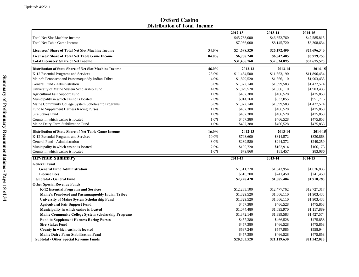**Oxford Casino Distribution of Total Income**

|                                                                           |              | 2012-13                | 2013-14      | 2014-15      |
|---------------------------------------------------------------------------|--------------|------------------------|--------------|--------------|
| <b>Total Net Slot Machine Income</b>                                      |              | \$45,738,000           | \$46,652,760 | \$47,585,815 |
| <b>Total Net Table Game Income</b>                                        |              | \$7,986,000            | \$8,145,720  | \$8,308,634  |
| <b>Licensees' Share of Total Net Slot Machine Income</b>                  | 54.0%        | \$24,698,520           | \$25,192,490 | \$25,696,340 |
| Licensees' Share of Total Net Table Game Income                           | 84.0%        | \$6,708,240            | \$6,842,405  | \$6,979,253  |
| <b>Total Licensees' Share of Net Income</b>                               |              | \$31,406,760           | \$32,034,895 | \$32,675,593 |
| <b>Distribution of State Share of Net Slot Machine Income</b>             | 46.0%        | 2012-13                | 2013-14      | 2014-15      |
| K-12 Essential Programs and Services                                      | 25.0%        | \$11,434,500           | \$11,663,190 | \$11,896,454 |
| Maine's Penobscot and Passamaquoddy Indian Tribes                         | 4.0%         | \$1,829,520            | \$1,866,110  | \$1,903,433  |
| General Fund - Administration                                             | 3.0%         | \$1,372,140            | \$1,399,583  | \$1,427,574  |
| University of Maine System Scholarship Fund                               | 4.0%         | \$1,829,520            | \$1,866,110  | \$1,903,433  |
|                                                                           | 1.0%         | \$457,380              | \$466,528    | \$475,858    |
| Agricultural Fair Support Fund<br>Municipality in which casino is located | 2.0%         | \$914,760              | \$933,055    | \$951,716    |
|                                                                           |              |                        |              |              |
| Maine Community College System Scholarship Programs                       | 3.0%         | \$1,372,140            | \$1,399,583  | \$1,427,574  |
| Fund to Supplement Harness Racing Purses                                  | 1.0%         | \$457,380              | \$466,528    | \$475,858    |
| Sire Stakes Fund                                                          | 1.0%         | \$457,380              | \$466,528    | \$475,858    |
| County in which casino is located<br>Maine Dairy Farm Stabilization Fund  | 1.0%<br>1.0% | \$457,380<br>\$457,380 | \$466,528    | \$475,858    |
|                                                                           |              |                        | \$466,528    | \$475,858    |
| Distribution of State Share of Net Table Game Income                      | 16.0%        | 2012-13                | 2013-14      | 2014-15      |
| K-12 Essential Programs and Services                                      | 10.0%        | \$798,600              | \$814,572    | \$830,863    |
| General Fund - Administration                                             | 3.0%         | \$239,580              | \$244,372    | \$249,259    |
| Municipality in which casino is located                                   | 2.0%         | \$159,720              | \$162,914    | \$166,173    |
| County in which casino is located                                         | 1.0%         | \$79,860               | \$81,457     | \$83,086     |
| <b>Revenue Summary</b>                                                    |              | 2012-13                | 2013-14      | 2014-15      |
| <b>General Fund</b>                                                       |              |                        |              |              |
| <b>General Fund Administration</b>                                        |              | \$1,611,720            | \$1,643,954  | \$1,676,833  |
| <b>License Fees</b>                                                       |              | \$616,700              | \$241,450    | \$241,450    |
| Subtotal - General Fund                                                   |              | \$2,228,420            | \$1,885,404  | \$1,918,283  |
| <b>Other Special Revenue Funds</b>                                        |              |                        |              |              |
| K-12 Essential Programs and Services                                      |              | \$12,233,100           | \$12,477,762 | \$12,727,317 |
| Maine's Penobscot and Passamaquoddy Indian Tribes                         |              | \$1,829,520            | \$1,866,110  | \$1,903,433  |
| University of Maine System Scholarship Fund                               |              | \$1,829,520            | \$1,866,110  | \$1,903,433  |
| <b>Agricultural Fair Support Fund</b>                                     |              | \$457,380              | \$466,528    | \$475,858    |
| Municipality in which casino is located                                   |              | \$1,074,480            | \$1,095,970  | \$1,117,889  |
| <b>Maine Community College System Scholarship Programs</b>                |              | \$1,372,140            | \$1,399,583  | \$1,427,574  |
| <b>Fund to Supplement Harness Racing Purses</b>                           |              | \$457,380              | \$466,528    | \$475,858    |
| <b>Sire Stakes Fund</b>                                                   |              | \$457,380              | \$466,528    | \$475,858    |
| County in which casino is located                                         |              | \$537,240              | \$547,985    | \$558,944    |
| <b>Maine Dairy Farm Stabilization Fund</b>                                |              | \$457,380              | \$466,528    | \$475,858    |
|                                                                           |              |                        |              |              |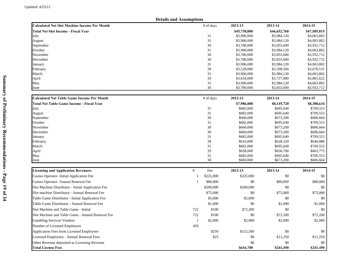|                                                     | <b>Details and Assumptions</b> |           |              |              |              |
|-----------------------------------------------------|--------------------------------|-----------|--------------|--------------|--------------|
| <b>Calculated Net Slot Machine Income Per Month</b> |                                | # of days | 2012-13      | 2013-14      | 2014-15      |
| Total Net Slot Income - Fiscal Year                 |                                |           | \$45,738,000 | \$46,652,760 | \$47,585,815 |
| July                                                |                                | 31        | \$3,906,000  | \$3,984,120  | \$4,063,802  |
| August                                              |                                | 31        | \$3,906,000  | \$3,984,120  | \$4,063,802  |
| September                                           |                                | 30        | \$3,780,000  | \$3,855,600  | \$3,932,712  |
| October                                             |                                | 31        | \$3,906,000  | \$3,984,120  | \$4,063,802  |
| November                                            |                                | 30        | \$3,780,000  | \$3,855,600  | \$3,932,712  |
| December                                            |                                | 30        | \$3,780,000  | \$3,855,600  | \$3,932,712  |
| January                                             |                                | 31        | \$3,906,000  | \$3,984,120  | \$4,063,802  |
| February                                            |                                | 28        | \$3,528,000  | \$3,598,560  | \$3,670,531  |
| March                                               |                                | 31        | \$3,906,000  | \$3,984,120  | \$4,063,802  |
| April                                               |                                | 29        | \$3,654,000  | \$3,727,080  | \$3,801,622  |
| May                                                 |                                | 31<br>30  | \$3,906,000  | \$3,984,120  | \$4,063,802  |
| June                                                |                                |           | \$3,780,000  | \$3,855,600  | \$3,932,712  |
| <b>Calculated Net Table Game Income Per Month</b>   |                                | # of days | 2012-13      | 2013-14      | 2014-15      |
| <b>Total Net Table Game Income - Fiscal Year</b>    |                                |           | \$7,986,000  | \$8,145,720  | \$8,308,634  |
| July                                                |                                | 31        | \$682,000    | \$695,640    | \$709,553    |
| August                                              |                                | 31        | \$682,000    | \$695,640    | \$709,553    |
| September                                           |                                | 30        | \$660,000    | \$673,200    | \$686,664    |
| October                                             |                                | 31        | \$682,000    | \$695,640    | \$709,553    |
| November                                            |                                | 30        | \$660,000    | \$673,200    | \$686,664    |
| December                                            |                                | 30        | \$660,000    | \$673,200    | \$686,664    |
| January                                             |                                | 31        | \$682,000    | \$695,640    | \$709,553    |
| February                                            |                                | 28        | \$616,000    | \$628,320    | \$640,886    |
| March                                               |                                | 31        | \$682,000    | \$695,640    | \$709,553    |
| April                                               |                                | 29        | \$638,000    | \$650,760    | \$663,775    |
| May                                                 |                                | 31<br>30  | \$682,000    | \$695,640    | \$709,553    |
| June                                                |                                |           | \$660,000    | \$673,200    | \$686,664    |
| <b>Licensing and Application Revenues:</b>          | $\#$                           | Fee       | 2012-13      | 2013-14      | 2014-15      |
| Casino Operator-Initial Application Fee             | 1                              | \$225,000 | \$225,000    | \$0          | \$0          |
| Casino Operator- Annual Renewal Fee                 | $\mathbf{1}$                   | \$80,000  | \$0          | \$80,000     | \$80,000     |
| Slot Machine Distributor - Initial Application Fee  |                                | \$200,000 | \$200,000    | \$0          | \$0          |
| Slot machine Distributor - Annual Renewal Fee       |                                | \$75,000  | \$0          | \$75,000     | \$75,000     |
| Table Game Distributor - Initial Application Fee    |                                | \$5,000   | \$5,000      | \$0          | \$0          |
| Table Game Distributor - Annual Renewal Fee         |                                | \$1,000   | \$0          | \$1,000      | \$1,000      |
| Slot Machine and Table Game - Initial               | 722                            | \$100     | \$72,200     | \$0          | \$0          |
| Slot Machine and Table Game - Annual Renewal Fee    | 722                            | \$100     | \$0          | \$72,200     | \$72,200     |
| <b>Gambling Services Vendors</b>                    | $\mathbf{1}$                   | \$2,000   | \$2,000      | \$2,000      | \$2,000      |
| Number of Licensed Employees                        | 450                            |           |              |              |              |
| <b>Application Fees from Licensed Employees</b>     |                                | \$250     | \$112,500    | \$0          | \$0          |
| Licensed Employees - Annual Renewal Fees            |                                | \$25      | \$0          | \$11,250     | \$11,250     |
| Other Revenue deposited as Licensing Revenue        |                                |           | \$0          | \$0          | \$0          |
| <b>Total License Fees</b>                           |                                |           | \$616,700    | \$241,450    | \$241,450    |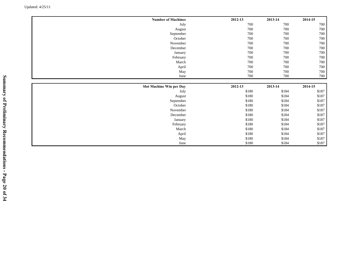| <b>Number of Machines</b> | 2012-13 | 2013-14 | 2014-15 |
|---------------------------|---------|---------|---------|
| July                      | 700     | 700     | 700     |
| August                    | 700     | 700     | 700     |
| September                 | 700     | 700     | 700     |
| October                   | 700     | 700     | 700     |
| November                  | 700     | 700     | 700     |
| December                  | 700     | 700     | $700\,$ |
| January                   | 700     | 700     | 700     |
| February                  | 700     | 700     | $700\,$ |
| March                     | 700     | 700     | 700     |
| April                     | 700     | 700     | $700\,$ |
| May                       | 700     | 700     | 700     |
| June                      | 700     | 700     | 700     |
|                           |         |         |         |
|                           |         |         |         |
| Slot Machine Win per Day  | 2012-13 | 2013-14 | 2014-15 |
| July                      | \$180   | \$184   | \$187   |
| August                    | \$180   | \$184   | \$187   |
| September                 | \$180   | \$184   | \$187   |
| October                   | \$180   | \$184   | \$187   |
| November                  | \$180   | \$184   | \$187   |
| December                  | \$180   | \$184   | \$187   |
| January                   | \$180   | \$184   | \$187   |
| February                  | \$180   | \$184   | \$187   |
| March                     | \$180   | \$184   | \$187   |
| April                     | \$180   | \$184   | \$187   |
| May                       | \$180   | \$184   | \$187   |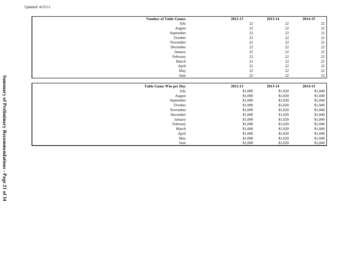| <b>Number of Table Games</b>  | $2012 - 13$ | 2013-14 | 2014-15            |
|-------------------------------|-------------|---------|--------------------|
| July                          | $22\,$      | 22      | $22\,$             |
| August                        | $22\,$      | $22\,$  | $22\,$             |
| September                     | $22\,$      | $22\,$  | $22\,$             |
| October                       | 22          | $22\,$  | 22                 |
| November                      | 22          | $22\,$  | $22\,$             |
| December                      | 22          | 22      | $22\,$             |
| January                       | 22          | 22      | $22\,$             |
| February                      | 22          | 22      | $22\,$             |
| March                         | 22          | 22      | $22\,$             |
| April                         | 22          | 22      | $22\,$             |
| May                           | $22\,$      | 22      | $22\,$             |
| June                          | 22          | 22      | $22\,$             |
|                               |             |         |                    |
|                               |             |         |                    |
| <b>Table Game Win per Day</b> | 2012-13     | 2013-14 | 2014-15            |
| July                          | \$1,000     | \$1,020 | \$1,040            |
| August                        | \$1,000     | \$1,020 | \$1,040            |
| September                     | \$1,000     | \$1,020 | \$1,040            |
| October                       | \$1,000     | \$1,020 |                    |
| November                      | \$1,000     | \$1,020 | \$1,040<br>\$1,040 |
| December                      | \$1,000     | \$1,020 | \$1,040            |
| January                       | \$1,000     | \$1,020 | \$1,040            |
| February                      | \$1,000     | \$1,020 | \$1,040            |
| March                         | \$1,000     | \$1,020 | \$1,040            |
| April                         | \$1,000     | \$1,020 | \$1,040            |
| May                           | \$1,000     | \$1,020 | \$1,040            |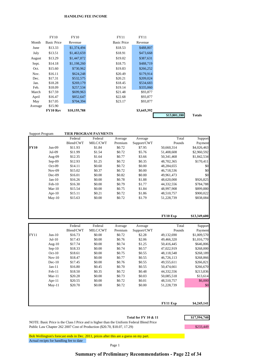#### **HANDLING FEE INCOME**

|         | <b>FY10</b>        | <b>FY10</b>  | <b>FY11</b>        | <b>FY11</b> |
|---------|--------------------|--------------|--------------------|-------------|
| Month   | <b>Basic Price</b> | Revenue      | <b>Basic Price</b> | Revenue     |
| June    | \$13.33            | \$1,374,494  | \$18.53            | \$488,807   |
| July    | \$13.51            | \$1,463,659  | \$18.91            | \$473,668   |
| August  | \$13.29            | \$1,447,872  | \$19.02            | \$387,631   |
| Sept.   | \$14.18            | \$1,198,260  | \$18.75            | \$488,719   |
| Oct.    | \$15.60            | \$730,962    | \$19.83            | \$266,252   |
| Nov.    | \$16.11            | \$624,248    | \$20.49            | \$179,914   |
| Dec.    | \$17.31            | \$532,575    | \$20.21            | \$209,024   |
| Jan.    | \$18.28            | \$269,179    | \$18.45            | \$534,683   |
| Feb.    | \$18.09            | \$257,534    | \$19.14            | \$335,060   |
| March   | \$17.59            | \$699,963    | \$21.48            | \$93,877    |
| April   | \$16.47            | \$852,647    | \$22.68            | \$93,877    |
| May     | \$17.05            | \$704,394    | \$23.17            | \$93,877    |
| Average | \$15.90            |              |                    |             |
|         | FY10 Rev           | \$10,155,788 |                    | \$3,645,392 |
|         |                    |              |                    |             |

| <b>Support Program</b> |           |           | TIER PROGRAM PAYMENTS |         |             |            |             |
|------------------------|-----------|-----------|-----------------------|---------|-------------|------------|-------------|
|                        |           | Federal   | Federal               | Average | Average     | Total      | Support     |
|                        |           | Blend/CWT | MILC/CWT              | Premium | Support/CWT | Pounds     | Payment     |
| <b>FY10</b>            | $Jun-09$  | \$11.93   | \$1.84                | \$0.72  | \$7.95      | 50,660,314 | \$4,026,463 |
|                        | Jul-09    | \$11.99   | \$1.54                | \$0.72  | \$5.76      | 51,408,608 | \$2,960,592 |
|                        | Aug-09    | \$12.35   | \$1.64                | \$0.77  | \$3.66      | 50,341,468 | \$1,842,534 |
|                        | $Sep-09$  | \$12.93   | \$1.25                | \$0.72  | \$0.35      | 48,702,365 | \$170,411   |
|                        | $Oct-09$  | \$14.11   | \$0.60                | \$0.72  | \$0.00      | 48,284,655 | \$0         |
|                        | $Nov-09$  | \$15.02   | \$0.37                | \$0.72  | \$0.00      | 46,718,536 | \$0         |
|                        | $Dec-09$  | \$16.01   | \$0.00                | \$0.82  | \$0.00      | 49,961,473 | \$0         |
|                        | $Jan-10$  | \$16.26   | \$0.00                | \$0.78  | \$1.88      | 48,620,000 | \$926,825   |
|                        | $Feb-10$  | \$16.30   | \$0.00                | \$0.79  | \$1.77      | 44,332,556 | \$784,788   |
|                        | $Mar-10$  | \$15.54   | \$0.00                | \$0.75  | \$1.84      | 48,997,908 | \$899,880   |
|                        | Apr- $10$ | \$15.11   | \$0.21                | \$0.72  | \$1.86      | 48,510,757 | \$900,022   |
|                        | $May-10$  | \$15.63   | \$0.00                | \$0.72  | \$1.79      | 51,228,739 | \$838,084   |
|                        |           |           |                       |         |             |            |             |
|                        |           |           |                       |         |             |            |             |
|                        |           |           |                       |         |             |            |             |

**FY10 Exp \$13,349,600** Federal Federal Average Average Total Support Blend/CWT MILC/CWT Premium Support/CWT Pounds Payment FY11 Jun-10 \$16.73 \$0.00 \$0.72 \$2.28 49,132,690 \$1,009,570 Jul-10 \$17.43 \$0.00 \$0.76 \$2.06 49,466,320 \$1,016,770 Aug-10 \$17.74 \$0.00 \$0.74 \$1.25 50,416,445 \$646,806 Sep-10 \$18.33 \$0.00 \$0.74 \$0.57 47,022,919 \$268,000 Oct-10 \$18.61 \$0.00 \$0.75 \$0.55 48,118,548 \$268,189 Nov-10 \$18.47 \$0.00 \$0.77 \$0.55 46,726,113 \$268,866 Dec-10 \$17.45 \$0.00 \$0.76 \$0.55 49,555,611 \$266,821 Jan-11 \$16.80 \$0.45 \$0.70 \$0.55 50,474,661 \$266,670 Feb-11 \$18.50 \$0.35 \$0.72 \$0.48 44,332,556 \$213,836 Mar-11 \$20.28 \$0.00 \$0.73 \$0.03 50,085,518 \$13,614 Apr-11 \$20.55 \$0.00 \$0.72 \$0.01 48,510,757 \$6,000 May-11 \$20.70 \$0.00 \$0.72 \$0.00 51,228,739 \$0 **FY11 Exp \$4,245,141**

Total for FY 10 & 11 \$17,594,740

NOTE: Basic Price is the Class I Price and is higher than the Uniform Federal Blend Price Public Law Chapter 262 2007 Cost of Production (\$20.70, \$18.07, 17.29) \$233,449

Bob Wellington's forecast ends in Dec. 2011, prices after this are a guess on my part. Actual recipts for handling fee to date

Page 1

#### **Summary of Preliminary Recommendations - Page 22 of 34**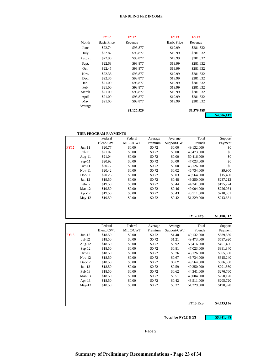#### **HANDLING FEE INCOME**

|         | <b>FY12</b>        | <b>FY12</b> | <b>FY13</b>        | <b>FY13</b> |
|---------|--------------------|-------------|--------------------|-------------|
| Month   | <b>Basic Price</b> | Revenue     | <b>Basic Price</b> | Revenue     |
| June    | \$22.74            | \$93,877    | \$19.99            | \$281,632   |
| July    | \$22.82            | \$93,877    | \$19.99            | \$281,632   |
| August  | \$22.90            | \$93,877    | \$19.99            | \$281,632   |
| Sept.   | \$22.68            | \$93,877    | \$19.99            | \$281,632   |
| Oct.    | \$22.45            | \$93,877    | \$19.99            | \$281,632   |
| Nov.    | \$22.36            | \$93,877    | \$19.99            | \$281,632   |
| Dec.    | \$22.36            | \$93,877    | \$19.99            | \$281,632   |
| Jan.    | \$21.00            | \$93,877    | \$19.99            | \$281,632   |
| Feb.    | \$21.00            | \$93,877    | \$19.99            | \$281,632   |
| March   | \$21.00            | \$93,877    | \$19.99            | \$281,632   |
| April   | \$21.00            | \$93,877    | \$19.99            | \$281,632   |
| May     | \$21.00            | \$93,877    | \$19.99            | \$281,632   |
| Average |                    |             |                    |             |
|         |                    | \$1,126,529 |                    | \$3,379,588 |

**\$4,506,117**

|             |           | <b>TIER PROGRAM PAYMENTS</b> |          |         |             |            |           |
|-------------|-----------|------------------------------|----------|---------|-------------|------------|-----------|
|             |           | Federal                      | Federal  | Average | Average     | Total      | Support   |
|             |           | Blend/CWT                    | MILC/CWT | Premium | Support/CWT | Pounds     | Payment   |
| <b>FY12</b> | $Jun-11$  | \$20.77                      | \$0.00   | \$0.72  | \$0.00      | 49,132,000 | \$0       |
|             | $Jul-11$  | \$21.07                      | \$0.00   | \$0.72  | \$0.00      | 49,473,000 | \$0       |
|             | Aug- $11$ | \$21.04                      | \$0.00   | \$0.72  | \$0.00      | 50.416,000 | \$0       |
|             | $Sep-11$  | \$20.92                      | \$0.00   | \$0.72  | \$0.00      | 47,023,000 | \$0       |
|             | $Oct-11$  | \$20.72                      | \$0.00   | \$0.72  | \$0.00      | 48,126,000 | \$0       |
|             | $Nov-11$  | \$20.42                      | \$0.00   | \$0.72  | \$0.02      | 46,734,000 | \$9,900   |
|             | $Dec-11$  | \$20.26                      | \$0.00   | \$0.72  | \$0.03      | 49,564,000 | \$15,400  |
|             | $Jan-12$  | \$19.50                      | \$0.00   | \$0.72  | \$0.48      | 49,250,000 | \$237,212 |
|             | $Feb-12$  | \$19.50                      | \$0.00   | \$0.72  | \$0.44      | 44,341,000 | \$195,224 |
|             | $Mar-12$  | \$19.50                      | \$0.00   | \$0.72  | \$0.46      | 49,004,000 | \$226,034 |
|             | Apr- $12$ | \$19.50                      | \$0.00   | \$0.72  | \$0.43      | 48,511,000 | \$210,861 |
|             | $May-12$  | \$19.50                      | \$0.00   | \$0.72  | \$0.42      | 51,229,000 | \$213,681 |
|             |           |                              |          |         |             |            |           |
|             |           |                              |          |         |             |            |           |

#### **FY12 Exp \$1,108,312**

|             |           | Federal   | Federal  | Average | Average     | Total      | Support     |
|-------------|-----------|-----------|----------|---------|-------------|------------|-------------|
|             |           | Blend/CWT | MILC/CWT | Premium | Support/CWT | Pounds     | Payment     |
| <b>FY13</b> | $Jun-12$  | \$18.50   | \$0.00   | \$0.72  | \$1.40      | 49,132,000 | \$689,680   |
|             | $Jul-12$  | \$18.50   | \$0.00   | \$0.72  | \$1.21      | 49,473,000 | \$597,920   |
|             | Aug- $12$ | \$18.50   | \$0.00   | \$0.72  | \$0.92      | 50,416,000 | \$461,456   |
|             | $Sep-12$  | \$18.50   | \$0.00   | \$0.72  | \$0.81      | 47,023,000 | \$381,840   |
|             | $Oct-12$  | \$18.50   | \$0.00   | \$0.72  | \$0.76      | 48,126,000 | \$365,560   |
|             | $Nov-12$  | \$18.50   | \$0.00   | \$0.72  | \$0.67      | 46,734,000 | \$315,240   |
|             | $Dec-12$  | \$18.50   | \$0.00   | \$0.72  | \$0.62      | 49,564,000 | \$306,360   |
|             | $Jan-13$  | \$18.50   | \$0.00   | \$0.72  | \$0.59      | 49,250,000 | \$291,560   |
|             | $Feb-13$  | \$18.50   | \$0.00   | \$0.72  | \$0.62      | 44,341,000 | \$276,760   |
|             | $Mar-13$  | \$18.50   | \$0.00   | \$0.72  | \$0.51      | 49,004,000 | \$250,120   |
|             | Apr- $13$ | \$18.50   | \$0.00   | \$0.72  | \$0.42      | 48,511,000 | \$205,720   |
|             | $May-13$  | \$18.50   | \$0.00   | \$0.72  | \$0.37      | 51,229,000 | \$190,920   |
|             |           |           |          |         |             | FY13 Exp   | \$4,333,136 |

Total for FY12 & 13 **\$5,441,448** 

Page 2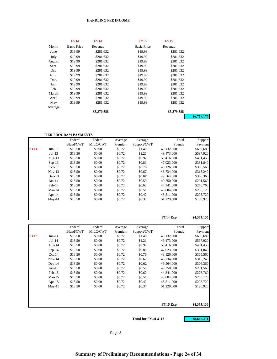#### **HANDLING FEE INCOME**

|         | <b>FY14</b>        | <b>FY14</b> | <b>FY15</b>        | <b>FY15</b> |             |
|---------|--------------------|-------------|--------------------|-------------|-------------|
| Month   | <b>Basic Price</b> | Revenue     | <b>Basic Price</b> | Revenue     |             |
| June    | \$19.99            | \$281,632   | \$19.99            | \$281,632   |             |
| July    | \$19.99            | \$281,632   | \$19.99            | \$281,632   |             |
| August  | \$19.99            | \$281,632   | \$19.99            | \$281,632   |             |
| Sept.   | \$19.99            | \$281.632   | \$19.99            | \$281,632   |             |
| Oct.    | \$19.99            | \$281,632   | \$19.99            | \$281,632   |             |
| Nov.    | \$19.99            | \$281,632   | \$19.99            | \$281,632   |             |
| Dec.    | \$19.99            | \$281,632   | \$19.99            | \$281,632   |             |
| Jan.    | \$19.99            | \$281,632   | \$19.99            | \$281,632   |             |
| Feb.    | \$19.99            | \$281,632   | \$19.99            | \$281,632   |             |
| March   | \$19.99            | \$281,632   | \$19.99            | \$281,632   |             |
| April   | \$19.99            | \$281,632   | \$19.99            | \$281,632   |             |
| May     | \$19.99            | \$281,632   | \$19.99            | \$281,632   |             |
| Average |                    |             |                    |             |             |
|         |                    | \$3,379,588 |                    | \$3,379,588 |             |
|         |                    |             |                    |             | \$6,759,176 |

|             |           | Federal   | Federal  | Average | Average     | Total      | Support     |
|-------------|-----------|-----------|----------|---------|-------------|------------|-------------|
|             |           | Blend/CWT | MILC/CWT | Premium | Support/CWT | Pounds     | Payment     |
| <b>FY14</b> | $Jun-13$  | \$18.50   | \$0.00   | \$0.72  | \$1.40      | 49,132,000 | \$689,680   |
|             | $Jul-13$  | \$18.50   | \$0.00   | \$0.72  | \$1.21      | 49,473,000 | \$597,920   |
|             | Aug- $13$ | \$18.50   | \$0.00   | \$0.72  | \$0.92      | 50,416,000 | \$461,456   |
|             | $Sep-13$  | \$18.50   | \$0.00   | \$0.72  | \$0.81      | 47,023,000 | \$381,840   |
|             | $Oct-13$  | \$18.50   | \$0.00   | \$0.72  | \$0.76      | 48,126,000 | \$365,560   |
|             | $Nov-13$  | \$18.50   | \$0.00   | \$0.72  | \$0.67      | 46,734,000 | \$315,240   |
|             | $Dec-13$  | \$18.50   | \$0.00   | \$0.72  | \$0.62      | 49,564,000 | \$306,360   |
|             | $Jan-14$  | \$18.50   | \$0.00   | \$0.72  | \$0.59      | 49,250,000 | \$291,560   |
|             | $Feb-14$  | \$18.50   | \$0.00   | \$0.72  | \$0.62      | 44,341,000 | \$276,760   |
|             | $Mar-14$  | \$18.50   | \$0.00   | \$0.72  | \$0.51      | 49,004,000 | \$250,120   |
|             | Apr- $14$ | \$18.50   | \$0.00   | \$0.72  | \$0.42      | 48,511,000 | \$205,720   |
|             | $May-14$  | \$18.50   | \$0.00   | \$0.72  | \$0.37      | 51,229,000 | \$190,920   |
|             |           |           |          |         |             |            |             |
|             |           |           |          |         |             | FY14 Exp   | \$4,333,136 |

|             |           | Federal   | Federal  | Average | Average     | Total      | Support     |
|-------------|-----------|-----------|----------|---------|-------------|------------|-------------|
|             |           | Blend/CWT | MILC/CWT | Premium | Support/CWT | Pounds     | Payment     |
| <b>FY15</b> | $Jun-14$  | \$18.50   | \$0.00   | \$0.72  | \$1.40      | 49,132,000 | \$689,680   |
|             | $Jul-14$  | \$18.50   | \$0.00   | \$0.72  | \$1.21      | 49,473,000 | \$597,920   |
|             | Aug-14    | \$18.50   | \$0.00   | \$0.72  | \$0.92      | 50,416,000 | \$461,456   |
|             | $Sep-14$  | \$18.50   | \$0.00   | \$0.72  | \$0.81      | 47,023,000 | \$381,840   |
|             | $Oct-14$  | \$18.50   | \$0.00   | \$0.72  | \$0.76      | 48,126,000 | \$365,560   |
|             | $Nov-14$  | \$18.50   | \$0.00   | \$0.72  | \$0.67      | 46,734,000 | \$315,240   |
|             | $Dec-14$  | \$18.50   | \$0.00   | \$0.72  | \$0.62      | 49,564,000 | \$306,360   |
|             | $Jan-15$  | \$18.50   | \$0.00   | \$0.72  | \$0.59      | 49,250,000 | \$291,560   |
|             | $Feb-15$  | \$18.50   | \$0.00   | \$0.72  | \$0.62      | 44,341,000 | \$276,760   |
|             | $Mar-15$  | \$18.50   | \$0.00   | \$0.72  | \$0.51      | 49,004,000 | \$250,120   |
|             | Apr- $15$ | \$18.50   | \$0.00   | \$0.72  | \$0.42      | 48,511,000 | \$205,720   |
|             | $May-15$  | \$18.50   | \$0.00   | \$0.72  | \$0.37      | 51,229,000 | \$190,920   |
|             |           |           |          |         |             |            |             |
|             |           |           |          |         |             | FY15 Exp   | \$4,333,136 |

Total for FY14 & 15 **\$8,666,271**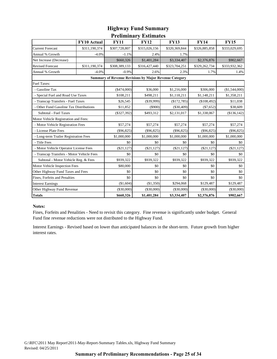### **Preliminary Estimates Highway Fund Summary**

|                                                               | FY10 Actual   |               |               |               |               |               |  |  |  |  |  |
|---------------------------------------------------------------|---------------|---------------|---------------|---------------|---------------|---------------|--|--|--|--|--|
|                                                               |               | <b>FY11</b>   | <b>FY12</b>   | <b>FY13</b>   | <b>FY14</b>   | <b>FY15</b>   |  |  |  |  |  |
| <b>Current Forecast</b>                                       | \$311,190,374 | \$307,728,807 | \$315,026,156 | \$320,369,844 | \$326,885,858 | \$333,029,695 |  |  |  |  |  |
| Annual % Growth                                               | $-4.0%$       | $-1.1%$       | 2.4%          | 1.7%          |               |               |  |  |  |  |  |
| Net Increase (Decrease)                                       |               | \$660,326     | \$1,401,284   | \$3,334,407   | \$2,376,876   | \$902,667     |  |  |  |  |  |
| <b>Revised Forecast</b>                                       | \$311,190,374 | \$308,389,133 | \$316,427,440 | \$323,704,251 | \$329,262,734 | \$333,932,362 |  |  |  |  |  |
| Annual % Growth                                               | $-4.0%$       | $-0.9%$       | 2.6%          | 2.3%          | 1.7%          | 1.4%          |  |  |  |  |  |
| <b>Summary of Revenue Revisions by Major Revenue Category</b> |               |               |               |               |               |               |  |  |  |  |  |
| <b>Fuel Taxes:</b>                                            |               |               |               |               |               |               |  |  |  |  |  |
| - Gasoline Tax                                                |               | $(\$474,000)$ | \$36,000      | \$1,216,000   | \$306,000     | (\$1,544,000) |  |  |  |  |  |
| - Special Fuel and Road Use Taxes                             |               | \$108,211     | \$498,211     | \$1,118,211   | \$1,148,211   | \$1,358,211   |  |  |  |  |  |
| - Transcap Transfers - Fuel Taxes                             |               | \$26,545      | $(\$39,999)$  | (\$172,785)   | (\$108,492)   | \$11,038      |  |  |  |  |  |
| Other Fund Gasoline Tax Distributions                         |               | \$11,852      | $($ \$900)    | $(\$30,409)$  | $(\$7,652)$   | \$38,609      |  |  |  |  |  |
| Subtotal - Fuel Taxes                                         |               | $(\$327,392)$ | \$493,312     | \$2,131,017   | \$1,338,067   | (\$136,142)   |  |  |  |  |  |
| Motor Vehicle Registration and Fees:                          |               |               |               |               |               |               |  |  |  |  |  |
| - Motor Vehicle Registration Fees                             |               | \$57,274      | \$57,274      | \$57,274      | \$57,274      | \$57,274      |  |  |  |  |  |
| - License Plate Fees                                          |               | $(\$96,825)$  | (\$96,825)    | $(\$96,825)$  | $(\$96,825)$  | $(\$96,825)$  |  |  |  |  |  |
| - Long-term Trailer Registration Fees                         |               | \$1,000,000   | \$1,000,000   | \$1,000,000   | \$1,000,000   | \$1,000,000   |  |  |  |  |  |
| - Title Fees                                                  |               | \$0           | \$0           | \$0           | \$0           | \$0           |  |  |  |  |  |
| - Motor Vehicle Operator License Fees                         |               | (\$21,127)    | (\$21,127)    | $(\$21,127)$  | $(\$21,127)$  | $(\$21,127)$  |  |  |  |  |  |
| - Transcap Transfers - Motor Vehicle Fees                     |               | \$0           | \$0           | \$0           | \$0           | \$0           |  |  |  |  |  |
| Subtotal - Motor Vehicle Reg. & Fees                          |               | \$939,322     | \$939,322     | \$939,322     | \$939,322     | \$939,322     |  |  |  |  |  |
| Motor Vehicle Inspection Fees                                 |               | \$80,000      | \$0           | \$0           | \$0           | \$0           |  |  |  |  |  |
| Other Highway Fund Taxes and Fees                             |               | \$0           | \$0           | \$0           | \$0           | \$0           |  |  |  |  |  |
| Fines, Forfeits and Penalties                                 |               | \$0           | \$0           | \$0           | \$0           | \$0           |  |  |  |  |  |
| <b>Interest Earnings</b>                                      |               | (\$1,604)     | (\$1,350)     | \$294,068     | \$129,487     | \$129,487     |  |  |  |  |  |
| Other Highway Fund Revenue                                    |               | (\$30,000)    | $(\$30,000)$  | $(\$30,000)$  | $(\$30,000)$  | $(\$30,000)$  |  |  |  |  |  |
| <b>Totals</b>                                                 |               | \$660,326     | \$1,401,284   | \$3,334,407   | \$2,376,876   | \$902,667     |  |  |  |  |  |

### **Notes:**

Fines, Forfeits and Penalities - Need to revisit this category. Fine revenue is significantly under budget. General Fund fine revenue reductions were not distributed to the Highway Fund.

Interest Earnings - Revised based on lower than anticipated balances in the short-term. Future growth from higher interest rates.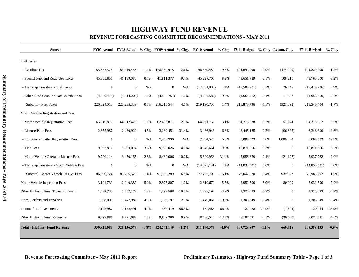# **HIGHWAY FUND REVENUE**

### **REVENUE FORECASTING COMMITTEE RECOMMENDATIONS - MAY 2011**

| <b>Source</b>                             |              |                |          |                |          | FY07 Actual FY08 Actual % Chg. FY09 Actual % Chg. FY10 Actual |          | % Chg. FY11 Budget % Chg. Recom. Chg. |          |                  | <b>FY11 Revised</b> | % Chg.   |
|-------------------------------------------|--------------|----------------|----------|----------------|----------|---------------------------------------------------------------|----------|---------------------------------------|----------|------------------|---------------------|----------|
| <b>Fuel Taxes</b>                         |              |                |          |                |          |                                                               |          |                                       |          |                  |                     |          |
| - Gasoline Tax                            | 185,677,576  | 183,710,458    | $-1.1%$  | 178,960,918    | $-2.6%$  | 196,559,480                                                   | 9.8%     | 194,694,000                           | $-0.9%$  | (474,000)        | 194,220,000         | $-1.2%$  |
| - Special Fuel and Road Use Taxes         | 45,805,856   | 46,139,086     | 0.7%     | 41,811,377     | $-9.4%$  | 45,227,703                                                    | 8.2%     | 43,651,789                            | $-3.5%$  | 108,211          | 43,760,000          | $-3.2%$  |
| - Transcap Transfers - Fuel Taxes         | $\mathbf{0}$ | $\mathbf{0}$   | N/A      | $\theta$       | N/A      | (17, 631, 888)                                                | N/A      | (17,503,281)                          | 0.7%     | 26,545           | (17, 476, 736)      | 0.9%     |
| - Other Fund Gasoline Tax Distributions   | (4,659,415)  | (4,614,205)    | 1.0%     | (4,556,751)    | 1.2%     | (4,964,589)                                                   | $-9.0\%$ | (4,968,712)                           | $-0.1%$  | 11,852           | (4,956,860)         | 0.2%     |
| Subtotal - Fuel Taxes                     | 226,824,018  | 225, 235, 339  | $-0.7\%$ | 216,215,544    | $-4.0%$  | 219,190,706                                                   | 1.4%     | 215,873,796                           | $-1.5%$  | (327, 392)       | 215,546,404         | $-1.7%$  |
| Motor Vehicle Registration and Fees       |              |                |          |                |          |                                                               |          |                                       |          |                  |                     |          |
| - Motor Vehicle Registration Fees         | 65,216,811   | 64,512,423     | $-1.1%$  | 62.630.817     | $-2.9%$  | 64,601,757                                                    | 3.1%     | 64,718,038                            | 0.2%     | 57,274           | 64,775,312          | 0.3%     |
| - License Plate Fees                      | 2,355,987    | 2,460,929      | 4.5%     | 3,232,451      | 31.4%    | 3,436,943                                                     | 6.3%     | 3,445,125                             | 0.2%     | (96, 825)        | 3,348,300           | $-2.6%$  |
| - Long-term Trailer Registration Fees     | $\mathbf{0}$ | $\mathbf{0}$   | N/A      | 7,450,990      | N/A      | 7,884,523                                                     | 5.8%     | 7,884,523                             | 0.0%     | 1,000,000        | 8,884,523           | 12.7%    |
| - Title Fees                              | 9,697,812    | 9,363,014      | $-3.5%$  | 9,780,026      | 4.5%     | 10,846,661                                                    | 10.9%    | 10,871,056                            | 0.2%     | $\boldsymbol{0}$ | 10,871,056          | 0.2%     |
| - Motor Vehicle Operator License Fees     | 9,720,114    | 9,450,155      | $-2.8%$  | 8,489,006      | $-10.2%$ | 5,820,958                                                     | $-31.4%$ | 5,958,859                             | 2.4%     | (21, 127)        | 5,937,732           | 2.0%     |
| - Transcap Transfers - Motor Vehicle Fees | $\mathbf{0}$ | $\overline{0}$ | N/A      | $\overline{0}$ | N/A      | (14, 823, 141)                                                | N/A      | (14,830,531)                          | 0.0%     | $\mathbf{0}$     | (14,830,531)        | 0.0%     |
| Subtotal - Motor Vehicle Reg. & Fees      | 86,990,724   | 85,786,520     | $-1.4%$  | 91,583,289     | 6.8%     | 77,767,700                                                    | $-15.1%$ | 78,047,070                            | 0.4%     | 939,322          | 78,986,392          | 1.6%     |
| Motor Vehicle Inspection Fees             | 3,101,739    | 2,940,387      | $-5.2%$  | 2,975,807      | 1.2%     | 2,810,679                                                     | $-5.5%$  | 2,952,500                             | 5.0%     | 80,000           | 3,032,500           | 7.9%     |
| Other Highway Fund Taxes and Fees         | 1,532,730    | 1,552,173      | 1.3%     | 1,392,598      | $-10.3%$ | 1,338,193                                                     | $-3.9\%$ | 1,325,823                             | $-0.9%$  | $\mathbf{0}$     | 1,325,823           | $-0.9%$  |
| Fines, Forfeits and Penalties             | 1,668,000    | 1,747,986      | 4.8%     | 1,785,197      | 2.1%     | 1,440,062                                                     | $-19.3%$ | 1,305,049                             | $-9.4%$  | $\overline{0}$   | 1,305,049           | $-9.4%$  |
| Income from Investments                   | 1,105,987    | 1,152,491      | 4.2%     | 480,419        | $-58.3%$ | 162,488                                                       | $-66.2%$ | 122,038                               | $-24.9%$ | (1,604)          | 120,434             | $-25.9%$ |
| Other Highway Fund Revenues               | 9,597,886    | 9,721,683      | 1.3%     | 9,809,296      | 0.9%     | 8,480,545                                                     | $-13.5%$ | 8,102,531                             | $-4.5%$  | (30,000)         | 8,072,531           | $-4.8%$  |
| <b>Total - Highway Fund Revenue</b>       | 330,821,083  | 328,136,579    | $-0.8\%$ | 324, 242, 149  | $-1.2\%$ | 311,190,374                                                   | $-4.0\%$ | 307,728,807                           | $-1.1\%$ | 660,326          | 308,389,133         | $-0.9%$  |

T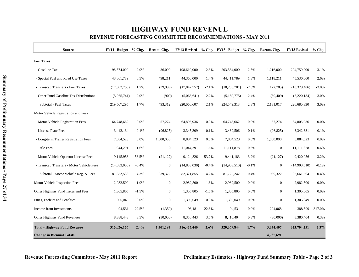## **HIGHWAY FUND REVENUE REVENUE FORECASTING COMMITTEE RECOMMENDATIONS - MAY 2011**

| <b>Source</b>                             | FY12 Budget % Chg. |          | Recom. Chg.    | <b>FY12 Revised</b> |          | % Chg. FY13 Budget % Chg. |         | Recom. Chg.    | <b>FY13 Revised</b> | $%$ Chg. |
|-------------------------------------------|--------------------|----------|----------------|---------------------|----------|---------------------------|---------|----------------|---------------------|----------|
| <b>Fuel Taxes</b>                         |                    |          |                |                     |          |                           |         |                |                     |          |
| - Gasoline Tax                            | 198,574,000        | 2.0%     | 36,000         | 198,610,000         | 2.3%     | 203,534,000               | 2.5%    | 1,216,000      | 204,750,000         | 3.1%     |
| - Special Fuel and Road Use Taxes         | 43,861,789         | 0.5%     | 498,211        | 44,360,000          | 1.4%     | 44,411,789                | 1.3%    | 1,118,211      | 45,530,000          | 2.6%     |
| - Transcap Transfers - Fuel Taxes         | (17,802,753)       | 1.7%     | (39,999)       | (17, 842, 752)      | $-2.1%$  | (18,206,701)              | $-2.3%$ | (172, 785)     | (18, 379, 486)      | $-3.0%$  |
| - Other Fund Gasoline Tax Distributions   | (5,065,741)        | 2.0%     | (900)          | (5,066,641)         | $-2.2%$  | (5,189,775)               | $-2.4%$ | (30, 409)      | (5,220,184)         | $-3.0%$  |
| Subtotal - Fuel Taxes                     | 219,567,295        | 1.7%     | 493,312        | 220,060,607         | 2.1%     | 224,549,313               | 2.3%    | 2,131,017      | 226,680,330         | 3.0%     |
| Motor Vehicle Registration and Fees       |                    |          |                |                     |          |                           |         |                |                     |          |
| - Motor Vehicle Registration Fees         | 64,748,662         | 0.0%     | 57,274         | 64,805,936          | 0.0%     | 64,748,662                | 0.0%    | 57,274         | 64,805,936          | 0.0%     |
| - License Plate Fees                      | 3,442,134          | $-0.1%$  | (96, 825)      | 3,345,309           | $-0.1%$  | 3,439,506                 | $-0.1%$ | (96, 825)      | 3,342,681           | $-0.1%$  |
| - Long-term Trailer Registration Fees     | 7,884,523          | 0.0%     | 1,000,000      | 8,884,523           | 0.0%     | 7,884,523                 | 0.0%    | 1,000,000      | 8,884,523           | 0.0%     |
| - Title Fees                              | 11,044,291         | 1.6%     | $\overline{0}$ | 11,044,291          | 1.6%     | 11,111,878                | 0.6%    | $\mathbf{0}$   | 11,111,878          | 0.6%     |
| - Motor Vehicle Operator License Fees     | 9,145,953          | 53.5%    | (21, 127)      | 9,124,826           | 53.7%    | 9,441,183                 | 3.2%    | (21, 127)      | 9,420,056           | 3.2%     |
| - Transcap Transfers - Motor Vehicle Fees | (14,883,030)       | $-0.4%$  | $\overline{0}$ | (14,883,030)        | $-0.4%$  | (14,903,510)              | $-0.1%$ | $\mathbf{0}$   | (14,903,510)        | $-0.1%$  |
| Subtotal - Motor Vehicle Reg. & Fees      | 81,382,533         | 4.3%     | 939,322        | 82,321,855          | 4.2%     | 81,722,242                | 0.4%    | 939,322        | 82,661,564          | 0.4%     |
| Motor Vehicle Inspection Fees             | 2,982,500          | 1.0%     | $\mathbf{0}$   | 2,982,500           | $-1.6%$  | 2,982,500                 | 0.0%    | $\mathbf{0}$   | 2,982,500           | 0.0%     |
| Other Highway Fund Taxes and Fees         | 1,305,805          | $-1.5%$  | $\overline{0}$ | 1,305,805           | $-1.5%$  | 1,305,805                 | 0.0%    | $\mathbf{0}$   | 1,305,805           | 0.0%     |
| Fines, Forfeits and Penalties             | 1,305,049          | 0.0%     | $\overline{0}$ | 1,305,049           | 0.0%     | 1,305,049                 | 0.0%    | $\overline{0}$ | 1,305,049           | 0.0%     |
| Income from Investments                   | 94,531             | $-22.5%$ | (1,350)        | 93,181              | $-22.6%$ | 94,531                    | 0.0%    | 294,068        | 388,599             | 317.0%   |
| Other Highway Fund Revenues               | 8,388,443          | 3.5%     | (30,000)       | 8,358,443           | 3.5%     | 8,410,404                 | 0.3%    | (30,000)       | 8,380,404           | 0.3%     |
| <b>Total - Highway Fund Revenue</b>       | 315,026,156        | 2.4%     | 1,401,284      | 316,427,440         | 2.6%     | 320,369,844               | $1.7\%$ | 3,334,407      | 323,704,251         | 2.3%     |
| <b>Change in Biennial Totals</b>          |                    |          |                |                     |          |                           |         | 4,735,691      |                     |          |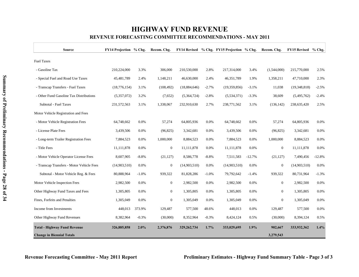## **HIGHWAY FUND REVENUE REVENUE FORECASTING COMMITTEE RECOMMENDATIONS - MAY 2011**

| <b>Source</b>                             | FY14 Projection % Chg. |         | Recom. Chg.      |               |         | FY14 Revised % Chg. FY15 Projection % Chg. |          | Recom. Chg.      | <b>FY15 Revised</b> | $%$ Chg. |
|-------------------------------------------|------------------------|---------|------------------|---------------|---------|--------------------------------------------|----------|------------------|---------------------|----------|
| <b>Fuel Taxes</b>                         |                        |         |                  |               |         |                                            |          |                  |                     |          |
| - Gasoline Tax                            | 210,224,000            | 3.3%    | 306,000          | 210,530,000   | 2.8%    | 217,314,000                                | 3.4%     | (1,544,000)      | 215,770,000         | 2.5%     |
| - Special Fuel and Road Use Taxes         | 45,481,789             | 2.4%    | 1,148,211        | 46,630,000    | 2.4%    | 46,351,789                                 | 1.9%     | 1,358,211        | 47,710,000          | 2.3%     |
| - Transcap Transfers - Fuel Taxes         | (18, 776, 154)         | 3.1%    | (108, 492)       | (18,884,646)  | $-2.7%$ | (19,359,856)                               | $-3.1%$  | 11,038           | (19,348,818)        | $-2.5%$  |
| - Other Fund Gasoline Tax Distributions   | (5,357,072)            | 3.2%    | (7,652)          | (5,364,724)   | $-2.8%$ | (5,534,371)                                | $-3.3%$  | 38,609           | (5,495,762)         | $-2.4%$  |
| Subtotal - Fuel Taxes                     | 231,572,563            | 3.1%    | 1,338,067        | 232,910,630   | 2.7%    | 238,771,562                                | 3.1%     | (136, 142)       | 238,635,420         | 2.5%     |
| Motor Vehicle Registration and Fees       |                        |         |                  |               |         |                                            |          |                  |                     |          |
| - Motor Vehicle Registration Fees         | 64,748,662             | 0.0%    | 57,274           | 64,805,936    | 0.0%    | 64,748,662                                 | 0.0%     | 57,274           | 64,805,936          | 0.0%     |
| - License Plate Fees                      | 3,439,506              | 0.0%    | (96, 825)        | 3,342,681     | 0.0%    | 3,439,506                                  | 0.0%     | (96, 825)        | 3,342,681           | 0.0%     |
| - Long-term Trailer Registration Fees     | 7,884,523              | 0.0%    | 1,000,000        | 8,884,523     | 0.0%    | 7,884,523                                  | 0.0%     | 1,000,000        | 8,884,523           | 0.0%     |
| - Title Fees                              | 11,111,878             | 0.0%    | $\boldsymbol{0}$ | 11,111,878    | 0.0%    | 11,111,878                                 | 0.0%     | $\boldsymbol{0}$ | 11,111,878          | 0.0%     |
| - Motor Vehicle Operator License Fees     | 8,607,905              | $-8.8%$ | (21, 127)        | 8,586,778     | $-8.8%$ | 7,511,583                                  | $-12.7%$ | (21, 127)        | 7,490,456           | $-12.8%$ |
| - Transcap Transfers - Motor Vehicle Fees | (14,903,510)           | 0.0%    | $\overline{0}$   | (14,903,510)  | 0.0%    | (14,903,510)                               | 0.0%     | $\overline{0}$   | (14,903,510)        | 0.0%     |
| Subtotal - Motor Vehicle Reg. & Fees      | 80,888,964             | $-1.0%$ | 939,322          | 81,828,286    | $-1.0%$ | 79,792,642                                 | $-1.4%$  | 939,322          | 80,731,964          | $-1.3%$  |
| Motor Vehicle Inspection Fees             | 2,982,500              | 0.0%    | $\overline{0}$   | 2,982,500     | 0.0%    | 2,982,500                                  | 0.0%     | $\boldsymbol{0}$ | 2,982,500           | 0.0%     |
| Other Highway Fund Taxes and Fees         | 1,305,805              | 0.0%    | $\overline{0}$   | 1,305,805     | 0.0%    | 1,305,805                                  | 0.0%     | $\boldsymbol{0}$ | 1,305,805           | 0.0%     |
| Fines, Forfeits and Penalties             | 1,305,049              | 0.0%    | $\boldsymbol{0}$ | 1,305,049     | 0.0%    | 1,305,049                                  | 0.0%     | $\boldsymbol{0}$ | 1,305,049           | 0.0%     |
| Income from Investments                   | 448,013                | 373.9%  | 129,487          | 577,500       | 48.6%   | 448,013                                    | 0.0%     | 129,487          | 577,500             | 0.0%     |
| Other Highway Fund Revenues               | 8,382,964              | $-0.3%$ | (30,000)         | 8,352,964     | $-0.3%$ | 8,424,124                                  | 0.5%     | (30,000)         | 8,394,124           | 0.5%     |
| <b>Total - Highway Fund Revenue</b>       | 326,885,858            | 2.0%    | 2,376,876        | 329, 262, 734 | 1.7%    | 333,029,695                                | 1.9%     | 902,667          | 333,932,362         | 1.4%     |
| <b>Change in Biennial Totals</b>          |                        |         |                  |               |         |                                            |          | 3,279,543        |                     |          |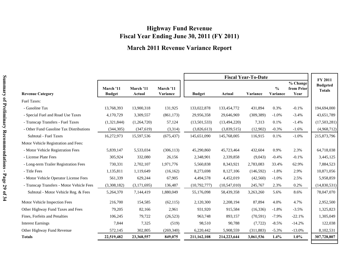## **Highway Fund Revenue Fiscal Year Ending June 30, 2011 (FY 2011)**

## **March 2011 Revenue Variance Report**

|                                           |                            |                     |                       |               |                | <b>Fiscal Year-To-Date</b> |                           |                                | <b>FY 2011</b>                   |
|-------------------------------------------|----------------------------|---------------------|-----------------------|---------------|----------------|----------------------------|---------------------------|--------------------------------|----------------------------------|
| <b>Revenue Category</b>                   | March '11<br><b>Budget</b> | March '11<br>Actual | March '11<br>Variance | <b>Budget</b> | Actual         | Variance                   | $\frac{0}{0}$<br>Variance | % Change<br>from Prior<br>Year | <b>Budgeted</b><br><b>Totals</b> |
| Fuel Taxes:                               |                            |                     |                       |               |                |                            |                           |                                |                                  |
| - Gasoline Tax                            | 13,768,393                 | 13,900,318          | 131,925               | 133,022,878   | 133,454,772    | 431,894                    | 0.3%                      | $-0.1%$                        | 194,694,000                      |
| - Special Fuel and Road Use Taxes         | 4,170,729                  | 3,309,557           | (861, 173)            | 29,956,358    | 29,646,969     | (309, 389)                 | $-1.0\%$                  | $-3.4%$                        | 43,651,789                       |
| - Transcap Transfers - Fuel Taxes         | (1,321,844)                | (1,264,720)         | 57,124                | (13,501,533)  | (13, 494, 220) | 7,313                      | 0.1%                      | $-1.4%$                        | (17,503,281)                     |
| - Other Fund Gasoline Tax Distributions   | (344, 305)                 | (347,619)           | (3,314)               | (3,826,613)   | (3,839,515)    | (12,902)                   | $-0.3%$                   | $-1.6%$                        | (4,968,712)                      |
| <b>Subtotal - Fuel Taxes</b>              | 16,272,973                 | 15,597,536          | (675, 437)            | 145,651,090   | 145,768,005    | 116,915                    | 0.1%                      | $-1.0%$                        | 215,873,796                      |
| Motor Vehicle Registration and Fees:      |                            |                     |                       |               |                |                            |                           |                                |                                  |
| - Motor Vehicle Registration Fees         | 5,839,147                  | 5,533,034           | (306, 113)            | 45,290,860    | 45,723,464     | 432,604                    | 0.9%                      | 2.3%                           | 64,718,038                       |
| - License Plate Fees                      | 305,924                    | 332,080             | 26,156                | 2,348,901     | 2,339,858      | (9,043)                    | $-0.4%$                   | $-0.1%$                        | 3,445,125                        |
| - Long-term Trailer Registration Fees     | 730,331                    | 2,702,107           | 1,971,776             | 5,560,838     | 8,343,921      | 2,783,083                  | 33.4%                     | 62.9%                          | 7,884,523                        |
| - Title Fees                              | 1,135,811                  | 1,119,649           | (16, 162)             | 8,273,698     | 8,127,106      | (146, 592)                 | $-1.8%$                   | 2.9%                           | 10,871,056                       |
| - Motor Vehicle Operator License Fees     | 561,339                    | 629,244             | 67,905                | 4,494,578     | 4,452,019      | (42,560)                   | $-1.0%$                   | 2.5%                           | 5,958,859                        |
| - Transcap Transfers - Motor Vehicle Fees | (3,308,182)                | (3,171,695)         | 136,487               | (10,792,777)  | (10,547,010)   | 245,767                    | 2.3%                      | 0.2%                           | (14,830,531)                     |
| Subtotal - Motor Vehicle Reg. & Fees      | 5,264,370                  | 7,144,419           | 1,880,049             | 55,176,098    | 58,439,358     | 3,263,260                  | 5.6%                      | 8.6%                           | 78,047,070                       |
| Motor Vehicle Inspection Fees             | 216,700                    | 154,585             | (62, 115)             | 2,120,300     | 2,208,194      | 87,894                     | 4.0%                      | 4.7%                           | 2,952,500                        |
| Other Highway Fund Taxes and Fees         | 79,205                     | 82,166              | 2,961                 | 931,920       | 915,584        | (16, 336)                  | $-1.8%$                   | $-3.5%$                        | 1,325,823                        |
| Fines, Forfeits and Penalties             | 106,245                    | 79,722              | (26, 523)             | 963,748       | 893,157        | (70, 591)                  | $-7.9\%$                  | $-22.1%$                       | 1,305,049                        |
| <b>Interest Earnings</b>                  | 7,844                      | 7,325               | (519)                 | 98,510        | 90,788         | (7, 722)                   | $-8.5%$                   | $-14.2%$                       | 122,038                          |
| Other Highway Fund Revenue                | 572,145                    | 302,805             | (269, 340)            | 6,220,442     | 5,908,559      | (311, 883)                 | $-5.3%$                   | $-13.0%$                       | 8,102,531                        |
| <b>Totals</b>                             | 22,519,482                 | 23,368,557          | 849,075               | 211,162,108   | 214,223,644    | 3,061,536                  | $1.4\%$                   | $1.0\%$                        | 307,728,807                      |
|                                           |                            |                     |                       |               |                |                            |                           |                                |                                  |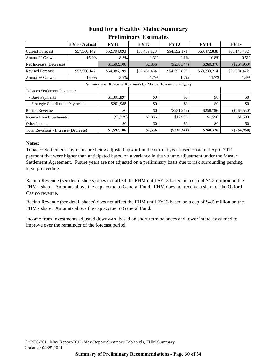|                                                               | <b>FY10 Actual</b> | <b>FY11</b>  | <b>FY12</b>  | <b>FY13</b>   | <b>FY14</b>  | <b>FY15</b>   |  |  |  |  |  |
|---------------------------------------------------------------|--------------------|--------------|--------------|---------------|--------------|---------------|--|--|--|--|--|
| <b>Current Forecast</b>                                       | \$57,560,142       | \$52,794,093 | \$53,459,128 | \$54,592,171  | \$60,472,838 | \$60,146,432  |  |  |  |  |  |
| Annual % Growth                                               | $-15.9%$           | $-8.3%$      | 1.3%         | 2.1%          | 10.8%        | $-0.5%$       |  |  |  |  |  |
| Net Increase (Decrease)                                       |                    | \$1,592,106  | \$2,336      | $(\$238,344)$ | \$260,376    | $(\$264,960)$ |  |  |  |  |  |
| <b>Revised Forecast</b>                                       | \$57,560,142       | \$54,386,199 | \$53,461,464 | \$54,353,827  | \$60,733,214 | \$59,881,472  |  |  |  |  |  |
| Annual % Growth                                               | $-15.9%$           | $-5.5%$      | $-1.7\%$     | 1.7%          | 11.7%        | $-1.4%$       |  |  |  |  |  |
| <b>Summary of Revenue Revisions by Major Revenue Category</b> |                    |              |              |               |              |               |  |  |  |  |  |
| <b>Tobacco Settlement Payments:</b>                           |                    |              |              |               |              |               |  |  |  |  |  |
| - Base Payments                                               |                    | \$1,391,897  | \$0          | \$0           | \$0          | \$0           |  |  |  |  |  |
| - Strategic Contribution Payments                             |                    | \$201,988    | \$0          | \$0           | \$0          | \$0           |  |  |  |  |  |
| Racino Revenue                                                |                    | \$0          | \$0          | $(\$251,249)$ | \$258,786    | $(\$266,550)$ |  |  |  |  |  |
| Income from Investments                                       |                    | (\$1,779)    | \$2,336      | \$12,905      | \$1,590      | \$1,590       |  |  |  |  |  |
| Other Income                                                  |                    | \$0          | \$0          | \$0           | \$0          | \$0           |  |  |  |  |  |
| Total Revisions - Increase (Decrease)                         |                    | \$1,592,106  | \$2,336      | (S238, 344)   | \$260,376    | $(\$264,960)$ |  |  |  |  |  |

## **Fund for a Healthy Maine Summary Preliminary Estimates**

### **Notes:**

Tobacco Settlement Payments are being adjusted upward in the current year based on actual April 2011 payment that were higher than anticipated based on a variance in the volume adjustment under the Master Settlement Agreement. Future years are not adjusted on a preliminary basis due to risk surrounding pending legal proceeding.

Racino Revenue (see detail sheets) does not affect the FHM until FY13 based on a cap of \$4.5 million on the FHM's share. Amounts above the cap accrue to General Fund. FHM does not receive a share of the Oxford Casino revenue.

Racino Revenue (see detail sheets) does not affect the FHM until FY13 based on a cap of \$4.5 million on the FHM's share. Amounts above the cap accrue to General Fund.

Income from Investments adjusted downward based on short-term balances and lower interest assumed to improve over the remainder of the forecast period.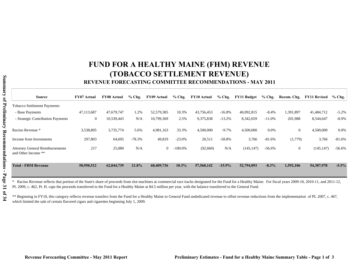# **FUND FOR A HEALTHY MAINE (FHM) REVENUE (TOBACCO SETTLEMENT REVENUE)**

### **REVENUE FORECASTING COMMITTEE RECOMMENDATIONS - MAY 2011**

| <b>Source</b>                                                 | <b>FY07 Actual</b> | <b>FY08 Actual</b> | $%$ Chg. | <b>FY09 Actual</b> | $%$ Chg.   | <b>FY10 Actual</b> | $%$ Chg. | FY11 Budget | $%$ Chg. | Recom. Chg.  | <b>FY11 Revised</b> | $%$ Chg. $ $ |
|---------------------------------------------------------------|--------------------|--------------------|----------|--------------------|------------|--------------------|----------|-------------|----------|--------------|---------------------|--------------|
| <b>Tobacco Settlement Payments:</b>                           |                    |                    |          |                    |            |                    |          |             |          |              |                     |              |
| - Base Payments                                               | 47,113,687         | 47,679,747         | 1.2%     | 52,579,385         | 10.3%      | 43,756,453         | $-16.8%$ | 40,092,815  | $-8.4%$  | 1,391,897    | 41,484,712          | $-5.2\%$     |
| - Strategic Contribution Payments                             | $\overline{0}$     | 10,539,443         | N/A      | 10,799,369         | 2.5%       | 9,375,838          | $-13.2%$ | 8,342,659   | $-11.0%$ | 201,988      | 8,544,647           | $-8.9%$      |
| Racino Revenue *                                              | 3,538,805          | 3,735,774          | 5.6%     | 4,981,163          | 33.3%      | 4,500,000          | $-9.7%$  | 4,500,000   | $0.0\%$  | $\mathbf{0}$ | 4,500,000           | 0.0%         |
| Income from Investments                                       | 297,803            | 64,695             | $-78.3%$ | 49,819             | $-23.0%$   | 20,511             | $-58.8%$ | 3,766       | $-81.6%$ | (1,779)      | 3,766               | $-81.6%$     |
| <b>Attorney General Reimbursements</b><br>and Other Income ** | 217                | 25,080             | N/A      | $\overline{0}$     | $-100.0\%$ | (92,660)           | N/A      | (145, 147)  | $-56.6%$ | $\mathbf{0}$ | (145, 147)          | $-56.6%$     |
| <b>Total - FHM Revenue</b>                                    | 50,950,512         | 62,044,739         | 21.8%    | 68,409,736         | $10.3\%$   | 57,560,142         | $-15.9%$ | 52,794,093  | $-8.3\%$ | 1,592,106    | 54,387,978          | $-5.5%$      |

\* Racino Revenue reflects that portion of the State's share of proceeds from slot machines at commercial race tracks designated for the Fund for a Healthy Maine. For fiscal years 2009-10, 2010-11, and 2011-12, PL 2009, c. 462, Pt. H. caps the proceeds transferred to the Fund for a Healthy Maine at \$4.5 million per year, with the balance transferred to the General Fund.

\*\* Beginning in FY10, this category reflects revenue transfers from the Fund for a Healthy Maine to General Fund undedicated revenue to offset revenue reductions from the implementation of PL 2007, c. 467, which limited the sale of certain flavored cigars and cigarettes beginning July 1, 2009.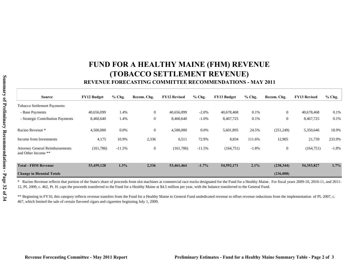# **FUND FOR A HEALTHY MAINE (FHM) REVENUE (TOBACCO SETTLEMENT REVENUE)**

### **REVENUE FORECASTING COMMITTEE RECOMMENDATIONS - MAY 2011**

| <b>Source</b>                                                 | <b>FY12 Budget</b> | $%$ Chg. | Recom. Chg.    | <b>FY12 Revised</b> | $%$ Chg. | <b>FY13 Budget</b> | $%$ Chg. | Recom. Chg.    | <b>FY13 Revised</b> | $%$ Chg. |
|---------------------------------------------------------------|--------------------|----------|----------------|---------------------|----------|--------------------|----------|----------------|---------------------|----------|
| <b>Tobacco Settlement Payments:</b>                           |                    |          |                |                     |          |                    |          |                |                     |          |
| - Base Payments                                               | 40,656,099         | 1.4%     | $\overline{0}$ | 40,656,099          | $-2.0%$  | 40,678,468         | 0.1%     | $\overline{0}$ | 40,678,468          | 0.1%     |
| - Strategic Contribution Payments                             | 8,460,640          | 1.4%     | $\overline{0}$ | 8,460,640           | $-1.0\%$ | 8,467,725          | 0.1%     | $\mathbf{0}$   | 8,467,725           | 0.1%     |
| Racino Revenue *                                              | 4,500,000          | $0.0\%$  | $\overline{0}$ | 4,500,000           | 0.0%     | 5,601,895          | 24.5%    | (251,249)      | 5,350,646           | 18.9%    |
| Income from Investments                                       | 4,175              | 10.9%    | 2,336          | 6,511               | 72.9%    | 8,834              | 111.6%   | 12,905         | 21,739              | 233.9%   |
| <b>Attorney General Reimbursements</b><br>and Other Income ** | (161,786)          | $-11.5%$ | $\overline{0}$ | (161, 786)          | $-11.5%$ | (164, 751)         | $-1.8%$  | $\mathbf{0}$   | (164, 751)          | $-1.8%$  |
| <b>Total - FHM Revenue</b>                                    | 53,459,128         | 1.3%     | 2,336          | 53,461,464          | $-1.7%$  | 54,592,171         | 2.1%     | (238, 344)     | 54,353,827          | 1.7%     |
| <b>Change in Biennial Totals</b>                              |                    |          |                |                     |          |                    |          | (236,008)      |                     |          |

\* Racino Revenue reflects that portion of the State's share of proceeds from slot machines at commercial race tracks designated for the Fund for a Healthy Maine. For fiscal years 2009-10, 2010-11, and 2011- 12, PL 2009, c. 462, Pt. H. caps the proceeds transferred to the Fund for a Healthy Maine at \$4.5 million per year, with the balance transferred to the General Fund.

\*\* Beginning in FY10, this category reflects revenue transfers from the Fund for a Healthy Maine to General Fund undedicated revenue to offset revenue reductions from the implementation of PL 2007, c. 467, which limited the sale of certain flavored cigars and cigarettes beginning July 1, 2009.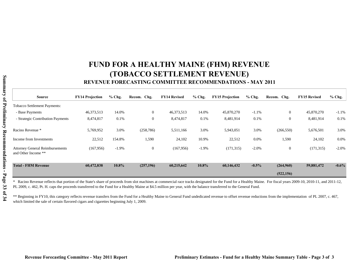# **FUND FOR A HEALTHY MAINE (FHM) REVENUE (TOBACCO SETTLEMENT REVENUE)**

### **REVENUE FORECASTING COMMITTEE RECOMMENDATIONS - MAY 2011**

| <b>Source</b>                                                 | <b>FY14 Projection</b> | $%$ Chg. | Recom. Chg.      | <b>FY14 Revised</b> | $%$ Chg. | <b>FY15 Projection</b> | $%$ Chg. | Recom. Chg.      | <b>FY15 Revised</b> | $%$ Chg. |
|---------------------------------------------------------------|------------------------|----------|------------------|---------------------|----------|------------------------|----------|------------------|---------------------|----------|
| Tobacco Settlement Payments:                                  |                        |          |                  |                     |          |                        |          |                  |                     |          |
| - Base Payments                                               | 46,373,513             | 14.0%    | $\overline{0}$   | 46,373,513          | 14.0%    | 45,870,270             | $-1.1%$  | $\mathbf{0}$     | 45,870,270          | $-1.1%$  |
| - Strategic Contribution Payments                             | 8,474,817              | 0.1%     | $\boldsymbol{0}$ | 8,474,817           | 0.1%     | 8,481,914              | 0.1%     | $\boldsymbol{0}$ | 8,481,914           | 0.1%     |
| Racino Revenue *                                              | 5,769,952              | 3.0%     | (258, 786)       | 5,511,166           | 3.0%     | 5,943,051              | 3.0%     | (266, 550)       | 5,676,501           | 3.0%     |
| Income from Investments                                       | 22,512                 | 154.8%   | 1,590            | 24,102              | 10.9%    | 22,512                 | $0.0\%$  | 1,590            | 24,102              | 0.0%     |
| <b>Attorney General Reimbursements</b><br>and Other Income ** | (167,956)              | $-1.9%$  | $\boldsymbol{0}$ | (167, 956)          | $-1.9%$  | (171, 315)             | $-2.0\%$ | $\mathbf{0}$     | (171, 315)          | $-2.0\%$ |
| <b>Total - FHM Revenue</b>                                    | 60,472,838             | 10.8%    | (257,196)        | 60,215,642          | 10.8%    | 60,146,432             | $-0.5\%$ | (264,960)        | 59,881,472          | $-0.6\%$ |
|                                                               |                        |          |                  |                     |          |                        |          | (522, 156)       |                     |          |

\* Racino Revenue reflects that portion of the State's share of proceeds from slot machines at commercial race tracks designated for the Fund for a Healthy Maine. For fiscal years 2009-10, 2010-11, and 2011-12, PL 2009, c. 462, Pt. H. caps the proceeds transferred to the Fund for a Healthy Maine at \$4.5 million per year, with the balance transferred to the General Fund.

\*\* Beginning in FY10, this category reflects revenue transfers from the Fund for a Healthy Maine to General Fund undedicated revenue to offset revenue reductions from the implementation of PL 2007, c. 467, which limited the sale of certain flavored cigars and cigarettes beginning July 1, 2009.